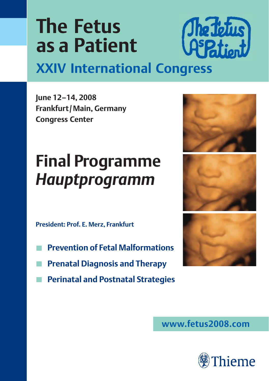# **The Fetus as a Patient**

 $\mathbf{v}$ 



## **XXIV International Congress**

**June 12–14, 2008 Frankfurt/ Main, Germany Congress Center** 

# **Final Programme** *Hauptprogramm*

**President: Prof. E. Merz, Frankfurt**

- **Prevention of Fetal Malformations**
- **Prenatal Diagnosis and Therapy**
- **Perinatal and Postnatal Strategies**







**www.fetus2008.com**

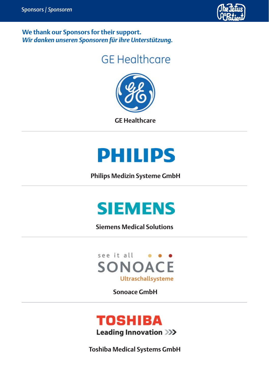

**We thank our Sponsors for their support.** *Wir danken unseren Sponsoren für ihre Unterstützung.*

## **GE Healthcare**



# **PHILIPS**

**Philips Medizin Systeme GmbH**



**Siemens Medical Solutions**



**Sonoace GmbH**



**Toshiba Medical Systems GmbH**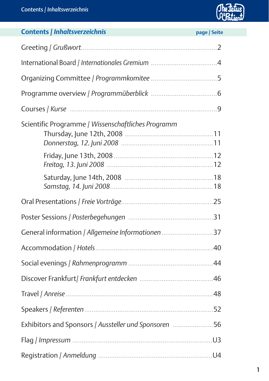

### **Contents /** *Inhaltsverzeichnis* **page / Seite**

| Scientific Programme / Wissenschaftliches Programm |     |
|----------------------------------------------------|-----|
|                                                    |     |
|                                                    |     |
|                                                    |     |
|                                                    |     |
| General information / Allgemeine Informationen 37  |     |
|                                                    |     |
|                                                    |     |
|                                                    |     |
|                                                    |     |
|                                                    | 52  |
| Exhibitors and Sponsors / Aussteller und Sponsoren | .56 |
|                                                    |     |
|                                                    |     |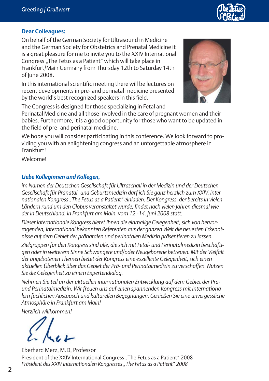

#### **Dear Colleagues:**

On behalf of the German Society for Ultrasound in Medicine and the German Society for Obstetrics and Prenatal Medicine it is a great pleasure for me to invite you to the XXIV International Congress . The Fetus as a Patient" which will take place in Frankfurt/Main Germany from Thursday 12th to Saturday 14th of June 2008.

In this international scientific meeting there will be lectures on recent developments in pre- and perinatal medicine presented by the world's best recognized speakers in this field.



The Congress is designed for those specializing in Fetal and

Perinatal Medicine and all those involved in the care of pregnant women and their babies. Furthermore, it is a good opportunity for those who want to be updated in the field of pre- and perinatal medicine.

We hope you will consider participating in this conference. We look forward to providing you with an enlightening congress and an unforgettable atmosphere in Frankfurt!

Welcome!

#### *Liebe Kolleginnen und Kollegen,*

*im Namen der Deutschen Gesellschaft für Ultraschall in der Medizin und der Deutschen Gesellschaft für Pränatal- und Geburtsmedizin darf ich Sie ganz herzlich zum XXIV. internationalen Kongress "The Fetus as a Patient" einladen. Der Kongress, der bereits in vielen Ländern rund um den Globus veranstaltet wurde, findet nach vielen Jahren diesmal wieder in Deutschland, in Frankfurt am Main, vom 12.-14. Juni 2008 statt.*

*Dieser internationale Kongress bietet Ihnen die einmalige Gelegenheit, sich von hervorragenden, international bekannten Referenten aus der ganzen Welt die neuesten Erkenntnisse auf dem Gebiet der pränatalen und perinatalen Medizin präsentieren zu lassen.* 

*Zielgruppen für den Kongress sind alle, die sich mit Fetal- und Perinatalmedizin beschäftigen oder in weiterem Sinne Schwangere und/oder Neugeborene betreuen. Mit der Vielfalt der angebotenen Themen bietet der Kongress eine exzellente Gelegenheit, sich einen aktuellen Überblick über das Gebiet der Prä- und Perinatalmedizin zu verschaffen. Nutzen Sie die Gelegenheit zu einem Expertendialog.*

*Nehmen Sie teil an der aktuellen internationalen Entwicklung auf dem Gebiet der Präund Perinatalmedizin. Wir freuen uns auf einen spannenden Kongress mit internationalem fachlichen Austausch und kulturellen Begegnungen. Genießen Sie eine unvergessliche Atmosphäre in Frankfurt am Main!*

*Herzlich willkommen!* 

Eberhard Merz, M.D, Professor President of the XXIV International Congress "The Fetus as a Patient" 2008 *Präsident des XXIV Internationalen Kongresses "The Fetus as a Patient" 2008*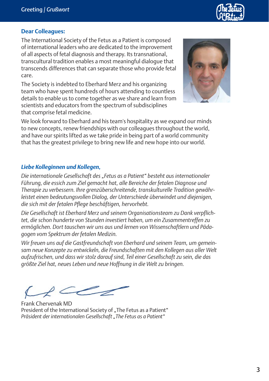#### **Dear Colleagues:**

The International Society of the Fetus as a Patient is composed of international leaders who are dedicated to the improvement of all aspects of fetal diagnosis and therapy. Its transnational, transcultural tradition enables a most meaningful dialogue that transcends differences that can separate those who provide fetal care.

The Society is indebted to Eberhard Merz and his organizing team who have spent hundreds of hours attending to countless details to enable us to come together as we share and learn from scientists and educators from the spectrum of subdisciplines that comprise fetal medicine.



We look forward to Eberhard and his team's hospitality as we expand our minds to new concepts, renew friendships with our colleagues throughout the world, and have our spirits lifted as we take pride in being part of a world community that has the greatest privilege to bring new life and new hope into our world.

#### *Liebe Kolleginnen und Kollegen,*

*Die internationale Gesellschaft des "Fetus as a Patient" besteht aus internationaler Führung, die essich zum Ziel gemacht hat, alle Bereiche der fetalen Diagnose und Therapie zu verbessern. Ihre grenzüberschreitende, transkulturelle Tradition gewährleistet einen bedeutungsvollen Dialog, der Unterschiede überwindet und diejenigen, die sich mit der fetalen Pflege beschäftigen, hervorhebt.*

*Die Gesellschaft ist Eberhard Merz und seinem Organisationsteam zu Dank verpflichtet, die schon hunderte von Stunden investiert haben, um ein Zusammentreffen zu ermöglichen. Dort tauschen wir uns aus und lernen von Wissenschaftlern und Pädagogen vom Spektrum der fetalen Medizin.*

*Wir freuen uns auf die Gastfreundschaft von Eberhard und seinem Team, um gemeinsam neue Konzepte zu entwickeln, die Freundschaften mit den Kollegen aus aller Welt aufzufrischen, und dass wir stolz darauf sind, Teil einer Gesellschaft zu sein, die das größte Ziel hat, neues Leben und neue Hoffnung in die Welt zu bringen.*

Frank Chervenak MD President of the International Society of "The Fetus as a Patient" *Präsident der internationalen Gesellschaft "The Fetus as a Patient"*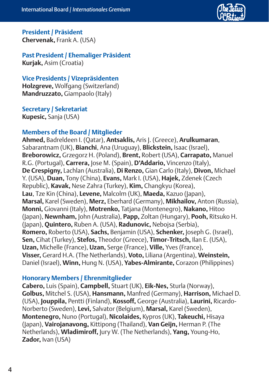

**President / Präsident Chervenak,** Frank A. (USA)

**Past President / Ehemaliger Präsident Kurjak,** Asim (Croatia)

**Vice Presidents / Vizepräsidenten Holzgreve,** Wolfgang (Switzerland) **Mandruzzato,** Giampaolo (Italy)

**Secretary / Sekretariat Kupesic,** Sanja (USA)

#### **Members of the Board / Mitglieder**

**Ahmed,** Badreldeen I. (Qatar), **Antsaklis,** Aris J. (Greece), **Arulkumaran**, Sabarantnam (UK), **Bianchi**, Ana (Uruguay), **Blickstein,** Isaac (Israel), **Breborowicz,** Grzegorz H. (Poland), **Brent,** Robert (USA), **Carrapato,** Manuel R.G. (Portugal), **Carrera,** Jose M. (Spain), **D'Addario,** Vincenzo (Italy), **De Crespigny,** Lachlan (Australia), **Di Renzo,** Gian Carlo (Italy), **Divon,** Michael Y. (USA), **Duan,** Tony (China), **Evans,** Mark I. (USA), **Hajek,** Zdenek (Czech Republic), **Kavak,** Nese Zahra (Turkey), **Kim,** Changkyu (Korea), **Lau**, Tze Kin (China), **Levene,** Malcolm (UK), **Maeda,** Kazuo (Japan), **Marsal,** Karel (Sweden), **Merz,** Eberhard (Germany), **Mikhailov,** Anton (Russia), **Monni,** Giovanni (Italy), **Motrenko,** Tatjana (Montenegro), **Nakano,** Hitoo (Japan), **Newnham,** John (Australia), **Papp,** Zoltan (Hungary), **Pooh,** Ritsuko H. (Japan), **Quintero,** Ruben A. (USA), **Radunovic,** Nebojsa (Serbia), **Romero,** Roberto (USA), **Sachs,** Benjamin (USA), **Schenker,** Joseph G. (Israel), **Sen,** Cihat (Turkey), **Stefos,** Theodor (Greece), **Timor-Tritsch,** Ilan E. (USA), **Uzan,** Michelle (France), **Uzan,** Serge (France), **Ville,** Yves (France), **Visser,** Gerard H.A. (The Netherlands), **Voto,** Liliana (Argentina), **Weinstein,** Daniel (Israel), **Winn,** Hung N. (USA), **Yabes-Almirante,** Corazon (Philippines)

#### **Honorary Members / Ehrenmitglieder**

**Cabero,** Luis (Spain), **Campbell,** Stuart (UK), **Eik-Nes,** Sturla (Norway), **Golbus,** Mitchel S. (USA), **Hansmann,** Manfred (Germany), **Harrison,** Michael D. (USA), **Jouppila,** Pentti (Finland), **Kossoff,** George (Australia), **Laurini,** Ricardo-Norberto (Sweden), **Levi,** Salvator (Belgium), **Marsal,** Karel (Sweden), **Montenegro,** Nuno (Portugal), **Nicolaides,** Kypros (UK), **Takeuchi,** Hisaya (Japan), **Vairojanavong,** Kittipong (Thailand), **Van Geijn,** Herman P. (The Netherlands), **Wladimiroff,** Jury W. (The Netherlands), **Yang,** Young-Ho, **Zador,** Ivan (USA)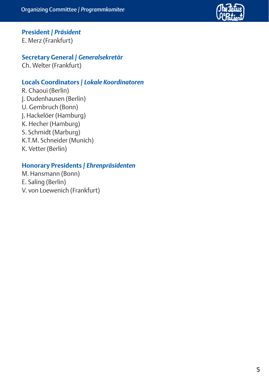

#### **President /** *Präsident* E. Merz (Frankfurt)

#### **Secretary General /** *Generalsekretär* Ch. Welter (Frankfurt)

#### **Locals Coordinators /** *Lokale Koordinatoren*

R. Chaoui (Berlin) J. Dudenhausen (Berlin) U. Gembruch (Bonn) J. Hackelöer (Hamburg) K. Hecher (Hamburg) S. Schmidt (Marburg) K.T.M. Schneider (Munich) K. Vetter (Berlin)

#### **Honorary Presidents /** *Ehrenpräsidenten*

M. Hansmann (Bonn) E. Saling (Berlin) V. von Loewenich (Frankfurt)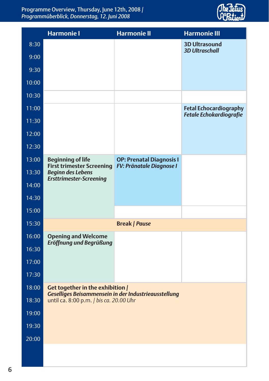

|       | <b>Harmonie I</b>                                                                        | <b>Harmonie II</b>                                                 | <b>Harmonie III</b>                                      |
|-------|------------------------------------------------------------------------------------------|--------------------------------------------------------------------|----------------------------------------------------------|
| 8:30  |                                                                                          |                                                                    | <b>3D Ultrasound</b><br><b>3D Ultraschall</b>            |
| 9:00  |                                                                                          |                                                                    |                                                          |
| 9:30  |                                                                                          |                                                                    |                                                          |
| 10:00 |                                                                                          |                                                                    |                                                          |
| 10:30 |                                                                                          |                                                                    |                                                          |
| 11:00 |                                                                                          |                                                                    | <b>Fetal Echocardiography</b><br>Fetale Echokardiografie |
| 11:30 |                                                                                          |                                                                    |                                                          |
| 12:00 |                                                                                          |                                                                    |                                                          |
| 12:30 |                                                                                          |                                                                    |                                                          |
| 13:00 | <b>Beginning of life</b><br><b>First trimester Screening</b>                             | <b>OP: Prenatal Diagnosis I</b><br><b>FV: Pränatale Diagnose I</b> |                                                          |
| 13:30 | <b>Beginn des Lebens</b><br><b>Ersttrimester-Screening</b>                               |                                                                    |                                                          |
| 14:00 |                                                                                          |                                                                    |                                                          |
| 14:30 |                                                                                          |                                                                    |                                                          |
| 15:00 |                                                                                          |                                                                    |                                                          |
| 15:30 |                                                                                          | <b>Break   Pause</b>                                               |                                                          |
| 16:00 | <b>Opening and Welcome</b><br>Eröffnung und Begrüßung                                    |                                                                    |                                                          |
| 16:30 |                                                                                          |                                                                    |                                                          |
| 17:00 |                                                                                          |                                                                    |                                                          |
| 17:30 |                                                                                          |                                                                    |                                                          |
| 18:00 | Get together in the exhibition /<br>Geselliges Beisammensein in der Industrieausstellung |                                                                    |                                                          |
| 18:30 | until ca. 8:00 p.m. / bis ca. 20.00 Uhr                                                  |                                                                    |                                                          |
| 19:00 |                                                                                          |                                                                    |                                                          |
| 19:30 |                                                                                          |                                                                    |                                                          |
| 20:00 |                                                                                          |                                                                    |                                                          |
|       |                                                                                          |                                                                    |                                                          |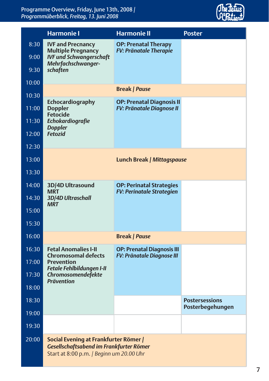

|       | <b>Harmonie I</b>                                                                                                            | <b>Harmonie II</b>                                                   | <b>Poster</b>                             |
|-------|------------------------------------------------------------------------------------------------------------------------------|----------------------------------------------------------------------|-------------------------------------------|
| 8:30  | <b>IVF and Precnancy</b><br><b>Multiple Pregnancy</b>                                                                        | <b>OP: Prenatal Therapy</b><br><b>FV: Pränatale Therapie</b>         |                                           |
| 9:00  | <b>IVF und Schwangerschaft</b><br>Mehrfachschwanger-                                                                         |                                                                      |                                           |
| 9:30  | schaften                                                                                                                     |                                                                      |                                           |
| 10:00 |                                                                                                                              |                                                                      |                                           |
| 10:30 |                                                                                                                              | <b>Break   Pause</b>                                                 |                                           |
| 11:00 | Echocardiography<br><b>Doppler</b><br><b>Fetocide</b>                                                                        | <b>OP: Prenatal Diagnosis II</b><br><b>FV: Pränatale Diagnose II</b> |                                           |
| 11:30 | Echokardiografie                                                                                                             |                                                                      |                                           |
| 12:00 | <b>Doppler</b><br><b>Fetozid</b>                                                                                             |                                                                      |                                           |
| 12:30 |                                                                                                                              |                                                                      |                                           |
| 13:00 |                                                                                                                              | Lunch Break   Mittagspause                                           |                                           |
| 13:30 |                                                                                                                              |                                                                      |                                           |
| 14:00 | 3D/4D Ultrasound<br><b>MRT</b>                                                                                               | <b>OP: Perinatal Strategies</b><br><b>FV: Perinatale Strategien</b>  |                                           |
| 14:30 | <b>3D/4D Ultraschall</b><br><b>MRT</b>                                                                                       |                                                                      |                                           |
| 15:00 |                                                                                                                              |                                                                      |                                           |
| 15:30 |                                                                                                                              |                                                                      |                                           |
| 16:00 |                                                                                                                              | <b>Break   Pause</b>                                                 |                                           |
| 16:30 | <b>Fetal Anomalies I-II</b><br><b>Chromosomal defects</b>                                                                    | <b>OP: Prenatal Diagnosis III</b><br>FV: Pränatale Diagnose III      |                                           |
| 17:00 | <b>Prevention</b>                                                                                                            |                                                                      |                                           |
| 17:30 | <b>Fetale Fehlbildungen I-II</b><br><b>Chromosomendefekte</b><br><b>Prävention</b>                                           |                                                                      |                                           |
| 18:00 |                                                                                                                              |                                                                      |                                           |
| 18:30 |                                                                                                                              |                                                                      | <b>Postersessions</b><br>Posterbegehungen |
| 19:00 |                                                                                                                              |                                                                      |                                           |
| 19:30 |                                                                                                                              |                                                                      |                                           |
| 20:00 | Social Evening at Frankfurter Römer /<br>Gesellschaftsabend im Frankfurter Römer<br>Start at 8:00 p.m. / Beginn um 20.00 Uhr |                                                                      |                                           |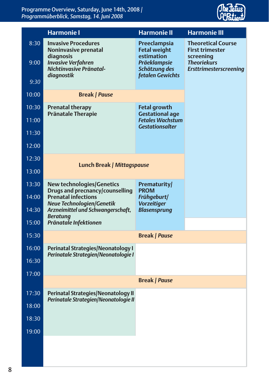

|              | <b>Harmonie I</b>                                                                                                       | Harmonie II                                                                               | <b>Harmonie III</b>                                                                                                     |
|--------------|-------------------------------------------------------------------------------------------------------------------------|-------------------------------------------------------------------------------------------|-------------------------------------------------------------------------------------------------------------------------|
| 8:30<br>9:00 | <b>Invasive Procedures</b><br>Noninvasive prenatal<br>diagnosis<br><b>Invasive Verfahren</b><br>Nichtinvasive Pränatal- | Preeclampsia<br><b>Fetal weight</b><br>estimation<br><b>Präeklampsie</b><br>Schätzung des | <b>Theoretical Course</b><br><b>First trimester</b><br>screening<br><b>Theoriekurs</b><br><b>Ersttrimesterscreening</b> |
| 9:30         | diagnostik                                                                                                              | <b>fetalen Gewichts</b>                                                                   |                                                                                                                         |
| 10:00        | <b>Break   Pause</b>                                                                                                    |                                                                                           |                                                                                                                         |
| 10:30        | <b>Prenatal therapy</b><br><b>Pränatale Therapie</b>                                                                    | <b>Fetal growth</b><br><b>Gestational age</b>                                             |                                                                                                                         |
| 11:00        |                                                                                                                         | <b>Fetales Wachstum</b><br><b>Gestationsalter</b>                                         |                                                                                                                         |
| 11:30        |                                                                                                                         |                                                                                           |                                                                                                                         |
| 12:00        |                                                                                                                         |                                                                                           |                                                                                                                         |
| 12:30        | Lunch Break   Mittagspause                                                                                              |                                                                                           |                                                                                                                         |
| 13:00        |                                                                                                                         |                                                                                           |                                                                                                                         |
| 13:30        | <b>New technologies/Genetics</b><br>Drugs and precnancy/counselling                                                     | Prematurity/<br><b>PROM</b>                                                               |                                                                                                                         |
| 14:00        | <b>Prenatal infections</b><br><b>Neue Technologien/Genetik</b>                                                          | Frühgeburt/<br><b>Vorzeitiger</b>                                                         |                                                                                                                         |
| 14:30        | Arzneimittel und Schwangerschaft,<br><b>Beratung</b>                                                                    | <b>Blasensprung</b>                                                                       |                                                                                                                         |
| 15:00        | Pränatale Infektionen                                                                                                   |                                                                                           |                                                                                                                         |
| 15:30        |                                                                                                                         | <b>Break   Pause</b>                                                                      |                                                                                                                         |
| 16:00        | <b>Perinatal Strategies/Neonatology I</b><br>Perinatale Strategien/Neonatologie I                                       |                                                                                           |                                                                                                                         |
| 16:30        |                                                                                                                         |                                                                                           |                                                                                                                         |
| 17:00        |                                                                                                                         | <b>Break   Pause</b>                                                                      |                                                                                                                         |
| 17:30        | <b>Perinatal Strategies/Neonatology II</b>                                                                              |                                                                                           |                                                                                                                         |
| 18:00        | Perinatale Strategien/Neonatologie II                                                                                   |                                                                                           |                                                                                                                         |
| 18:30        |                                                                                                                         |                                                                                           |                                                                                                                         |
| 19:00        |                                                                                                                         |                                                                                           |                                                                                                                         |
|              |                                                                                                                         |                                                                                           |                                                                                                                         |
|              |                                                                                                                         |                                                                                           |                                                                                                                         |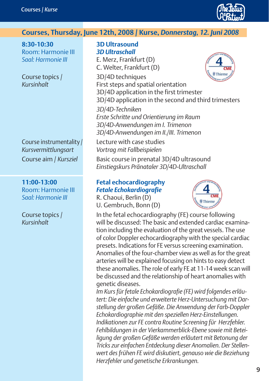

### **Courses, Thursday, June 12th, 2008 / Kurse,** *Donnerstag, 12. Juni 2008*

**8:30-10:30 3D Ultrasound** Room: Harmonie III *3D Ultraschall*

Room: Harmonie III *Fetale Echokardiografie*

*Saal: Harmonie III* E. Merz, Frankfurt (D) C. Welter, Frankfurt (D)

Course topics / 3D/4D techniques *Kursinhalt* First steps and spatial orientation 3D/4D application in the first trimester 3D/4D application in the second and third trimesters

> *3D/4D-Techniken Erste Schritte und Orientierung im Raum 3D/4D-Anwendungen im I. Trimenon 3D/4D-Anwendungen im II./III. Trimenon*

Course instrumentality / Lecture with case studies *Kursvermittlungsart Vortrag mit Fallbeispielen*

Course aim / *Kursziel* Basic course in prenatal 3D/4D ultrasound *Einstiegskurs Pränataler 3D/4D-Ultraschall*

## **11:00-13:00 Fetal echocardiography**<br> **Room: Harmonie III Fetale Echokardioarafie**

*Saal: Harmonie III* R. Chaoui, Berlin (D) U. Gembruch, Bonn (D)



Course topics / In the fetal echocardiography (FE) course following *Kursinhalt* will be discussed: The basic and extended cardiac examination including the evaluation of the great vessels. The use of color Doppler echocardiography with the special cardiac presets. Indications for FE versus screening examination. Anomalies of the four-chamber view as well as for the great arteries will be explained focusing on hints to easy detect these anomalies. The role of early FE at 11-14 week scan will be discussed and the relationship of heart anomalies with genetic diseases.

> *Im Kurs für fetale Echokardiografie (FE) wird folgendes erläutert: Die einfache und erweiterte Herz-Untersuchung mit Darstellung der großen Gefäße. Die Anwendung der Farb-Doppler Echokardiographie mit den speziellen Herz-Einstellungen. Indikationen zur FE contra Routine Screening für Herzfehler. Fehlbildungen in der Vierkammerblick-Ebene sowie mit Beteiligung der großen Gefäße werden erläutert mit Betonung der Tricks zur einfachen Entdeckung dieser Anomalien. Der Stellenwert des frühen FE wird diskutiert, genauso wie die Beziehung Herzfehler und genetische Erkrankungen.*

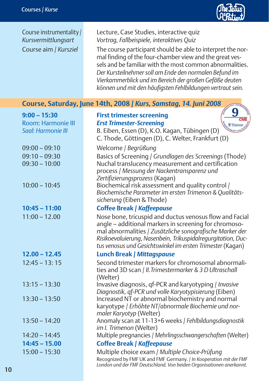Course instrumentality / Lecture, Case Studies, interactive quiz<br>
Kursvermittlungsart Vortrag, Fallbeispiele, interaktives Quiz *Kursvermittlungsart Vortrag, Fallbeispiele, interaktives Quiz*

Course aim / *Kursziel* The course participant should be able to interpret the normal finding of the four-chamber view and the great vessels and be familiar with the most common abnormalities. *Der Kursteilnehmer soll am Ende den normalen Befund im Vierkammerblick und im Bereich der großen Gefäße deuten können und mit den häufigsten Fehlbildungen vertraut sein.*

*London und der FMF Deutschland. Von beiden Organisationen anerkannt.*

**Course, Saturday, June 14th, 2008 /** *Kurs, Samstag, 14. Juni 2008*

| $9:00 - 15:30$<br>Room: Harmonie III<br>Saal: Harmonie III | <b>First trimester screening</b><br><b>Erst Trimester-Screening</b><br>B. Eiben, Essen (D), K.O. Kagan, Tübingen (D)                                                                                                                                                                                       |
|------------------------------------------------------------|------------------------------------------------------------------------------------------------------------------------------------------------------------------------------------------------------------------------------------------------------------------------------------------------------------|
|                                                            | C. Thode, Göttingen (D), C. Welter, Frankfurt (D)                                                                                                                                                                                                                                                          |
| $09:00 - 09:10$                                            | Welcome / Begrüßung                                                                                                                                                                                                                                                                                        |
| $09:10 - 09:30$<br>$09:30 - 10:00$                         | Basics of Screening / Grundlagen des Screenings (Thode)<br>Nuchal translucency measurement and certification<br>process / Messung der Nackentransparenz und<br>Zertifizierungsprozess (Kagan)                                                                                                              |
| $10:00 - 10:45$                                            | Biochemical risk assessment and quality control /<br>Biochemische Parameter im ersten Trimenon & Qualitäts-<br>sicherung (Eiben & Thode)                                                                                                                                                                   |
| $10:45 - 11:00$                                            | <b>Coffee Break / Kaffeepause</b>                                                                                                                                                                                                                                                                          |
| $11:00 - 12.00$                                            | Nose bone, tricuspid and ductus venosus flow and Facial<br>angle - additional markers in screening for chromoso-<br>mal abnormalities / Zusätzliche sonografische Marker der<br>Risikoevaluierung, Nasenbein, Trikuspidalregurgitation, Duc-<br>tus venosus und Gesichtswinkel im ersten Trimester (Kagan) |
| $12.00 - 12.45$                                            | <b>Lunch Break / Mittagspause</b>                                                                                                                                                                                                                                                                          |
| $12:45 - 13:15$                                            | Second trimester markers for chromosomal abnormali-<br>ties and 3D scan / II. Trimestermarker & 3 D Ultraschall<br>(Welter)                                                                                                                                                                                |
| $13:15 - 13:30$                                            | Invasive diagnosis, gf-PCR and karyotyping / Invasive<br>Diagnostik, qf-PCR und volle Karyotypisierung (Eiben)                                                                                                                                                                                             |
| $13:30 - 13:50$                                            | Increased NT or abnormal biochemistry and normal<br>karyotype / Erhöhte NT/abnormale Biochemie und nor-<br>maler Karyotyp (Welter)                                                                                                                                                                         |
| $13:50 - 14:20$                                            | Anomaly scan at 11-13+6 weeks / Fehlbildungsdiagnostik<br>im I. Trimenon (Welter)                                                                                                                                                                                                                          |
| $14:20 - 14:45$                                            | Multiple pregnancies / Mehrlingsschwangerschaften (Welter)                                                                                                                                                                                                                                                 |
| $14:45 - 15.00$                                            | <b>Coffee Break   Kaffeepause</b>                                                                                                                                                                                                                                                                          |
| $15:00 - 15:30$                                            | Multiple choice exam / Multiple Choice-Prüfung<br>Recognized by FMF UK and FMF Germany.   In Kooperation mit der FMF                                                                                                                                                                                       |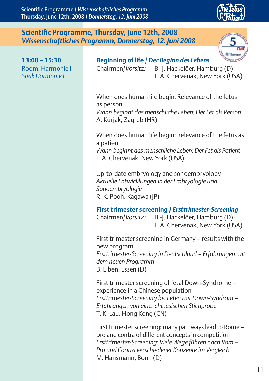Scientific Programme / *Wissenschaftliches Programm* Thursday, June 12th, 2008 / *Donnerstag, 12. Juni 2008*

#### **Scientific Programme, Thursday, June 12th, 2008** *Wissenschaftliches Programm, Donnerstag, 12. Juni 2008*



| $13:00 - 15:30$<br>Room: Harmonie I<br>Saal: Harmonie I | <b>Strate pun gro ( alla)</b><br><b>Beginning of life / Der Beginn des Lebens</b><br>B.-J. Hackelöer, Hamburg (D)<br>Chairmen/Vorsitz:<br>F. A. Chervenak, New York (USA)                                                      |
|---------------------------------------------------------|--------------------------------------------------------------------------------------------------------------------------------------------------------------------------------------------------------------------------------|
|                                                         | When does human life begin: Relevance of the fetus<br>as person<br>Wann beginnt das menschliche Leben: Der Fet als Person<br>A. Kurjak, Zagreb (HR)                                                                            |
|                                                         | When does human life begin: Relevance of the fetus as<br>a patient<br>Wann beginnt das menschliche Leben: Der Fet als Patient<br>F. A. Chervenak, New York (USA)                                                               |
|                                                         | Up-to-date embryology and sonoembryology<br>Aktuelle Entwicklungen in der Embryologie und<br>Sonoembryologie<br>R. K. Pooh, Kagawa (JP)                                                                                        |
|                                                         | <b>First trimester screening / Ersttrimester-Screening</b><br>B.-J. Hackelöer, Hamburg (D)<br>Chairmen/Vorsitz:<br>F. A. Chervenak, New York (USA)                                                                             |
|                                                         | First trimester screening in Germany - results with the<br>new program<br>Ersttrimester-Screening in Deutschland - Erfahrungen mit<br>dem neuen Programm<br>B. Eiben, Essen (D)                                                |
|                                                         | First trimester screening of fetal Down-Syndrome -<br>experience in a Chinese population<br>Ersttrimester-Screening bei Feten mit Down-Syndrom -<br>Erfahrungen von einer chinesischen Stichprobe<br>T. K. Lau, Hong Kong (CN) |
|                                                         | First trimester screening: many pathways lead to Rome -<br>pro and contra of different concepts in competition                                                                                                                 |

pro and contra of different concepts in competition *Ersttrimester-Screening: Viele Wege führen nach Rom – Pro und Contra verschiedener Konzepte im Vergleich* M. Hansmann, Bonn (D)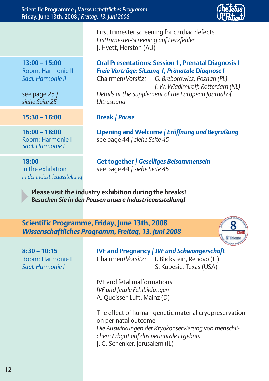Scientific Programme / *Wissenschaftliches Programm* Friday, June 13th, 2008 / *Freitag, 13. Juni 2008*



First trimester screening for cardiac defects *Ersttrimester-Screening auf Herzfehler* J. Hyett, Herston (AU)

*siehe Seite 25 Ultrasound*

**15:30 – 16:00 Break /** *Pause*

*Saal: Harmonie I*

*In der Industrieausstellung*

#### **13:00 – 15:00 Oral Presentations: Session 1, Prenatal Diagnosis I** Room: Harmonie II *Freie Vorträge: Sitzung 1, Pränatale Diagnose I*

*Saal: Harmonie II* Chairmen/*Vorsitz: G. Breborowicz, Poznan (PL) J. W. Wladimiroff, Rotterdam (NL)* see page 25 / *Details at the Supplement of the European Journal of* 

**16:00 – 18:00 Opening and Welcome /** *Eröffnung und Begrüßung* Room: Harmonie I see page 44 / *siehe Seite 45* 

**18:00 Get together /** *Geselliges Beisammensein* In the exhibition see page 44 / *siehe Seite 45*

**Please visit the industry exhibition during the breaks!** *Besuchen Sie in den Pausen unsere Industrieausstellung!*

**Scientific Programme, Friday, June 13th, 2008** *Wissenschaftliches Programm, Freitag, 13. Juni 2008*



**8:30 – 10:15 IVF and Pregnancy /** *IVF und Schwangerschaft*<br>Room: Harmonie I Chairmen/Vorsitz: I. Blickstein, Rehovo (IL) Room: Harmonie I Chairmen/*Vorsitz:* I. Blickstein, Rehovo (IL) **Saal: Harmonie I** S. Kupesic, Texas (USA)

> IVF and fetal malformations *IVF und fetale Fehlbildungen* A. Queisser-Luft, Mainz (D)

The effect of human genetic material cryopreservation on perinatal outcome *Die Auswirkungen der Kryokonservierung von menschlichem Erbgut auf das perinatale Ergebnis* J. G. Schenker, Jerusalem (IL)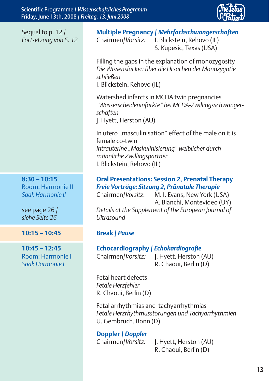

**Multiple Pregnancy /** *Mehrfachschwangerschaften* Chairmen/*Vorsitz:* I. Blickstein, Rehovo (IL) S. Kupesic, Texas (USA) Filling the gaps in the explanation of monozygosity *Die Wissenslücken über die Ursachen der Monozygotie schließen* I. Blickstein, Rehovo (IL) Watershed infarcts in MCDA twin pregnancies *"Wasserscheideninfarkte" bei MCDA-Zwillingsschwangerschaften* J. Hyett, Herston (AU) In utero "masculinisation" effect of the male on it is female co-twin *Intrauterine "Maskulinisierung" weiblicher durch männliche Zwillingspartner* I. Blickstein, Rehovo (IL) **8:30 – 10:15 Oral Presentations: Session 2, Prenatal Therapy** Room: Harmonie II *Freie Vorträge: Sitzung 2, Pränatale Therapie Saal: Harmonie II* Chairmen/*Vorsitz*: M. I. Evans, New York (USA) A. Bianchi, Montevideo (UY) see page 26 / *Details at the Supplement of the European Journal of siehe Seite 26 Ultrasound* **10:15 – 10:45 Break /** *Pause* **10:45 – 12:45 Echocardiography /** *Echokardiografie* Room: Harmonie I Chairmen/*Vorsitz:* J. Hyett, Herston (AU) **Saal: Harmonie I** R. Chaoui, Berlin (D) Fetal heart defects *Fetale Herzfehler* R. Chaoui, Berlin (D) Fetal arrhythmias and tachyarrhythmias Sequal to p. 12 / *Fortsetzung von S. 12*

*Fetale Herzrhythmusstörungen und Tachyarrhythmien* U. Gembruch, Bonn (D)

**Doppler /** *Doppler*

Chairmen/*Vorsitz:* J. Hyett, Herston (AU) R. Chaoui, Berlin (D)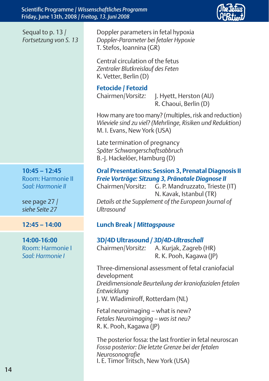Scientific Programme / *Wissenschaftliches Programm* Friday, June 13th, 2008 / *Freitag, 13. Juni 2008*

| Sequal to p. 13 /<br>Fortsetzung von S. 13                |
|-----------------------------------------------------------|
| $10:45 - 12:45$<br>Room: Harmonie II<br>Saal: Harmonie II |
| see page 27 /<br>siehe Seite 27                           |
| $12:45 - 14:00$                                           |
| 14:00-16:00<br>Room: Harmonie I<br>Saal: Harmonie I       |

Doppler parameters in fetal hypoxia *Doppler-Parameter bei fetaler Hypoxie* T. Stefos, Ioannina (GR)

Central circulation of the fetus *Zentraler Blutkreislauf des Feten* K. Vetter, Berlin (D)

#### **Fetocide / Fetozid**

Chairmen/*Vorsitz:* J. Hyett, Herston (AU) R. Chaoui, Berlin (D)

How many are too many? (multiples, risk and reduction) *Wieviele sind zu viel? (Mehrlinge, Risiken und Reduktion)*  M. I. Evans, New York (USA)

Late termination of pregnancy *Später Schwangerschaftsabbruch* B.-J. Hackelöer, Hamburg (D)

#### **10:45 – 12:45 Oral Presentations: Session 3, Prenatal Diagnosis II Freie Vorträge: Sitzung 3, Pränatale Diagnose II**

*Saal: Harmonie II* Chairmen/Vorsitz: G. P. Mandruzzato, Trieste (IT) N. Kavak, Istanbul (TR) Details at the Supplement of the European Journal of *siehe Seite 27 Ultrasound*

#### **12:45 – 14:00 Lunch Break /** *Mittagspause*

#### **14:00-16:00 3D/4D Ultrasound** */ 3D/4D-Ultraschall*

Room: Harmonie I Chairmen/*Vorsitz:* A. Kurjak, Zagreb (HR) *Saal: Harmonie I* R. K. Pooh, Kagawa (JP)

Three-dimensional assessment of fetal craniofacial development *Dreidimensionale Beurteilung der kraniofazialen fetalen Entwicklung* J. W. Wladimiroff, Rotterdam (NL)

Fetal neuroimaging – what is new? *Fetales Neuroimaging – was ist neu?*  R. K. Pooh, Kagawa (JP)

The posterior fossa: the last frontier in fetal neuroscan *Fossa posterior: Die letzte Grenze bei der fetalen Neurosonografie* I. E. Timor Tritsch, New York (USA)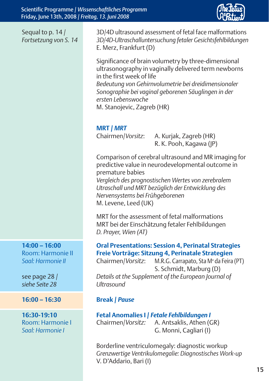

| Sequal to p. 14 /<br>Fortsetzung von S. 14                | 3D/4D ultrasound assessment of fetal face malformations<br>3D/4D-Ultraschalluntersuchung fetaler Gesichtsfehlbildungen<br>E. Merz, Frankfurt (D)                                                                                                                                                             |
|-----------------------------------------------------------|--------------------------------------------------------------------------------------------------------------------------------------------------------------------------------------------------------------------------------------------------------------------------------------------------------------|
|                                                           | Significance of brain volumetry by three-dimensional<br>ultrasonography in vaginally delivered term newborns<br>in the first week of life<br>Bedeutung von Gehirnvolumetrie bei dreidimensionaler<br>Sonographie bei vaginal geborenen Säuglingen in der<br>ersten Lebenswoche<br>M. Stanojevic, Zagreb (HR) |
|                                                           | <b>MRT   MRT</b><br>Chairmen/Vorsitz:<br>A. Kurjak, Zagreb (HR)<br>R. K. Pooh, Kagawa (JP)                                                                                                                                                                                                                   |
|                                                           | Comparison of cerebral ultrasound and MR imaging for<br>predictive value in neurodevelopmental outcome in<br>premature babies<br>Vergleich des prognostischen Wertes von zerebralem<br>Utraschall und MRT bezüglich der Entwicklung des<br>Nervensystems bei Frühgeborenen<br>M. Levene, Leed (UK)           |
|                                                           | MRT for the assessment of fetal malformations<br>MRT bei der Einschätzung fetaler Fehlbildungen<br>D. Prayer, Wien (AT)                                                                                                                                                                                      |
| $14:00 - 16:00$<br>Room: Harmonie II<br>Saal: Harmonie II | <b>Oral Presentations: Session 4, Perinatal Strategies</b><br>Freie Vorträge: Sitzung 4, Perinatale Strategien<br>Chairmen/Vorsitz:<br>M.R.G. Carrapato, Sta M <sup>ª</sup> da Feira (PT)<br>S. Schmidt, Marburg (D)                                                                                         |
| see page 28 /<br>siehe Seite 28                           | Details at the Supplement of the European Journal of<br><b>Ultrasound</b>                                                                                                                                                                                                                                    |
| $16:00 - 16:30$                                           | <b>Break   Pause</b>                                                                                                                                                                                                                                                                                         |
| 16:30-19:10<br>Room: Harmonie I<br>Saal: Harmonie I       | Fetal Anomalies I / Fetale Fehlbildungen I<br>Chairmen/Vorsitz:<br>A. Antsaklis, Athen (GR)<br>G. Monni, Cagliari (I)                                                                                                                                                                                        |

Borderline ventriculomegaly: diagnostic workup *Grenzwertige Ventrikulomegalie: Diagnostisches Work-up* V. D'Addario, Bari (I)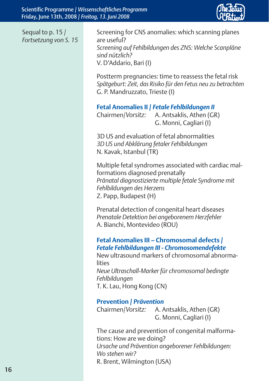

| Sequal to p. 15 /<br>Fortsetzung von S. 15 | Screening for CNS anomalies: which scanning planes<br>are useful?<br>Screening auf Fehlbildungen des ZNS: Welche Scanpläne<br>sind nützlich?<br>V. D'Addario, Bari (I)                                                                                     |
|--------------------------------------------|------------------------------------------------------------------------------------------------------------------------------------------------------------------------------------------------------------------------------------------------------------|
|                                            | Postterm pregnancies: time to reassess the fetal risk<br>Spätgeburt: Zeit, das Risiko für den Fetus neu zu betrachten<br>G. P. Mandruzzato, Trieste (I)                                                                                                    |
|                                            | Fetal Anomalies II   Fetale Fehlbildungen II<br>Chairmen/Vorsitz: A. Antsaklis, Athen (GR)<br>G. Monni, Cagliari (I)                                                                                                                                       |
|                                            | 3D US and evaluation of fetal abnormalities<br>3D US und Abklärung fetaler Fehlbildungen<br>N. Kavak, Istanbul (TR)                                                                                                                                        |
|                                            | Multiple fetal syndromes associated with cardiac mal-<br>formations diagnosed prenatally<br>Pränatal diagnostizierte multiple fetale Syndrome mit<br>Fehlbildungen des Herzens<br>Z. Papp, Budapest (H)                                                    |
|                                            | Prenatal detection of congenital heart diseases<br>Prenatale Detektion bei angeborenem Herzfehler<br>A. Bianchi, Montevideo (ROU)                                                                                                                          |
|                                            | Fetal Anomalies III - Chromosomal defects /<br>Fetale Fehlbildungen III - Chromosomendefekte<br>New ultrasound markers of chromosomal abnorma-<br>lities<br>Neue Ultraschall-Marker für chromosomal bedingte<br>Fehlbildungen<br>T. K. Lau, Hong Kong (CN) |
|                                            | <b>Prevention   Prävention</b><br>A. Antsaklis, Athen (GR)<br>Chairmen/Vorsitz:<br>G. Monni, Cagliari (I)                                                                                                                                                  |
|                                            | The cause and prevention of congenital malforma-<br>tions: How are we doing?<br>Ursache und Prävention angeborener Fehlbildungen:<br>Wo stehen wir?<br>R. Brent, Wilmington (USA)                                                                          |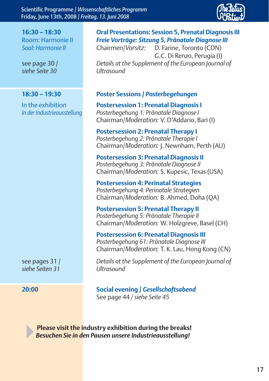Scientific Programme / *Wissenschaftliches Programm* Friday, June 13th, 2008 / *Freitag, 13. Juni 2008*



*siehe Seite 30 Ultrasound*

*siehe Seiten 31 Ultrasound*

**16:30 – 18:30 Oral Presentations: Session 5, Prenatal Diagnosis III** Room: Harmonie II *Freie Vorträge: Sitzung 5, Pränatale Diagnose III*

*Saal: Harmonie II* Chairmen/*Vorsitz:* D. Farine, Toronto (CDN) G.C. Di Renzo, Perugia (I) see page 30 / *Details at the Supplement of the European Journal of* 

#### **18:30 – 19:30 Poster Sessions /** *Posterbegehungen*

In the exhibition **Postersession 1: Prenatal Diagnosis I** *In der Industrieausstellung Posterbegehung 1: Pränatale Diagnose I* Chairman/*Moderation:* V. D'Addario, Bari (I)

> **Postersession 2: Prenatal Therapy I** *Posterbegehung 2: Pränatale Therapie I* Chairman/*Moderation:* J. Newnham, Perth (AU)

**Postersession 3: Prenatal Diagnosis II** *Posterbegehung 3: Pränatale Diagnose II* Chairman/*Moderation:* S. Kupesic, Texas (USA)

**Postersession 4: Perinatal Strategies** *Posterbegehung 4: Perinatale Strategien* Chairman/*Moderation:* B. Ahmed, Doha (QA)

**Postersession 5: Prenatal Therapy II** *Posterbegehung 5: Pränatale Therapie II* Chairman/*Moderation:* W. Holzgreve, Basel (CH)

**Postersession 6: Prenatal Diagnosis III** *Posterbegehung 61: Pränatale Diagnose III* Chairman/*Moderation:* T. K. Lau, Hong Kong (CN)

see pages 31 / *Details at the Supplement of the European Journal of* 

**20:00 Social evening /** *Gesellschaftsabend* See page 44 */ siehe Seite 45*



**Please visit the industry exhibition during the breaks!** *Besuchen Sie in den Pausen unsere Industrieausstellung!*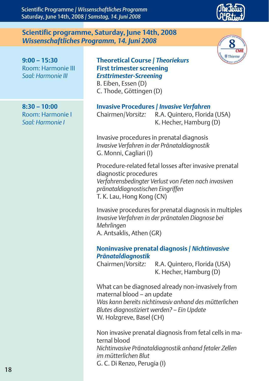Scientific Programme / *Wissenschaftliches Programm* Saturday, June 14th, 2008 / *Samstag, 14. Juni 2008*

#### **Scientific programme, Saturday, June 14th, 2008** *Wissenschaftliches Programm, 14. Juni 2008*

#### **9:00 – 15:30 Theoretical Course /** *Theoriekurs* Room: Harmonie III **First trimester screening**  *Saal: Harmonie III Ersttrimester-Screening*

B. Eiben, Essen (D) C. Thode, Göttingen (D)

#### **8:30 – 10:00 Invasive Procedures /** *Invasive Verfahren*

Room: Harmonie I Chairmen/*Vorsitz:* R.A. Quintero, Florida (USA) **Saal: Harmonie I** Manual Computer Computer Computer K. Hecher, Hamburg (D)

> Invasive procedures in prenatal diagnosis *Invasive Verfahren in der Pränataldiagnostik* G. Monni, Cagliari (I)

Procedure-related fetal losses after invasive prenatal diagnostic procedures *Verfahrensbedingter Verlust von Feten nach invasiven pränataldiagnostischen Eingriffen* T. K. Lau, Hong Kong (CN)

Invasive procedures for prenatal diagnosis in multiples *Invasive Verfahren in der pränatalen Diagnose bei Mehrlingen*  A. Antsaklis, Athen (GR)

#### **Noninvasive prenatal diagnosis /** *Nichtinvasive Pränataldiagnostik*

Chairmen/*Vorsitz:* R.A. Quintero, Florida (USA) K. Hecher, Hamburg (D)

What can be diagnosed already non-invasively from maternal blood – an update *Was kann bereits nichtinvasiv anhand des mütterlichen Blutes diagnostiziert werden? – Ein Update* W. Holzgreve, Basel (CH)

Non invasive prenatal diagnosis from fetal cells in maternal blood *Nichtinvasive Pränataldiagnostik anhand fetaler Zellen im mütterlichen Blut* G. C. Di Renzo, Perugia (I)



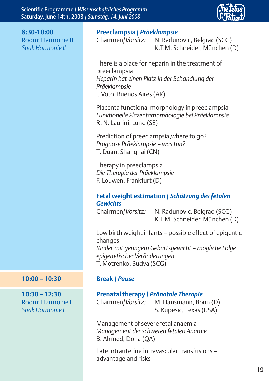

#### **8:30-10:00 Preeclampsia /** *Präeklampsie*

Room: Harmonie II Chairmen/*Vorsitz:* N. Radunovic, Belgrad (SCG) *Saal: Harmonie II* K.T.M. Schneider, München (D)

> There is a place for heparin in the treatment of preeclampsia *Heparin hat einen Platz in der Behandlung der Präeklampsie* l. Voto, Buenos Aires (AR)

Placenta functional morphology in preeclampsia *Funktionelle Plazentamorphologie bei Präeklampsie* R. N. Laurini, Lund (SE)

Prediction of preeclampsia,where to go? *Prognose Präeklampsie – was tun?* T. Duan, Shanghai (CN)

Therapy in preeclampsia *Die Therapie der Präeklampsie* F. Louwen, Frankfurt (D)

#### **Fetal weight estimation /** *Schätzung des fetalen Gewichts*

Chairmen/*Vorsitz:* N. Radunovic, Belgrad (SCG) K.T.M. Schneider, München (D)

Low birth weight infants – possible effect of epigentic changes *Kinder mit geringem Geburtsgewicht – mögliche Folge epigenetischer Veränderungen* T. Motrenko, Budva (SCG)

## **10:30 – 12:30 Prenatal therapy /** *Pränatale Therapie*

Room: Harmonie I Chairmen/*Vorsitz:* M. Hansmann, Bonn (D) **Saal: Harmonie I** S. Kupesic, Texas (USA)

> Management of severe fetal anaemia *Management der schweren fetalen Anämie* B. Ahmed, Doha (QA)

Late intrauterine intravascular transfusions – advantage and risks

#### **10:00 – 10:30 Break /** *Pause*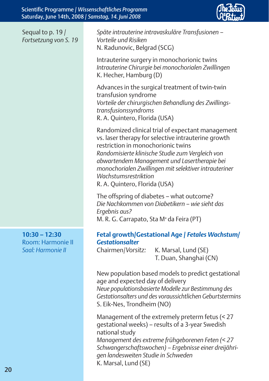

| Sequal to p. 19 /     |  |
|-----------------------|--|
| Fortsetzung von S. 19 |  |

Room: Harmonie II *Gestationsalter*

*Späte intrauterine intravaskuläre Transfusionen – Vorteile und Risiken* N. Radunovic, Belgrad (SCG)

Intrauterine surgery in monochorionic twins *Intrauterine Chirurgie bei monochorialen Zwillingen* K. Hecher, Hamburg (D)

Advances in the surgical treatment of twin-twin transfusion syndrome *Vorteile der chirurgischen Behandlung des Zwillingstransfusionssyndroms* R. A. Quintero, Florida (USA)

Randomized clinical trial of expectant management vs. laser therapy for selective intrauterine growth restriction in monochorionic twins *Randomisierte klinische Studie zum Vergleich von abwartendem Management und Lasertherapie bei monochorialen Zwillingen mit selektiver intrauteriner Wachstumsrestriktion* R. A. Quintero, Florida (USA)

The offspring of diabetes – what outcome? *Die Nachkommen von Diabetikern – wie sieht das Ergebnis aus?* M. R. G. Carrapato, Sta M<sup>ª</sup> da Feira (PT)

## **10:30 – 12:30 Fetal growth/Gestational Age /** *Fetales Wachstum/*

*Saal: Harmonie II* Chairmen/*Vorsitz:* K. Marsal, Lund (SE) T. Duan, Shanghai (CN)

> New population based models to predict gestational age and expected day of delivery *Neue populationsbasierte Modelle zur Bestimmung des Gestationsalters und des voraussichtlichen Geburtstermins* S. Eik-Nes, Trondheim (NO)

Management of the extremely preterm fetus (< 27 gestational weeks) – results of a 3-year Swedish national study *Management des extreme frühgeborenen Feten (< 27 Schwangerschaftswochen) – Ergebnisse einer dreijährigen landesweiten Studie in Schweden* K. Marsal, Lund (SE)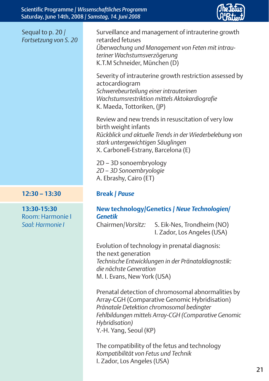Scientific Programme / *Wissenschaftliches Programm* Saturday, June 14th, 2008 / *Samstag, 14. Juni 2008*



| Sequal to p. 20 /<br>Fortsetzung von S. 20          | Surveilla<br>retarde<br><b>Überwa</b><br>teriner V<br>K.T.M S |
|-----------------------------------------------------|---------------------------------------------------------------|
|                                                     | Severity<br>actocar<br>Schwere<br>Wachstu<br>K. Maec          |
|                                                     | Review<br>birth we<br>Rückblic<br>stark un<br>X. Carbo        |
|                                                     | $2D - 3D$<br>$2D - 3D$<br>A. Ebras                            |
| $12:30 - 13:30$                                     | <b>Break</b> /                                                |
| 13:30-15:30<br>Room: Harmonie I<br>Saal: Harmonie I | New te<br><b>Genetik</b><br>Chairm                            |
|                                                     | Evolutic<br>the nex<br>Technisc<br>die näch<br>M. I. Eva      |
|                                                     | Prenata<br>Array-C                                            |

#### veillance and management of intrauterine growth rded fetuses *Überwachung und Management von Feten mit intrauteriner Wachstumsverzögerung* M Schneider, München (D)

erity of intrauterine growth restriction assessed by ocardiogram *Schwerebeurteilung einer intrauterinen Wachstumsrestriktion mittels Aktokardiografie* Aaeda, Tottoriken, (JP)

iew and new trends in resuscitation of very low h weight infants *Rückblick und aktuelle Trends in der Wiederbelebung von stark untergewichtigen Säuglingen* arbonell-Estrany, Barcelona (E)

2D – 3D sonoembryology *2D – 3D Sonoembryologie* brashy, Cairo (ET)

### **12:30 – 13:30 Break /** *Pause*

# **13:30-15:30 New technology/Genetics /** *Neue Technologien/*

*Saal: Harmonie I* Chairmen/*Vorsitz:* S. Eik-Nes, Trondheim (NO) I. Zador, Los Angeles (USA)

ution of technology in prenatal diagnosis: next generation *Technische Entwicklungen in der Pränataldiagnostik: die nächste Generation* . Evans, New York (USA)

natal detection of chromosomal abnormalities by ay-CGH (Comparative Genomic Hybridisation) *Pränatale Detektion chromosomal bedingter Fehlbildungen mittels Array-CGH (Comparative Genomic Hybridisation)* Y.-H. Yang, Seoul (KP)

The compatibility of the fetus and technology *Kompatibilität von Fetus und Technik* I. Zador, Los Angeles (USA)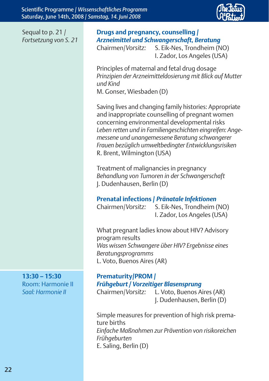

Sequal to p. 21 / *Fortsetzung von S. 21*

### **Drugs and pregnancy, counselling /**  *Arzneimittel und Schwangerschaft, Beratung*

S. Eik-Nes. Trondheim (NO) I. Zador, Los Angeles (USA)

Principles of maternal and fetal drug dosage *Prinzipien der Arzneimitteldosierung mit Blick auf Mutter und Kind* M. Gonser, Wiesbaden (D)

Saving lives and changing family histories: Appropriate and inappropriate counselling of pregnant women concerning environmental developmental risks *Leben retten und in Familiengeschichten eingreifen: Angemessene und unangemessene Beratung schwangerer Frauen bezüglich umweltbedingter Entwicklungsrisiken* R. Brent, Wilmington (USA)

Treatment of malignancies in pregnancy *Behandlung von Tumoren in der Schwangerschaft* J. Dudenhausen, Berlin (D)

#### **Prenatal infections /** *Pränatale Infektionen*

Chairmen/*Vorsitz:* S. Eik-Nes, Trondheim (NO) I. Zador, Los Angeles (USA)

What pregnant ladies know about HIV? Advisory program results *Was wissen Schwangere über HIV? Ergebnisse eines Beratungsprogramms* L. Voto, Buenos Aires (AR)

### **13:30 – 15:30 Prematurity/PROM /**  Room: Harmonie II *Frühgeburt / Vorzeitiger Blasensprung*

*Saal: Harmonie II* Chairmen/*Vorsitz:* L. Voto, Buenos Aires (AR) J. Dudenhausen, Berlin (D)

> Simple measures for prevention of high risk premature births *Einfache Maßnahmen zur Prävention von risikoreichen Frühgeburten* E. Saling, Berlin (D)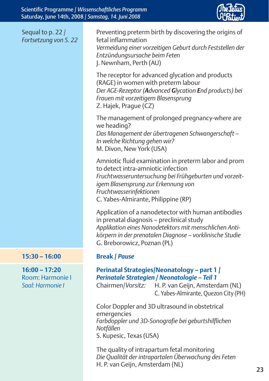

| Sequal to p. 22 /<br>Fortsetzung von S. 22              | Preventing preterm birth by discovering the origins of<br>fetal inflammation<br>Vermeidung einer vorzeitigen Geburt durch Feststellen der<br>Entzündungsursache beim Feten<br>J. Newnham, Perth (AU)                                                          |
|---------------------------------------------------------|---------------------------------------------------------------------------------------------------------------------------------------------------------------------------------------------------------------------------------------------------------------|
|                                                         | The receptor for advanced glycation and products<br>(RAGE) in women with preterm labour<br>Der AGE-Rezeptor (Advanced Glycation End products) bei<br>Frauen mit vorzeitigem Blasensprung<br>Z. Hajek, Prague (CZ)                                             |
|                                                         | The management of prolonged pregnancy-where are<br>we heading?<br>Das Management der übertragenen Schwangerschaft -<br>In welche Richtung gehen wir?<br>M. Divon, New York (USA)                                                                              |
|                                                         | Amniotic fluid examination in preterm labor and prom<br>to detect intra-amniotic infection<br>Fruchtwasseruntersuchung bei Frühgeburten und vorzeit-<br>igem Blasensprung zur Erkennung von<br>Fruchtwasserinfektionen<br>C. Yabes-Almirante, Philippine (RP) |
|                                                         | Application of a nanodetector with human antibodies<br>in prenatal diagnosis - preclinical study<br>Applikation eines Nanodetektors mit menschlichen Anti-<br>körpern in der prenatalen Diagnose - vorklinische Studie<br>G. Breborowicz, Poznan (PL)         |
| $15:30 - 16:00$                                         | <b>Break   Pause</b>                                                                                                                                                                                                                                          |
| $16:00 - 17:20$<br>Room: Harmonie I<br>Saal: Harmonie I | Perinatal Strategies/Neonatology - part 1 /<br>Perinatale Strategien / Neonatologie - Teil 1<br>Chairmen/Vorsitz:<br>H. P. van Geijn, Amsterdam (NL)<br>C. Yabes-Almirante, Quezon City (PH)                                                                  |
|                                                         | Color Doppler and 3D ultrasound in obstetrical<br>emergencies<br>Farbdoppler und 3D-Sonografie bei geburtshilflichen<br>Notfällen<br>S. Kupesic, Texas (USA)                                                                                                  |

The quality of intrapartum fetal monitoring *Die Qualität der intrapartalen Überwachung des Feten* H. P. van Geijn, Amsterdam (NL)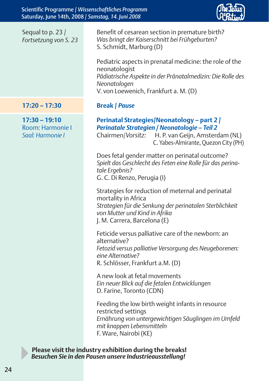Scientific Programme / *Wissenschaftliches Programm* Saturday, June 14th, 2008 / *Samstag, 14. Juni 2008*

Sequal to p. 23 / *Fortsetzung von S. 23*

Benefit of cesarean section in premature birth? *Was bringt der Kaiserschnitt bei Frühgeburten?* S. Schmidt, Marburg (D)

Pediatric aspects in prenatal medicine: the role of the neonatologist *Pädiatrische Aspekte in der Pränatalmedizin: Die Rolle des Neonatologen* V. von Loewenich, Frankfurt a. M. (D)

#### **17:20 – 17:30 Break /** *Pause*

#### **17:30 – 19:10 Perinatal Strategies/Neonatology – part 2 /**  Room: Harmonie I *Perinatale Strategien / Neonatologie – Teil 2*

*Saal: Harmonie I* Chairmen/*Vorsitz:* H. P. van Geijn, Amsterdam (NL) C. Yabes-Almirante, Quezon City (PH)

> Does fetal gender matter on perinatal outcome? *Spielt das Geschlecht des Feten eine Rolle für das perinatale Ergebnis?* G. C. Di Renzo, Perugia (I)

Strategies for reduction of meternal and perinatal mortality in Africa *Strategien für die Senkung der perinatalen Sterblichkeit von Mutter und Kind in Afrika* J. M. Carrera, Barcelona (E)

Feticide versus palliative care of the newborn: an alternative? *Fetozid versus palliative Versorgung des Neugeborenen: eine Alternative?* R. Schlösser, Frankfurt a.M. (D)

A new look at fetal movements *Ein neuer Blick auf die fetalen Entwicklungen* D. Farine, Toronto (CDN)

Feeding the low birth weight infants in resource restricted settings *Ernährung von untergewichtigen Säuglingen im Umfeld mit knappen Lebensmitteln* F. Ware, Nairobi (KE)

**Please visit the industry exhibition during the breaks!** *Besuchen Sie in den Pausen unsere Industrieausstellung!*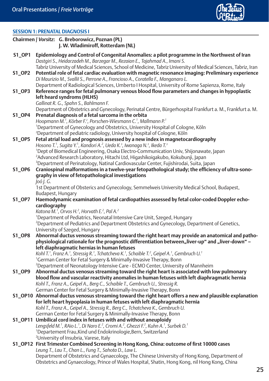

#### **SESSION 1: PRENATAL DIAGNOSIS I**

| Chairmen / Vorsitz: G. Breborowicz, Poznan (PL)<br>J. W. Wladimiroff, Rotterdam (NL) |                                                                                                                                                                                                         |  |  |
|--------------------------------------------------------------------------------------|---------------------------------------------------------------------------------------------------------------------------------------------------------------------------------------------------------|--|--|
| S1_OP1                                                                               | Epidemiology and Control of Congenital Anomalies: a pilot programme in the Northwest of Iran                                                                                                            |  |  |
|                                                                                      | Dastgiri S., Heidarzadeh M., Barzegar M., Rezaian E., Tajahmad A., Imani S.                                                                                                                             |  |  |
|                                                                                      | Tabriz University of Medical Sciences, School of Medicine, Tabriz University of Medical Sciences, Tabriz, Iran                                                                                          |  |  |
| <b>S1_OP2</b>                                                                        | Potential role of fetal cardiac evaluation with magnetic resonance imaging: Preliminary experience                                                                                                      |  |  |
|                                                                                      | Di Maurizio M., Svallil S., Perrone A., Francioso A., Coratella F., Manganaro L.                                                                                                                        |  |  |
|                                                                                      | Department of Radiological Sciences, Umberto I Hospital, University of Rome Sapienza, Rome, Italy                                                                                                       |  |  |
| S1_OP3                                                                               | Reference ranges for fetal pulmonary venous blood flow parameters and changes in hypoplastic                                                                                                            |  |  |
|                                                                                      | left heard syndroms (HLHS)<br>Gallinat R. G., Spahn S., Bahlmann F.                                                                                                                                     |  |  |
|                                                                                      | Department of Obstetrics and Gynecology, Perinatal Centre, Bürgerhospital Frankfurt a. M., Frankfurt a. M.                                                                                              |  |  |
| S1_OP4                                                                               | Prenatal diagnosis of a fetal sarcoma in the orbita                                                                                                                                                     |  |  |
|                                                                                      | Hoopmann M. <sup>1</sup> , Körber F. <sup>2</sup> , Porschen-Wiesmann C. <sup>1</sup> , Mallmann P. <sup>1</sup>                                                                                        |  |  |
|                                                                                      | <sup>1</sup> Department of Gynecology and Obstetrics, University Hospital of Cologne, Köln                                                                                                              |  |  |
|                                                                                      | <sup>2</sup> Department of pediatric radiology, University hospital of Cologne, Köln                                                                                                                    |  |  |
| <b>S1_OP5</b>                                                                        | Fetal atrial load and prognosis assessed by a new index in magnetocardiography                                                                                                                          |  |  |
|                                                                                      | Hosono T. <sup>1</sup> , Sugita Y. <sup>1</sup> , Kandori A. <sup>2</sup> , Ueda K. <sup>3</sup> , Iwanaga N. <sup>3</sup> , Ikeda T. <sup>3</sup>                                                      |  |  |
|                                                                                      | <sup>1</sup> Dept of Biomedical Engineering, Osaka Electro-Communication Univ, Shijonawate, Japan                                                                                                       |  |  |
|                                                                                      | <sup>2</sup> Advanced Research Laboratory, Hitachi Ltd, Higashikoigakubo, Kokubunji, Japan                                                                                                              |  |  |
| S1_OP6                                                                               | <sup>3</sup> Department of Perinatology, Natinal Cardiovascular Center, Fujishirodai, Suita, Japan<br>Craniospinal malformations in a twelve-year fetopathological study; the efficiency of ultra-sono- |  |  |
|                                                                                      | graphy in view of fetopathological investigations                                                                                                                                                       |  |  |
|                                                                                      | Joó J. G.                                                                                                                                                                                               |  |  |
|                                                                                      | 1st Department of Obsterics and Gynecology, Semmelweis University Medical School, Budapest,                                                                                                             |  |  |
|                                                                                      | Budapest, Hungary                                                                                                                                                                                       |  |  |
| S1_OP7                                                                               | Haemodynamic examination of fetal cardiopathies assessed by fetal color-coded Doppler echo-                                                                                                             |  |  |
|                                                                                      | cardiography                                                                                                                                                                                            |  |  |
|                                                                                      | Katona M. <sup>1</sup> , Orvos H. <sup>2</sup> , Horvath E. <sup>2</sup> , Pal A. <sup>2</sup>                                                                                                          |  |  |
|                                                                                      | <sup>1</sup> Department of Pediatrics, Neonatal Intensive Care Unit, Szeged, Hungary                                                                                                                    |  |  |
|                                                                                      | <sup>2</sup> Department of Pediatrics and Department Obstetrics and Gynecology, Department of Genetics,<br>University of Szeged, Hungary                                                                |  |  |
| <b>S1_OP8</b>                                                                        | Abnormal ductus venosus streaming toward the right heart may provide an anatomical and patho-                                                                                                           |  |  |
|                                                                                      | physiological rationale for the prognostic differentiation between"liver-up" and "liver-down" -                                                                                                         |  |  |
|                                                                                      | left diaphragmatic hernias in human fetuses                                                                                                                                                             |  |  |
|                                                                                      | Kohl T. <sup>1</sup> , Franz A. <sup>1</sup> , Stressig R. <sup>1</sup> , Tchatcheva K. <sup>1</sup> , Schaible T. <sup>2</sup> , Geipel A. <sup>1</sup> , Gembruch U. <sup>1</sup>                     |  |  |
|                                                                                      | <sup>1</sup> German Center for Fetal Surgery & Minimally-Invasive Therapy, Bonn                                                                                                                         |  |  |
|                                                                                      | <sup>2</sup> Department of Neonatology Intensive Care - ECMO Center, University of Mannheim                                                                                                             |  |  |
| <b>S1_OP9</b>                                                                        | Abnormal ductus venosus streaming toward the right heart is associated with low pulmonary                                                                                                               |  |  |
|                                                                                      | blood flow and vascular reactivity anomalies in human fetuses with left diaphragmatic hernia<br>Kohl T., Franz A., Geipel A., Berg C., Schaible T., Gembruch U., Stressig R.                            |  |  |
|                                                                                      | German Center for Fetal Surgery & Minimally-Invasive Therapy, Bonn                                                                                                                                      |  |  |
|                                                                                      | S1_OP10 Abnormal ductus venosus streaming toward the right heart offers a new and plausible explanation                                                                                                 |  |  |
|                                                                                      | for left heart hypoplasia in human fetuses with left diaphragmatic hernia                                                                                                                               |  |  |
|                                                                                      | Kohl T., Franz A., Geipel A., Stressig R., Berg C., Tchatcheva K., Gembruch U.                                                                                                                          |  |  |
|                                                                                      | German Center for Fetal Surgery & Minimally-Invasive Therapy, Bonn                                                                                                                                      |  |  |
|                                                                                      | S1_OP11 Umbilical cord index in fetuses with and without aneuploidy                                                                                                                                     |  |  |
|                                                                                      | Lengsfeld M. <sup>1</sup> , RAio L. <sup>1</sup> , Di Naro E. <sup>2</sup> , Cromi A. <sup>2</sup> , Ghezzi F. <sup>2</sup> , Kuhn A. <sup>1</sup> , Surbek D. <sup>1</sup>                             |  |  |
|                                                                                      | <sup>1</sup> Departement Frau, Kind und Endokrinologie, Bern, Switzerland                                                                                                                               |  |  |
|                                                                                      | <sup>2</sup> University of Insubria, Varese, Italy<br>S1_OP12 First Trimester Combined Screening in Hong Kong, China: outcome of first 10000 cases                                                      |  |  |
|                                                                                      | Leung T., Lau T., Chan L., Fung T., Sahota D., Law L.                                                                                                                                                   |  |  |
|                                                                                      | Department of Obstetrics and Gynaecology, The Chinese University of Hong Kong, Department of                                                                                                            |  |  |
|                                                                                      | Obstetrics and Gynaecology, Prince of Wales Hospital, Shatin, Hong Kong, nil Hong Kong, China                                                                                                           |  |  |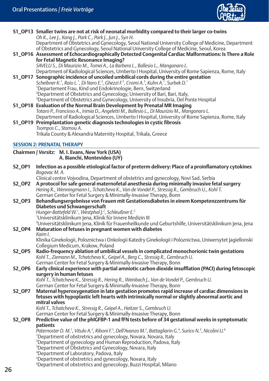

|                                                                        | S1_OP13 Smaller twins are not at risk of neonatal morbidity compared to their larger co-twins                                                                                                     |  |  |  |  |
|------------------------------------------------------------------------|---------------------------------------------------------------------------------------------------------------------------------------------------------------------------------------------------|--|--|--|--|
|                                                                        | Oh K., Lee J., Kang J., Park C., Park J., Jun J., Syn H.                                                                                                                                          |  |  |  |  |
|                                                                        | Department of Obstetrics and Gynecology, Seoul National University College of Medicine, Department                                                                                                |  |  |  |  |
|                                                                        | of Obstetrics and Gynecology, Seoul National University College of Medicine, Seoul, Korea                                                                                                         |  |  |  |  |
|                                                                        | S1_OP16 Assessment of Echocardiographically Detected Congenital Cardiac Malformations: Is There a Role                                                                                            |  |  |  |  |
|                                                                        | for Fetal Magnetic Resonance Imaging?<br>SAVELLI S., Di Maurizio M., Tomei A., La Barbera L., Ballesio L., Manganaro L.                                                                           |  |  |  |  |
|                                                                        | Department of Radiological Sciences, Umberto I Hospital, University of Rome Sapienza, Rome, Italy                                                                                                 |  |  |  |  |
|                                                                        | S1_OP17 Sonographic incidence of uncoiled umbilical cords during the entire gestation                                                                                                             |  |  |  |  |
|                                                                        | Scheibner K. <sup>1</sup> , Raio L. <sup>1</sup> , Di Naro E. <sup>2</sup> , Ghezzi F. <sup>3</sup> , Cromi A. <sup>3</sup> , Kuhn A. <sup>7</sup> , Surbek D. <sup>1</sup>                       |  |  |  |  |
|                                                                        | <sup>1</sup> Departement Frau, Kind und Endokrinologie, Bern, Switzerland                                                                                                                         |  |  |  |  |
|                                                                        | <sup>2</sup> Department of Obstetrics and Gynecology, University of Bari, Bari, Italy,                                                                                                            |  |  |  |  |
|                                                                        | <sup>3</sup> Department of Obstetrics and Gynecology, University of Insubria, Del Ponte Hospital                                                                                                  |  |  |  |  |
|                                                                        | S1_OP18 Evaluation of the Normal Brain Development by Prenatal MR Imaging                                                                                                                         |  |  |  |  |
|                                                                        | Totaro P., Francioso A., Irimia D., Angeletti M., Ballesio L., Di Maurizio M., Manganaro L.                                                                                                       |  |  |  |  |
|                                                                        | Department of Radiological Sciences, Umberto I Hospital, University of Rome Sapienza, Rome, Italy                                                                                                 |  |  |  |  |
|                                                                        | S1_OP19 Preimplantation genetic diagnosis technologies in cystic fibrosis                                                                                                                         |  |  |  |  |
|                                                                        | Tsompos C., Stamou A.                                                                                                                                                                             |  |  |  |  |
|                                                                        | Trikala County & Alexandra Maternity Hospital, Trikala, Greece                                                                                                                                    |  |  |  |  |
|                                                                        | <b>SESSION 2: PRENATAL THERAPY</b>                                                                                                                                                                |  |  |  |  |
|                                                                        |                                                                                                                                                                                                   |  |  |  |  |
|                                                                        | Chairmen / Vorsitz: M. I. Evans, New York (USA)<br>A. Bianchi, Montevideo (UY)                                                                                                                    |  |  |  |  |
|                                                                        |                                                                                                                                                                                                   |  |  |  |  |
| <b>S2_OP1</b>                                                          | Infection as a possible etiological factor of preterm delivery: Place of a proinflamatory cytokines                                                                                               |  |  |  |  |
|                                                                        | Boaavac M.A.                                                                                                                                                                                      |  |  |  |  |
| <b>S2_OP2</b>                                                          | Clinical centre Vojvodina, Department of obstetrics and gynecology, Novi Sad, Serbia<br>A protocol for safe general maternofetal anesthesia during minimally invasive fetal surgery               |  |  |  |  |
|                                                                        | Hering R., Wenningmann I., Tchatcheva K., Van de Vondel P., Stressig R., Gembruch U., Kohl T.                                                                                                     |  |  |  |  |
|                                                                        | German Center for Fetal Surgery & Minimally-Invasive Therapy, Bonn                                                                                                                                |  |  |  |  |
| S2_OP3                                                                 | Behandlungsergebnisse von Frauen mit Gestationsdiabetes in einem Kompetenzzentrums für                                                                                                            |  |  |  |  |
|                                                                        | Diabetes und Schwangerschaft                                                                                                                                                                      |  |  |  |  |
|                                                                        | Hunger-Battefeld W. <sup>1</sup> , Westphal J. <sup>2</sup> , Schleußner E. <sup>2</sup>                                                                                                          |  |  |  |  |
|                                                                        | <sup>1</sup> Universitätsklinikum Jena, Klinik für Innere Medizin III                                                                                                                             |  |  |  |  |
|                                                                        | <sup>2</sup> Universitätsklinikum lena, Klinik für Frauenheilkunde und Geburtshilfe, Universitätsklinikum Jena, Jena                                                                              |  |  |  |  |
| Maturation of fetuses in pregnant women with diabetes<br><b>S2_OP4</b> |                                                                                                                                                                                                   |  |  |  |  |
| Kaim I.                                                                |                                                                                                                                                                                                   |  |  |  |  |
|                                                                        | Klinika Ginekologii, Poloznictwa i Onkologii Katedry Ginekologii i Poloznictwa, Uniwersytet Jagiellonski                                                                                          |  |  |  |  |
|                                                                        | Collegium Medicum, Krakow, Poland<br>Radio-frequency ablation of umbilical vessels in complicated monochorionic twin gestations                                                                   |  |  |  |  |
| <b>S2_OP5</b>                                                          | Kohl T., Ziemann M., Tchatcheva K., Geipel A., Berg C., Stressig R., Gembruch U.                                                                                                                  |  |  |  |  |
|                                                                        | German Center for Fetal Surgery & Minimally-Invasive Therapy, Bonn                                                                                                                                |  |  |  |  |
| <b>S2_OP6</b>                                                          | Early clinical experience with partial amniotic carbon dioxide insufflation (PACI) during fetoscopic                                                                                              |  |  |  |  |
|                                                                        | surgery in human fetuses                                                                                                                                                                          |  |  |  |  |
|                                                                        | Kohl T., Tchatcheva K., Stressig R., Hering R., Weinbach J., Van de Vondel P., Gembruch U.                                                                                                        |  |  |  |  |
|                                                                        | German Center for Fetal Surgery & Minimally-Invasive Therapy, Bonn                                                                                                                                |  |  |  |  |
| <b>S2_OP7</b>                                                          | Maternal hyperoxygenation in late gestation promotes rapid increase of cardiac dimensions in                                                                                                      |  |  |  |  |
|                                                                        | fetuses with hypoplastic left hearts with intrinsically normal or slightly abnormal aortic and                                                                                                    |  |  |  |  |
|                                                                        | mitral valves                                                                                                                                                                                     |  |  |  |  |
|                                                                        | Kohl T., Tchatcheva K., Stressig R., Geipel A., Heitzer S., Gembruch U.<br>German Center for Fetal Surgery & Minimally-Invasive Therapy, Bonn                                                     |  |  |  |  |
| <b>S2_OP8</b>                                                          | Predictive value of the phIGFBP-1 and fFN tests before of 34 gestational weeks in symptomatic                                                                                                     |  |  |  |  |
|                                                                        | patients                                                                                                                                                                                          |  |  |  |  |
|                                                                        | Paternoster D. M. <sup>1</sup> , Vitulo A. <sup>2</sup> , Riboni F. <sup>3</sup> , Dell'Avanzo M. <sup>2</sup> , Battagliarin G. <sup>4</sup> , Surico N. <sup>5</sup> , Nicolini U. <sup>6</sup> |  |  |  |  |
|                                                                        | <sup>1</sup> Department of obstretrics and gynecology, Novara, Novara, Italy                                                                                                                      |  |  |  |  |
|                                                                        | <sup>2</sup> Department of gynecology and Human Reproduction, Padova, Italy                                                                                                                       |  |  |  |  |
|                                                                        | <sup>3</sup> Department of Obstetrics and Gynecology, Novara, Italy                                                                                                                               |  |  |  |  |
|                                                                        | <sup>4</sup> Department of Laboratory, Padova, Italy                                                                                                                                              |  |  |  |  |
|                                                                        | <sup>5</sup> Department of obstretrics and gynecology, Novara, Italy                                                                                                                              |  |  |  |  |
|                                                                        | <sup>6</sup> Department of obstretrics and gynecology, Buzzi Hospital, Milano                                                                                                                     |  |  |  |  |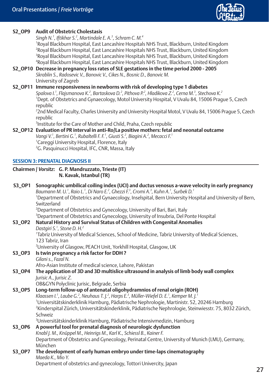

| S2_OP9        | <b>Audit of Obstetric Cholestasis</b><br>Singh N. <sup>1</sup> , Iftikhar S. <sup>2</sup> , Martindale E. A. <sup>3</sup> , Schram C. M. <sup>4</sup><br><sup>1</sup> Royal Blackburn Hospital, East Lancashire Hospitals NHS Trust, Blackburn, United Kingdom<br><sup>2</sup> Royal Blackburn Hospital, East Lancashire Hospitals NHS Trust, Blackburn, United Kingdom<br><sup>3</sup> Royal Blackburn Hospital, East Lancashire Hospitals NHS Trust, Blackburn, United Kingdom<br><sup>4</sup> Royal Blackburn Hospital, East Lancashire Hospitals NHS Trust, Blackburn, United Kingdom<br>S2_OP10 Decrease in pregnancy loss rates of SLE gestations in the time period 2000 - 2005<br>Skrablin S., Radosevic V., Banovic V., Cikes N., Bosnic D., Banovic M.<br>University of Zagreb |
|---------------|------------------------------------------------------------------------------------------------------------------------------------------------------------------------------------------------------------------------------------------------------------------------------------------------------------------------------------------------------------------------------------------------------------------------------------------------------------------------------------------------------------------------------------------------------------------------------------------------------------------------------------------------------------------------------------------------------------------------------------------------------------------------------------------|
|               | S2_OP11 Immune responsiveness in newborns with risk of developing type 1 diabetes<br>Spalova I. <sup>1</sup> , Flajsmanova K. <sup>2</sup> , Bartaskova D. <sup>2</sup> , Pithova P. <sup>2</sup> , Hladikova Z. <sup>2</sup> , Cerna M. <sup>3</sup> , Stechova K. <sup>2</sup><br><sup>1</sup> Dept. of Obstetrics and Gynaecology, Motol University Hospital, V Uvalu 84, 15006 Praque 5, Czech<br>republic<br><sup>2</sup> 2nd Medical Faculty, Charles University and University Hospital Motol, V Uvalu 84, 15006 Praque 5, Czech                                                                                                                                                                                                                                                  |
|               | republic<br><sup>3</sup> Institute for the Care of Mother and Child, Praha, Czech republic                                                                                                                                                                                                                                                                                                                                                                                                                                                                                                                                                                                                                                                                                               |
|               | S2_OP12 Evaluation of PR interval in anti-Ro/La positive mothers: fetal and neonatal outcame<br>Vangi V. <sup>1</sup> , Bertini G. <sup>1</sup> , Rubaltelli F. F. <sup>1</sup> , Giusti S. <sup>2</sup> , Biagini A. <sup>2</sup> , Mecacci F. <sup>1</sup>                                                                                                                                                                                                                                                                                                                                                                                                                                                                                                                             |
|               | <sup>1</sup> Careggi University Hospital, Florence, Italy<br><sup>2</sup> G. Pasquinucci Hospital, IFC, CNR, Massa, Italy                                                                                                                                                                                                                                                                                                                                                                                                                                                                                                                                                                                                                                                                |
|               | <b>SESSION 3: PRENATAL DIAGNOSIS II</b>                                                                                                                                                                                                                                                                                                                                                                                                                                                                                                                                                                                                                                                                                                                                                  |
|               | Chairmen / Vorsitz: G. P. Mandruzzato, Trieste (IT)<br>N. Kavak, Istanbul (TR)                                                                                                                                                                                                                                                                                                                                                                                                                                                                                                                                                                                                                                                                                                           |
| S3_OP1        | Sonographic umbilical coiling index (UCI) and ductus venosus a-wave velocity in early pregnancy<br>Baumann M. U. <sup>1</sup> , Raio L. <sup>1</sup> , Di Naro E. <sup>2</sup> , Ghezzi F. <sup>3</sup> , Cromi A. <sup>3</sup> , Kuhn A. <sup>1</sup> , Surbek D. <sup>1</sup><br><sup>1</sup> Department of Obstetrics and Gynaecology, Inselspital, Bern University Hospital and University of Bern,<br>Switzerland<br><sup>2</sup> Department of Obstetrics and Gynecology, University of Bari, Bari, Italy<br><sup>3</sup> Department of Obstetrics and Gynecology, University of Insubria, Del Ponte Hospital                                                                                                                                                                      |
| S3_OP2        | Natural History and Survival Status of Children with Congenital Anomalies<br>Dastgiri S. <sup>1</sup> , Stone D. H. <sup>2</sup><br><sup>1</sup> Tabriz University of Medical Sciences, School of Medicine, Tabriz University of Medical Sciences,<br>123 Tabriz, Iran<br><sup>2</sup> University of Glasgow, PEACH Unit, Yorkhill Hospital, Glasgow, UK                                                                                                                                                                                                                                                                                                                                                                                                                                 |
| S3_OP3        | Is twin pregnancy a risk factor for DDH?<br>Gilani s., Fazal N.                                                                                                                                                                                                                                                                                                                                                                                                                                                                                                                                                                                                                                                                                                                          |
| <b>S3_OP4</b> | Afro-Asian Institute of medical science, Lahore, Pakistan<br>The application of 3D and 3D multislice ultrasound in analysis of limb body wall complex                                                                                                                                                                                                                                                                                                                                                                                                                                                                                                                                                                                                                                    |
|               | Jurisic A., Jurisic Z.<br>OB&GYN Polyclinic Jurisic, Belgrade, Serbia                                                                                                                                                                                                                                                                                                                                                                                                                                                                                                                                                                                                                                                                                                                    |
| S3_OP5        | Long-term follow-up of antenatal oligohydramnios of renal origin (ROH)<br>Klaassen I. <sup>1</sup> , Laube G. <sup>2</sup> , Neuhaus T. J. <sup>2</sup> , Harps E. <sup>3</sup> , Müller-Wiefel D. E. <sup>1</sup> , Kemper M. J. <sup>1</sup><br><sup>1</sup> Universitätskinderklinik Hamburg, Pädiatrische Nephrologie, Martinistr. 52, 20246 Hamburg<br><sup>2</sup> Kinderspital Zürich, Universitätskinderklinik, Pädiatrische Nephrologie, Steinwiesstr. 75, 8032 Zürich,<br>Schweiz<br><sup>3</sup> Universitätskinderklinik Hamburg, Pädiatrische Intensivmedizin, Hamburg                                                                                                                                                                                                      |
| S3_OP6        | A powerful tool for prenatal diagnosis of neurologic dysfunction<br>Knabl J. M., Knüppel M., Heinrigs M., Karl K., Schiessl B., Kainer F.                                                                                                                                                                                                                                                                                                                                                                                                                                                                                                                                                                                                                                                |
|               | Department of Obstetrics and Gynecology, Perinatal Centre, University of Munich (LMU), Germany,<br>München                                                                                                                                                                                                                                                                                                                                                                                                                                                                                                                                                                                                                                                                               |
| S3_OP7        | The development of early human embryo under time-laps cinematography<br>Maeda K., Mio Y.<br>Department of obstetrics and gynecology, Tottori Univercity, Japan                                                                                                                                                                                                                                                                                                                                                                                                                                                                                                                                                                                                                           |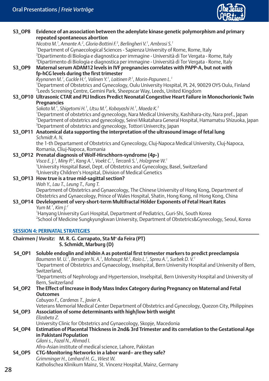

|                                                                                                                                                                                                                                                                                             | S3_OP8                            | Evidence of an association between the adenylate kinase genetic polymorphism and primary<br>repeated spontaneous abortion<br>Nicotra M. <sup>1</sup> , Amante A. <sup>2</sup> , Gloria-Bottini F. <sup>3</sup> , Berlingheri V. <sup>1</sup> , Ambrosi S. <sup>1</sup><br><sup>1</sup> Department of Gynaecological Sciences - Sapienza University of Rome, Rome, Italy |  |                                 |                                                                                                             |                                                                                                |
|---------------------------------------------------------------------------------------------------------------------------------------------------------------------------------------------------------------------------------------------------------------------------------------------|-----------------------------------|-------------------------------------------------------------------------------------------------------------------------------------------------------------------------------------------------------------------------------------------------------------------------------------------------------------------------------------------------------------------------|--|---------------------------------|-------------------------------------------------------------------------------------------------------------|------------------------------------------------------------------------------------------------|
|                                                                                                                                                                                                                                                                                             |                                   | <sup>2</sup> Dipartimento di Biologia e diagnostica per immagine - Università di Tor Vergata - Rome, Italy                                                                                                                                                                                                                                                              |  |                                 |                                                                                                             |                                                                                                |
|                                                                                                                                                                                                                                                                                             |                                   | <sup>3</sup> Dipartimento di Biologia e diagnostica per immagine - Università di Tor Vergata - Rome, Italy                                                                                                                                                                                                                                                              |  |                                 |                                                                                                             |                                                                                                |
|                                                                                                                                                                                                                                                                                             | S3_OP9                            | Maternal serum ADAM12 levels in IVF pregnancies correlates with PAPP-A, but not with                                                                                                                                                                                                                                                                                    |  |                                 |                                                                                                             |                                                                                                |
|                                                                                                                                                                                                                                                                                             |                                   | fp-hCG levels during the first trimester                                                                                                                                                                                                                                                                                                                                |  |                                 |                                                                                                             |                                                                                                |
|                                                                                                                                                                                                                                                                                             |                                   | Ryynanen M. <sup>1</sup> , Cuckle H. <sup>2</sup> , Valinen Y. <sup>1</sup> , Laitinen P. <sup>1</sup> , Morin-Papunen L. <sup>1</sup>                                                                                                                                                                                                                                  |  |                                 |                                                                                                             |                                                                                                |
|                                                                                                                                                                                                                                                                                             |                                   | <sup>1</sup> Department of Obstetrics and Gynecology, Oulu University Hospital, PL 24, 90029 OYS Oulu, Finland<br><sup>2</sup> Leeds Screening Centre, Gemini Park, Sheepscar Way, Leeds, United Kingdom                                                                                                                                                                |  |                                 |                                                                                                             |                                                                                                |
|                                                                                                                                                                                                                                                                                             |                                   | S3_OP10 Ultrasonic CTAR and PLI Indices Predict Neonatal Congestive Heart Failure in Monochorionic Twin                                                                                                                                                                                                                                                                 |  |                                 |                                                                                                             |                                                                                                |
|                                                                                                                                                                                                                                                                                             | <b>Pregnancies</b>                |                                                                                                                                                                                                                                                                                                                                                                         |  |                                 |                                                                                                             |                                                                                                |
|                                                                                                                                                                                                                                                                                             |                                   | Sakata M. <sup>1</sup> , Shigetomi H. <sup>1</sup> , Utsu M. <sup>2</sup> , Kobayashi H. <sup>1</sup> , Maeda K. <sup>3</sup>                                                                                                                                                                                                                                           |  |                                 |                                                                                                             |                                                                                                |
|                                                                                                                                                                                                                                                                                             |                                   | <sup>1</sup> Department of obstetrics and gynecology, Nara Medical University, Kashihara-city, Nara pref., Japan                                                                                                                                                                                                                                                        |  |                                 |                                                                                                             |                                                                                                |
|                                                                                                                                                                                                                                                                                             |                                   | <sup>2</sup> Department of obstetrics and gynecology, Seirei Mikatahara General Hospital, Hamamatsu Shizuoka, Japan                                                                                                                                                                                                                                                     |  |                                 |                                                                                                             |                                                                                                |
|                                                                                                                                                                                                                                                                                             |                                   | <sup>3</sup> Department of obstetrics and gynecology, Tottori Univercity, Japan<br>S3_OP11 Anatomical data supporting the interpretation of the ultrasound image of fetal lung                                                                                                                                                                                          |  |                                 |                                                                                                             |                                                                                                |
|                                                                                                                                                                                                                                                                                             |                                   | Schmidt A.N.                                                                                                                                                                                                                                                                                                                                                            |  |                                 |                                                                                                             |                                                                                                |
|                                                                                                                                                                                                                                                                                             |                                   | the 1-th Departament of Obstetrics and Gynecology, Cluj-Napoca Medical University, Cluj-Napoca,                                                                                                                                                                                                                                                                         |  |                                 |                                                                                                             |                                                                                                |
|                                                                                                                                                                                                                                                                                             |                                   | Romania, Cliuj-Napoca, Romania                                                                                                                                                                                                                                                                                                                                          |  |                                 |                                                                                                             |                                                                                                |
|                                                                                                                                                                                                                                                                                             |                                   | S3_OP12 Prenatal diagnosis of Wolf-Hirschhorn-syndrome (4p-)                                                                                                                                                                                                                                                                                                            |  |                                 |                                                                                                             |                                                                                                |
|                                                                                                                                                                                                                                                                                             |                                   | Visca E. J. <sup>1</sup> , Miny P. <sup>2</sup> , Kang A. <sup>1</sup> , Voekt C. <sup>1</sup> , Tercanli S. <sup>1</sup> , Holzgreve W. <sup>1</sup>                                                                                                                                                                                                                   |  |                                 |                                                                                                             |                                                                                                |
|                                                                                                                                                                                                                                                                                             |                                   | <sup>1</sup> University Hospital Basel, Dept. of Obstetrics and Gynecology, Basel, Switzerland<br><sup>2</sup> University Children's Hospital, Division of Medical Genetics                                                                                                                                                                                             |  |                                 |                                                                                                             |                                                                                                |
|                                                                                                                                                                                                                                                                                             |                                   | S3_OP13 How true is a true mid-sagittal section?                                                                                                                                                                                                                                                                                                                        |  |                                 |                                                                                                             |                                                                                                |
|                                                                                                                                                                                                                                                                                             | Wah Y., Lau T., Leung T., Fung T. |                                                                                                                                                                                                                                                                                                                                                                         |  |                                 |                                                                                                             |                                                                                                |
| Department of Obstetrics and Gynaecology, The Chinese University of Hong Kong, Department of<br>Obstetrics and Gynaecology, Prince of Wales Hospital, Shatin, Hong Kong, nil Hong Kong, China<br>S3_OP14 Devlelopment of very-short-term Multifractal Hölder Exponents of Fetal Heart Rates |                                   |                                                                                                                                                                                                                                                                                                                                                                         |  |                                 |                                                                                                             |                                                                                                |
|                                                                                                                                                                                                                                                                                             |                                   |                                                                                                                                                                                                                                                                                                                                                                         |  | Yum M. <sup>1</sup> , Kim $l^2$ |                                                                                                             | <sup>1</sup> Hanyang University Guri Hospital, Department of Pediatrics, Guri-Shi, South Korea |
|                                                                                                                                                                                                                                                                                             |                                   |                                                                                                                                                                                                                                                                                                                                                                         |  |                                 | <sup>2</sup> School of Medicine Sungkyungkwan University, Department of Obstetrics&Gynecology, Seoul, Korea |                                                                                                |
|                                                                                                                                                                                                                                                                                             |                                   |                                                                                                                                                                                                                                                                                                                                                                         |  |                                 |                                                                                                             |                                                                                                |
|                                                                                                                                                                                                                                                                                             |                                   | <b>SESSION 4: PERINATAL STRATEGIES</b>                                                                                                                                                                                                                                                                                                                                  |  |                                 |                                                                                                             |                                                                                                |
|                                                                                                                                                                                                                                                                                             |                                   | Chairmen / Vorsitz: M. R. G. Carrapato, Sta M <sup>ª</sup> da Feira (PT)<br>S. Schmidt, Marburg (D)                                                                                                                                                                                                                                                                     |  |                                 |                                                                                                             |                                                                                                |
|                                                                                                                                                                                                                                                                                             | <b>S4 OP1</b>                     | Soluble endoglin and inhibin A as potential first trimester markers to predict preeclampsia                                                                                                                                                                                                                                                                             |  |                                 |                                                                                                             |                                                                                                |
|                                                                                                                                                                                                                                                                                             |                                   | Baumann M. U. <sup>1</sup> , Bersinger N. A. <sup>1</sup> , Mohaupt M. <sup>2</sup> , Raio L. <sup>1</sup> , Spreu A. <sup>1</sup> , Surbek D. V. <sup>1</sup>                                                                                                                                                                                                          |  |                                 |                                                                                                             |                                                                                                |
|                                                                                                                                                                                                                                                                                             |                                   | <sup>1</sup> Department of Obstetrics and Gynaecology, Inselspital, Bern University Hospital and University of Bern,                                                                                                                                                                                                                                                    |  |                                 |                                                                                                             |                                                                                                |
|                                                                                                                                                                                                                                                                                             |                                   | Switzerland.                                                                                                                                                                                                                                                                                                                                                            |  |                                 |                                                                                                             |                                                                                                |
|                                                                                                                                                                                                                                                                                             |                                   | <sup>2</sup> Departments of Nephrology and Hypertension, Inselspital, Bern University Hospital and University of                                                                                                                                                                                                                                                        |  |                                 |                                                                                                             |                                                                                                |
|                                                                                                                                                                                                                                                                                             |                                   | Bern, Switzerland                                                                                                                                                                                                                                                                                                                                                       |  |                                 |                                                                                                             |                                                                                                |
|                                                                                                                                                                                                                                                                                             | <b>S4 OP2</b>                     | The Effect of Increase in Body Mass Index Category during Pregnancy on Maternal and Fetal<br><b>Outcomes</b>                                                                                                                                                                                                                                                            |  |                                 |                                                                                                             |                                                                                                |
|                                                                                                                                                                                                                                                                                             |                                   | Cabuyao F., Cardenas T., Javier A.                                                                                                                                                                                                                                                                                                                                      |  |                                 |                                                                                                             |                                                                                                |
|                                                                                                                                                                                                                                                                                             |                                   | Veterans Memorial Medical Center Department of Obstetrics and Gynecology, Quezon City, Philippines                                                                                                                                                                                                                                                                      |  |                                 |                                                                                                             |                                                                                                |
|                                                                                                                                                                                                                                                                                             | <b>S4 OP3</b>                     | Association of some determinants with high/low birth weight                                                                                                                                                                                                                                                                                                             |  |                                 |                                                                                                             |                                                                                                |
|                                                                                                                                                                                                                                                                                             |                                   | Elizabeta Z.                                                                                                                                                                                                                                                                                                                                                            |  |                                 |                                                                                                             |                                                                                                |
|                                                                                                                                                                                                                                                                                             |                                   | University Clinic for Obstetrics and Gynaecology, Skopje, Macedonia                                                                                                                                                                                                                                                                                                     |  |                                 |                                                                                                             |                                                                                                |
|                                                                                                                                                                                                                                                                                             | <b>S4_OP4</b>                     | Estimation of Placental Thickness in 2nd& 3rd Trimester and its correlation to the Gestational Age<br>in Pakistani Population                                                                                                                                                                                                                                           |  |                                 |                                                                                                             |                                                                                                |
|                                                                                                                                                                                                                                                                                             |                                   | Gilani s., Fazal N., Ahmad I.                                                                                                                                                                                                                                                                                                                                           |  |                                 |                                                                                                             |                                                                                                |
|                                                                                                                                                                                                                                                                                             |                                   | Afro-Asian institute of medical science, Lahore, Pakistan                                                                                                                                                                                                                                                                                                               |  |                                 |                                                                                                             |                                                                                                |
|                                                                                                                                                                                                                                                                                             | <b>S4_OP5</b>                     | CTG-Monitoring Networks in a labor ward- are they safe?                                                                                                                                                                                                                                                                                                                 |  |                                 |                                                                                                             |                                                                                                |
|                                                                                                                                                                                                                                                                                             |                                   | Grimminger H., Lenhard H. G., Wiest W.                                                                                                                                                                                                                                                                                                                                  |  |                                 |                                                                                                             |                                                                                                |
|                                                                                                                                                                                                                                                                                             |                                   | Katholischea Klinikum Mainz, St. Vincenz Hospital, Mainz, Germany                                                                                                                                                                                                                                                                                                       |  |                                 |                                                                                                             |                                                                                                |
| 28                                                                                                                                                                                                                                                                                          |                                   |                                                                                                                                                                                                                                                                                                                                                                         |  |                                 |                                                                                                             |                                                                                                |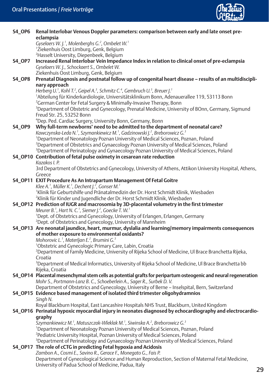

|               | S4_OP6 Renal Interlobar Venous Doppler parameters: comparison between early and late onset pre-                                                                                                      |  |  |  |
|---------------|------------------------------------------------------------------------------------------------------------------------------------------------------------------------------------------------------|--|--|--|
|               | eclampsia                                                                                                                                                                                            |  |  |  |
|               | Gyselaers W. J. <sup>1</sup> , Molenberghs G. <sup>2</sup> , Ombelet W. <sup>1</sup>                                                                                                                 |  |  |  |
|               | <sup>1</sup> Ziekenhuis Oost Limburg, Genk, Belgium                                                                                                                                                  |  |  |  |
|               | <sup>2</sup> Hasselt University, Diepenbeek, Belgium                                                                                                                                                 |  |  |  |
| <b>S4_OP7</b> | Increased Renal Interlobar Vein Impedance Index in relation to clinical onset of pre-eclampsia                                                                                                       |  |  |  |
|               | Gyselaers W. J., Schockaert S., Ombelet W.                                                                                                                                                           |  |  |  |
|               | Ziekenhuis Oost Limburg, Genk, Belgium                                                                                                                                                               |  |  |  |
| <b>S4_OP8</b> | Prenatal Diagnosis and postnatal follow up of congenital heart disease - results of an multidiscipli-                                                                                                |  |  |  |
|               | nary approach                                                                                                                                                                                        |  |  |  |
|               | Herberg U. <sup>1</sup> , Kohl T. <sup>2</sup> , Geipel A. <sup>3</sup> , Schmitz C. <sup>4</sup> , Gembruch U. <sup>3</sup> , Breuer J. <sup>1</sup>                                                |  |  |  |
|               | <sup>1</sup> Abteilung für Kinderkardiologie, Universitätsklinikum Bonn, Adenauerallee 119, 53113 Bonn                                                                                               |  |  |  |
|               | <sup>2</sup> German Center for Fetal Surgery & Minimally-Invasive Therapy, Bonn                                                                                                                      |  |  |  |
|               | <sup>3</sup> Department of Obstetric and Gynecology, Prenatal Medicine, University of BOnn, Germany, Sigmund                                                                                         |  |  |  |
|               | Freud Str. 25, 53252 Bonn                                                                                                                                                                            |  |  |  |
|               | <sup>4</sup> Dep. Ped. Cardiac Surgery, University Bonn, Germany, Bonn                                                                                                                               |  |  |  |
| <b>S4_OP9</b> | Why full-term newborns' need to be admitted to the department of neonatal care?                                                                                                                      |  |  |  |
|               | Kawczynska-Leda N. <sup>1</sup> , Szymankiewicz M. <sup>1</sup> , Gadzinowski J. <sup>2</sup> , Breborowicz G. <sup>3</sup>                                                                          |  |  |  |
|               | <sup>1</sup> Department of Neonatology Poznan University of Medical Sciences, Poznan, Poland                                                                                                         |  |  |  |
|               | <sup>2</sup> Department of Obstetrics and Gynaecology Poznan University of Medical Sciences, Poland                                                                                                  |  |  |  |
|               | <sup>3</sup> Department of Perinatology and Gynaecology Poznan University of Medical Sciences, Poland                                                                                                |  |  |  |
|               | S4_OP10 Contribution of fetal pulse oximety in cesarean rate reduction                                                                                                                               |  |  |  |
|               | Kazakos I. P.                                                                                                                                                                                        |  |  |  |
|               | 3rd Department of Obstetrics and Gynecology, University of Athens, Attikon University Hospital, Athens,                                                                                              |  |  |  |
|               | Greece                                                                                                                                                                                               |  |  |  |
|               | S4_OP11 EXIT Procedure As An Intrapartum Management Of Fetal Goitre                                                                                                                                  |  |  |  |
|               | Klee A. <sup>1</sup> , Müller K. <sup>1</sup> , Dechent J. <sup>2</sup> , Gonser M. <sup>1</sup><br><sup>1</sup> Klinik für Geburtshilfe und Pränatalmedizin der Dr. Horst Schmidt Klinik, Wiesbaden |  |  |  |
|               | <sup>2</sup> Klinik für Kinder und Jugendliche der Dr. Horst Schmidt Klinik, Wiesbaden                                                                                                               |  |  |  |
|               | S4_OP12 Prediction of IUGR and macrosomia by 3D-placental volumetry in the first trimester                                                                                                           |  |  |  |
|               | Meurer B. <sup>1</sup> , Hart N. C. <sup>1</sup> , Siemer J. <sup>2</sup> , Goecke T. W. <sup>1</sup>                                                                                                |  |  |  |
|               | <sup>1</sup> Dept. of Obstetrics and Gynecology, University of Erlangen, Erlangen, Germany                                                                                                           |  |  |  |
|               | <sup>2</sup> Dept. of Obstetrics and Gynecology, University of Mannheim                                                                                                                              |  |  |  |
|               | S4_OP13 Are neonatal jaundice, heart, murmur, dyslalia and learning/memory impairments consequences                                                                                                  |  |  |  |
|               | of mother exposure to environmental oxidants?                                                                                                                                                        |  |  |  |
|               | Mohorovic L. <sup>1</sup> , Materljan E. <sup>2</sup> , Brumini G. <sup>3</sup>                                                                                                                      |  |  |  |
|               | <sup>1</sup> Obstetric and Gynecologic Primary Care, Labin, Croatia                                                                                                                                  |  |  |  |
|               | <sup>2</sup> Department of Family Medicine, University of Rijeka School of Medicine, Ul Brace Branchetta Rijeka,                                                                                     |  |  |  |
|               | Croatia                                                                                                                                                                                              |  |  |  |
|               | <sup>3</sup> Department of Medical Informatics, University of Rijeka School of Medicine, Ul Brace Branchetta bb                                                                                      |  |  |  |
|               | Rijeka, Croatia                                                                                                                                                                                      |  |  |  |
|               | S4_OP14 Placental mesenchymal stem cells as potential grafts for peripartum osteogenic and neural regeneration                                                                                       |  |  |  |
|               | Mohr S., Portmann-Lanz B. C., Schoeberlein A., Sager R., Surbek D. V.                                                                                                                                |  |  |  |
|               | Department of Obstetrics and Gynecology, University of Berne - Inselspital, Bern, Switzerland                                                                                                        |  |  |  |
|               | S4_OP15 Evidence based management of isolated third trimester oligohydramnios                                                                                                                        |  |  |  |
|               | Singh N.                                                                                                                                                                                             |  |  |  |
|               | Royal Blackburn Hospital, East Lancashire Hospitals NHS Trust, Blackburn, United Kingdom                                                                                                             |  |  |  |
|               | S4_OP16 Perinatal hypoxic myocardial injury in neonates diagnosed by echocardiography and electrocardio-                                                                                             |  |  |  |
|               | graphy                                                                                                                                                                                               |  |  |  |
|               | Szymankiewicz M. <sup>1</sup> , Matuszczak-Wleklak M. <sup>1</sup> , Siwinska A. <sup>2</sup> , Breborowicz G. <sup>3</sup>                                                                          |  |  |  |
|               | <sup>1</sup> Department of Neonatology Poznan University of Medical Sciences, Poznan, Poland                                                                                                         |  |  |  |
|               | <sup>2</sup> Pediatric University Hospital, Poznan University of Medical Sciences, Poland                                                                                                            |  |  |  |
|               | <sup>3</sup> Department of Perinatology and Gynaecology Poznan University of Medical Sciences, Poland                                                                                                |  |  |  |
|               | S4_OP17 The role of cCTG in predicting Fetal hypoxia and Acidosis                                                                                                                                    |  |  |  |
|               | Zambon A., Cosmi E., Savino R., Gerace F., Monegato G., Fais P.                                                                                                                                      |  |  |  |
|               | Department of Gynecological Science and Human Reproduction, Section of Maternal Fetal Medicine,                                                                                                      |  |  |  |
|               | University of Padua School of Medicine, Padua, Italy                                                                                                                                                 |  |  |  |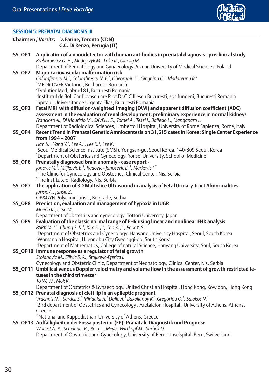

#### **SESSION 5: PRENATAL DIAGNOSIS III**

|               | Chairmen / Vorsitz: D. Farine, Toronto (CDN)<br>G.C. Di Renzo, Perugia (IT)                                                                                                                                             |  |  |
|---------------|-------------------------------------------------------------------------------------------------------------------------------------------------------------------------------------------------------------------------|--|--|
| S5_OP1        | Application of a nanodetector with human antibodies in prenatal diagnosis- preclinical study<br>Breborowicz G. H., Madejczyk M., Luke K., Giersig M.                                                                    |  |  |
|               | Department of Perinatology and Gynaecology Poznan University of Medical Sciences, Poland                                                                                                                                |  |  |
| S5_OP2        | Major cariovascular malformation risk                                                                                                                                                                                   |  |  |
|               | Calomfirescu M. <sup>1</sup> , Calomfirescu N. E. <sup>2</sup> , Gheorghiu I. <sup>3</sup> , Ginghina C. <sup>3</sup> , Vladareanu R. <sup>4</sup>                                                                      |  |  |
|               | <sup>1</sup> MEDICOVER Victoriei, Bucharest, Romania                                                                                                                                                                    |  |  |
|               | <sup>2</sup> EvolutionMed, abrud 81, Bucuresti Romania<br><sup>3</sup> Institutul de Boli Cardiovasculare Prof.Dr.C.C.Iliescu Bucuresti, sos.fundeni, Bucuresti Romania                                                 |  |  |
|               | <sup>4</sup> Spitalul Universitar de Urgenta Elias, Bucuresti Romania                                                                                                                                                   |  |  |
| <b>S5 OP3</b> | Fetal MRI with diffusion-weighted imaging (DWI) and apparent diffusion coefficient (ADC)                                                                                                                                |  |  |
|               | assessment in the evaluation of renal development: preliminary experience in normal kidneys                                                                                                                             |  |  |
|               | Francioso A., Di Maurizio M., SAVELLI S., Tomei A., Tesei J., Ballesio L., Manganaro L.                                                                                                                                 |  |  |
|               | Department of Radiological Sciences, Umberto I Hospital, University of Rome Sapienza, Rome, Italy                                                                                                                       |  |  |
| <b>S5 OP4</b> | Recent Trend in Prenatal Genetic Amniocentesis on 31,615 cases in Korea: Single Center Experience                                                                                                                       |  |  |
|               | from 1994 - 2007                                                                                                                                                                                                        |  |  |
|               | Han S. <sup>1</sup> , Yang Y. <sup>2</sup> , Lee A. <sup>1</sup> , Lee K. <sup>1</sup> , Lee K. <sup>1</sup>                                                                                                            |  |  |
|               | <sup>1</sup> Seoul Meidical Science Institute (SMSI), Yongsan-qu, Seoul Korea, 140-809 Seoul, Korea                                                                                                                     |  |  |
|               | <sup>2</sup> Department of Obsterics and Gynecology, Yonsei University, School of Medicine                                                                                                                              |  |  |
| <b>S5_OP6</b> | Prenatally diagnosed brain anomaly - case report -<br>Jonovic M. <sup>1</sup> , Miljkovic B. <sup>1</sup> , Radovic - Janosevic D. <sup>1</sup> , Markovic I. <sup>2</sup>                                              |  |  |
|               | <sup>1</sup> The Clinic for Gynecology and Obstetrics, Clinical Center, Nis, Serbia                                                                                                                                     |  |  |
|               | <sup>2</sup> The Institute of Radiology, Nis, Serbia                                                                                                                                                                    |  |  |
| <b>S5_OP7</b> | The application of 3D Multislice Ultrasound in analysis of Fetal Urinary Tract Abnormalities                                                                                                                            |  |  |
|               | Jurisic A., Jurisic Z.                                                                                                                                                                                                  |  |  |
|               | OB&GYN Polyclinic Jurisic, Belgrade, Serbia                                                                                                                                                                             |  |  |
| <b>S5 OP8</b> | Prediction, evaluation and management of hypoxia in IUGR                                                                                                                                                                |  |  |
|               | Maeda K., Utsu M.                                                                                                                                                                                                       |  |  |
|               | Department of obstetrics and gynecology, Tottori Univercity, Japan                                                                                                                                                      |  |  |
| <b>S5_OP9</b> | Evaluation of the classic normal range of FHR using linear and nonlinear FHR analysis<br>PARK M. I. <sup>1</sup> , Chung S. R. <sup>1</sup> , Kim S. J. <sup>2</sup> , Cha K. J. <sup>3</sup> , Park Y. S. <sup>3</sup> |  |  |
|               | <sup>1</sup> Department of Obstetrics and Gynecology, Hanyang University Hospital, Seoul, South Korea                                                                                                                   |  |  |
|               | <sup>2</sup> Womanpia Hospital, Uijeongbu City Gyeonggi-do, South Korea                                                                                                                                                 |  |  |
|               | <sup>3</sup> Department of Mathematics, College of natural Science, Hanyang University, Soul, South Korea                                                                                                               |  |  |
|               | S5_OP10 Immune response as a regulator of fetal growth                                                                                                                                                                  |  |  |
|               | Stojanovic M., Sljivic S. A., Stojkovic-Eferica I.                                                                                                                                                                      |  |  |
|               | Gynecology and Obstetric Clinic, Department of Neonatology, Clinical Center, Nis, Serbia                                                                                                                                |  |  |
|               | S5_OP11 Umbilical venous Doppler velocimetry and volume flow in the assessment of growth restricted fe-                                                                                                                 |  |  |
|               | tuses in the third trimester                                                                                                                                                                                            |  |  |
|               | To W. W., Mok K.                                                                                                                                                                                                        |  |  |
|               | Department of Obstetrics & Gynaecology, United Christian Hospital, Hong Kong, Kowloon, Hong Kong<br>S5_OP12 Prenatal diagnosis of cleft lip in an epileptic pregnant                                                    |  |  |
|               | Vrachnis N. <sup>1</sup> , Sardeli S. <sup>2</sup> , Miridakil A. <sup>2</sup> Dalla A. <sup>2</sup> Bakalianoy K. <sup>1</sup> , Gregoriou O. <sup>1</sup> , Salakos N. <sup>1</sup>                                   |  |  |
|               | <sup>1</sup> 2nd department of Obstetrics and Gynecology, Aretaieion Hospital, University of Athens, Athens,                                                                                                            |  |  |
|               | Greece                                                                                                                                                                                                                  |  |  |
|               | <sup>2</sup> National and Kappodistrian University of Athens, Greece                                                                                                                                                    |  |  |
|               | S5_OP13 Auffälligkeiten der Fossa posterior (FP): Pränatale Diagnostik und Prognose                                                                                                                                     |  |  |
|               | Wueest A. R., Scheibner K., Raio L., Meyer-Wittkopf M., Surbek D.                                                                                                                                                       |  |  |
|               | Department of Obstetrics and Gynecology, University of Bern - Inselspital, Bern, Switzerland                                                                                                                            |  |  |
|               |                                                                                                                                                                                                                         |  |  |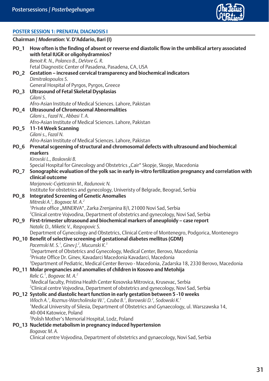

|             | <b>POSTER SESSION 1: PRENATAL DIAGNOSIS I</b>                                                                                                                                                                                                                                                                                                                                                                                                               |
|-------------|-------------------------------------------------------------------------------------------------------------------------------------------------------------------------------------------------------------------------------------------------------------------------------------------------------------------------------------------------------------------------------------------------------------------------------------------------------------|
|             | Chairman / Moderation: V. D'Addario, Bari (I)                                                                                                                                                                                                                                                                                                                                                                                                               |
| <b>PO 1</b> | How often is the finding of absent or reverse end diastolic flow in the umbilical artery associated<br>with fetal IUGR or oligohydramnios?<br>Benoit R. N., Polanco B., DeVore G. R.<br>Fetal Diagnostic Center of Pasadena, Pasadena, CA, USA                                                                                                                                                                                                              |
|             | PO_2 Gestation - increased cervical transparency and biochemical indicators<br>Dimitrakopoulos S.<br>General Hospital of Pyrgos, Pyrgos, Greece                                                                                                                                                                                                                                                                                                             |
|             | PO_3 Ultrasound of Fetal Skeletal Dysplasias<br>Gilani S.<br>Afro-Asian Institute of Medical Sciences. Lahore, Pakistan                                                                                                                                                                                                                                                                                                                                     |
|             | PO 4 Ultrasound of Chromosomal Abnormalities<br>Gilani s., Fazal N., Abbasi T. A.<br>Afro-Asian Institute of Medical Sciences, Lahore, Pakistan                                                                                                                                                                                                                                                                                                             |
| PO 5        | 11-14 Week Scanning<br>Gilani s., Fazal N.<br>Afro-Asian Institute of Medical Sciences. Lahore, Pakistan                                                                                                                                                                                                                                                                                                                                                    |
|             | PO_6 Prenatal scgeening of structural and chromosomal defects with ultrasound and biochemical<br>markers<br>Kirovski L., Boskovski B.<br>Special Hospital for Ginecology and Obstetrics "Cair" Skopje, Skopje, Macedonia                                                                                                                                                                                                                                    |
| PO_7        | Sonographic evaluation of the yolk sac in early in-vitro fertilization pregnancy and correlation with<br>clinical outcome<br>Marjanovic-Cvjeticanin M., Radunovic N.<br>Institute for obstetrics and gynecology, Univeristy of Belgrade, Beograd, Serbia                                                                                                                                                                                                    |
| <b>PO_8</b> | <b>Integrated Screening of Genetic Anomalies</b><br>Mitreski A. <sup>1</sup> , Bogavac M. A. <sup>2</sup><br><sup>1</sup> Private office "MINERVA", Zarka Zrenjanina 8/I, 21000 Novi Sad, Serbia<br><sup>2</sup> Clinical centre Vojvodina, Department of obstetrics and gynecology, Novi Sad, Serbia                                                                                                                                                       |
|             | PO_9 First-trimester ultrasound and biochemical markers of aneuploidy - case report<br>Natalic D., Miketic V., Raspopovic S.<br>Department of Gynecology and Obstetrics, Clinical Centre of Montenegro, Podgorica, Montenegro                                                                                                                                                                                                                               |
|             | PO_10 Benefit of selective screening of gestational diabetes mellitus (GDM)<br>Pacemski M. S. <sup>1</sup> , Ginev J. <sup>2</sup> , Mucunski K. <sup>3</sup><br><sup>1</sup> Department of Obstetrics and Gynecology, Medical Center, Berovo, Macedonia<br><sup>2</sup> Private Office Dr. Ginev, Kavadarci Macedonia Kavadarci, Macedonia<br><sup>3</sup> Department of Pediatric, Medical Center Berovo - Macedonia, Zadarska 18, 2330 Berovo, Macedonia |
|             | PO 11 Molar pregnancies and anomalies of children in Kosovo and Metohija<br>Relic G. <sup>1</sup> , Bogavac M.A. <sup>2</sup><br><sup>1</sup> Medical faculty, Pristina Health Center Kosovska Mitrovica, Krusevac, Serbia<br><sup>2</sup> Clinical centre Vojvodina, Department of obstetrics and gynecology, Novi Sad, Serbia                                                                                                                             |
|             | PO_12 Systolic and diastolic heart function in early gestation between 5 -10 weeks<br>Wloch A. <sup>1</sup> , Rozmus-Warcholinska W. <sup>1</sup> , Czuba B. <sup>1</sup> , Borowski D. <sup>2</sup> , Sodowski K. <sup>1</sup><br><sup>1</sup> Medical University of Silesia, Department of Obstetrics and Gynaecology, ul. Warszawska 14,<br>40-004 Katowice, Poland<br><sup>2</sup> Polish Mother's Memorial Hospital, Lodz, Poland                      |
|             | PO_13 Nucletide metabolism in pregnancy induced hypertension<br>Bogavac M.A.<br>Clinical centre Vojvodina, Department of obstetrics and gynaecology, Novi Sad, Serbia                                                                                                                                                                                                                                                                                       |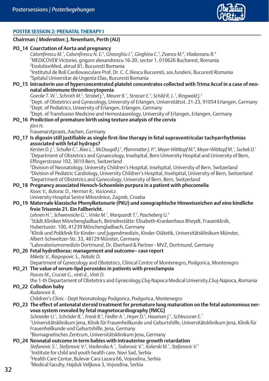

#### **POSTER SESSION 2: PRENATAL THERAPY I**

#### **Chairman /** *Moderation***: J. Newnham, Perth (AU)**

**PO\_14 Coarctation of Aorta and pregnancy**

*Calomfirescu M.<sup>1</sup> , Calomfirescu N. E.2 , Gheorghiu I.<sup>3</sup> , Ginghina C.<sup>3</sup> , Zvanca M.4 , Vladareanu R.4* 1 MEDICOVER Victoriei, grigore alexandrescu 16-20, sector 1, 010626 Bucharest, Romania <sup>2</sup>EvolutionMed, abrud 81, Bucuresti Romania<br><sup>3</sup>Institutul de Boli Cardiovasculare Brof. Dr. C <sup>3</sup>Institutul de Boli Cardiovasculare Prof. Dr. C. C.Iliescu Bucuresti, sos.fundeni, Bucuresti Romania 4 Spitalul Universitar de Urgenta Elias, Bucuresti Romania

**PO\_15 Intrauterin use of hyperconcentrated platelet concentrates collected with Trima Accel in a case of neonatal alloimmune thrombocytopenia**

*Goecke T. W.1 , Schroth M.<sup>2</sup> , Strobel J.3 , Meurer B.1 , Strasser E.3 , Schild R. L.<sup>1</sup> , Ringwald J.3* 1 Dept. of Obstetrics and Gynecology, University of Erlangen, Universitätsst. 21-23, 91054 Erlangen, Germany 2 Dept. of Pediatrics, University of Erlangen, Erlangen, Germany

3 Dept. of Transfusion Medicine and Hemostaseology, University of Erlangen, Erlangen, Germany

- **PO\_16 Prediction of premature birth using texture analysis of the cervix** *Jörn H.*
	- Frauenarztpraxis, Aachen, Germany
- **PO\_17 Is digoxin still justifiable as single first-line therapy in fetal supraventricular tachyarrhythmias associated with fetal hydrops?**

*Kersten D. J.1 , Schuller C.1 , Raio L.1 , McDougall J.2 , Pfammatter J. P.3 , Meyer-Wittkopf M.4 , Meyer-Wittkopf M.1 , Surbek D.1* 1 Department of Obstetrics and Gynaecology, Inselspital, Bern University Hospital and University of Bern, Effingerstrasse 102, 3010 Bern, Switzerland

2 Division of Neonatology, University Children's Hospital, Inselspital, University of Bern, Switzerland <sup>3</sup>Division of Pediatric Cardiology, University Children's Hospital, Inselspital, University of Bern, Switzerland<br><sup>4</sup>Department of Obstatrics and Cynosology, University of Bern, Bern, Switzerland Department of Obstetrics and Gynecology, University of Bern, Bern, Switzerland

**PO\_18 Pregnancy associated Henoch-Schoenlein purpura in a patient with phocomelia** *Kosec V., Butorac D., Herman R., Vucicevicz.*

University Hospital Sestre Milosrdnice, Zagreb, Croatia

**PO\_19 Maternale klassische Phenylketonurie (PKU) und sonographische Hinweiszeichen auf eine kindliche freie Trisomie 21. Ein Fallbericht.**

*Lehnen H.1 , Schwennicke G.<sup>1</sup> , Vinke M.<sup>1</sup> , Marquardt T.2 , Pascheberg U.3* 1 Städt.Kliniken Mönchengladbach, Betriebsstätte: Elisabeth-Krankenhaus Rheydt, Frauenklinik, Hubertusstr. 100, 41239 Mönchengladbach, Germany 2 Klinik und Poliklinik für Kinder- und Jugendmedizin, Kinder-Diätetik, Universitätsklinikum Münster, Albert-Schweitzer-Str. 33, 48129 Münster, Germany 3 Laboratoriumsmedizin Dortmund, Dr. Eberhard & Partner - MVZ, Dortmund, Germany

- **PO\_20 Fetal hydrothorax: management and outcome– case report** *Miketic V., Raspopovic S., Natalic D.* Department of Gynecology and Obstetrics, Clinical Centre of Montenegro, Podgorica, Montenegro
- **PO\_21 The value of serum-lipd peroxides in patients with preeclampsia** *Puscas M., Cruciat G., vinti d., Vinti D.*

the 1-th Departament of Obstetrics and Gynecology,Cluj-Napoca Medical University,Cliuj-Napoca, Romania

#### **PO\_22 Collodion baby**

*Rudanovic R.*

Children's Clinic - Dept Neonatology Podgorica, Podgorica, Montenegro

#### **PO\_23 The effect of antenatal steroid treatment for premature lung maturation on the fetal autonomous nervous system revealed by fetal magnetocardiography (fMCG)**

*Schneider U.1 , Schröder B.<sup>1</sup> , Frank B.2 , Fiedler A.<sup>1</sup> , Hoyer D.<sup>2</sup> , Haueisen J.2 , Schleussner E.<sup>1</sup>* 1 Universitätsklinikum Jena, Klinik für Frauenheilkunde und Geburtshilfe, Universitätsklinikum Jena, Klinik für Frauenheilkunde und Geburtshilfe, Jena, Germany

#### 2 Biomagnetisches Zentrum, Universitätsklinikum Jena, Germany **PO\_24 Neonatal outcome in term babies with intrauterine growth retardation**  *Stefanovic S.<sup>1</sup> , Stefanovic V.<sup>2</sup> , Vasilevska A.1 , Todorovic V.1 , Kolarski M.<sup>1</sup> , Stefanovic V.<sup>3</sup>* 1 Institute for child and youth health care, Novi Sad, Serbia 2 Health Care Centar, Bulevar Cara Lazara 66, Vojvodina, Serbia 3 Medical Faculty, Hajduk Veljkova 3, Vojvodina, Serbia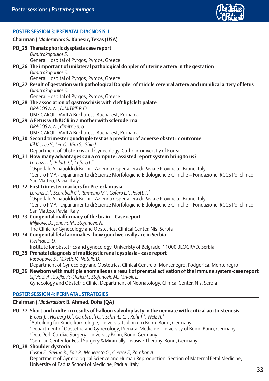

| <b>POSTER SESSION 3: PRENATAL DIAGNOSIS II</b>                                                                                    |
|-----------------------------------------------------------------------------------------------------------------------------------|
| Chairman / Moderation: S. Kupesic, Texas (USA)                                                                                    |
| PO_25 Thanatophoric dysplasia case report                                                                                         |
| Dimitrakopoulos S.                                                                                                                |
| General Hospital of Pyrgos, Pyrgos, Greece                                                                                        |
| PO_26 The important of unilateral pathological doppler of uterine artery in the gestation                                         |
| Dimitrakopoulos S.                                                                                                                |
| General Hospital of Pyrgos, Pyrgos, Greece                                                                                        |
| PO_27 Result of gestation with pathological Doppler of middle cerebral artery and umbilical artery of fetus                       |
| Dimitrakopoulos S.                                                                                                                |
| General Hospital of Pyrgos, Pyrgos, Greece                                                                                        |
| PO_28 The association of gastroschisis with cleft lip/cleft palate                                                                |
| DRAGOS A. N., DIMITRIE P. O.                                                                                                      |
| UMF CAROL DAVILA Bucharest, Bucharest, Romania                                                                                    |
| PO_29 A Fetus with IUGR in a mother with scleroderma                                                                              |
| DRAGOS A. N., dimitrie p. o.                                                                                                      |
| UMF CAROL DAVILA Bucharest, Bucharest, Romania                                                                                    |
| PO_30 Second trimester quadruple test as a predictor of adverse obstetric outcome                                                 |
| Kil K., Lee Y., Lee G., Kim S., Shin J.<br>Department of Obstetrcis and Gynecology, Catholic universtiy of Korea                  |
| PO_31 How many advantages can a computer assisted report system bring to us?                                                      |
| Lorenzi D. <sup>1</sup> , Polatti F. <sup>2</sup> , Cafaro L. <sup>2</sup>                                                        |
| <sup>1</sup> Ospedale Arnaboldi di Broni - Azienda Ospedaliera di Pavia e Provincia., Broni, Italy                                |
| <sup>2</sup> Centro PMA - Dipartimento di Scienze Morfologiche Eidologiche e Cliniche – Fondazione IRCCS Policlinico              |
| San Matteo, Pavia. Italy                                                                                                          |
| PO_32 First trimester markers for Pre-eclampsia                                                                                   |
| Lorenzi D. <sup>1</sup> , Scarabelli C. <sup>1</sup> , Rampino M. <sup>2</sup> , Cafaro L. <sup>2</sup> , Polatti F. <sup>2</sup> |
| <sup>1</sup> Ospedale Arnaboldi di Broni - Azienda Ospedaliera di Pavia e Provincia., Broni, Italy                                |
| <sup>2</sup> Centro PMA - Dipartimento di Scienze Morfologiche Eidologiche e Cliniche – Fondazione IRCCS Policlinico              |
| San Matteo, Pavia. Italy                                                                                                          |
| PO_33 Congenital malformacy of the brain - Case report                                                                            |
| Miljkovic B., Jonovic M., Stojanovic N.                                                                                           |
| The Clinic for Gynecology and Obstetrics, Clinical Center, Nis, Serbia                                                            |
| PO_34 Congenital fetal anomalies -how good we really are in Serbia                                                                |
| Plesingc S.D.                                                                                                                     |
| Institute for obstetrics and gynecology, Univeristy of Belgrade, 11000 BEOGRAD, Serbia                                            |
| PO_35 Prenatal diagnosis of multicystic renal dysplasia- case report                                                              |
| Raspopovic S., Miketic V., Natalic D.                                                                                             |
| Department of Gynecology and Obstetrics, Clinical Centre of Montenegro, Podgorica, Montenegro                                     |
| PO_36 Newborn with multiple anomalies as a result of prenatal activation of the immune system-case report                         |
| Sljivic S. A., Stojkovic-Eferica I., Stojanovic M., Mrkaic L.                                                                     |
| Gynecology and Obstetric Clinic, Department of Neonatology, Clinical Center, Nis, Serbia                                          |
| <b>POSTER SESSION 4: PERINATAL STRATEGIES</b>                                                                                     |
|                                                                                                                                   |

#### **Chairman /** *Moderation***: B. Ahmed, Doha (QA)**

### **PO\_37 Short and midterm results of balloon valvuloplasty in the neonate with critical aortic stenosis**

Breuer J.<sup>1</sup>, Herberg U.<sup>1</sup>, Gembruch U.<sup>2</sup>, Schmitz C.<sup>3</sup>, Kohl T.<sup>4</sup>, Welz A.<sup>3</sup><br>'Abteilung für Kinderkardiologie, Universitätsklinikum Bonn, Bonn, Germany 2 Department of Obstetric and Gynecology, Prenatal Medicine, University of Bonn, Bonn, Germany 3 Dep. Ped. Cardiac Surgery, University Bonn, Bonn, Germany

4 German Center for Fetal Surgery & Minimally-Invasive Therapy, Bonn, Germany

#### **PO\_38 Shoulder dystocia**

*Cosmi E., Savino R., Fais P., Monegato G., Gerace F., Zambon A.* Department of Gynecological Science and Human Reproduction, Section of Maternal Fetal Medicine, University of Padua School of Medicine, Padua, Italy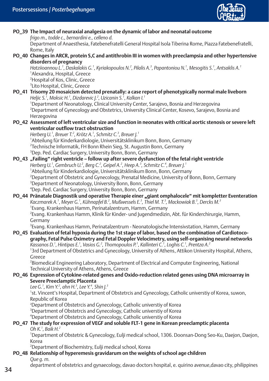

- **PO\_39 The Impact of neuraxial analgesia on the dynamic of labor and neonatal outcome** *frigo m., todde c., bernardini e., celleno d.* Department of Anaesthesia, Fatebenefratelli General Hospital Isola Tiberina Rome, Piazza Fatebenefratelli, Rome, Italy **PO\_40 Changes in ARCR, protein S,C and antithrobin III in women with preeclampsia and other hypertensive disorders of pregnancy** *Hatziioannou L.<sup>1</sup> , Daskalakis G.1 , Kyriakopoulos N.<sup>2</sup> , Pilalis A.<sup>3</sup> , Papantoniou N.<sup>1</sup> , Mesogitis S.1 , Antsaklis A.1* 1 Alexandra, Hospital, Greece 2 Hospital of Kos, Clinic, Greece 3 Lito Hospital, Clinic, Greece **PO\_41 Trisomy 20 mosaicism detected prenatally: a case report of phenotypically normal male liveborn**  *Heljic S.1 , Maksic H.<sup>1</sup> , Dizdarevic J.<sup>2</sup> , Uzicanin S.1 , Kalkan I.<sup>1</sup>* 1 Department of Neonatology, Clinical University Center, Sarajevo, Bosnia and Herzegovina 2 Department of Gynecology and Obstetrics, University Clinical Center, Kosevo, Sarajevo, Bosnia and Herzegovina **PO\_42 Assessment of left ventricular size and function in neonates with critical aortic stenosis or severe left ventricular outflow tract obstruction** *Herberg U.<sup>1</sup> , Breuer T.2 , Krötz A.<sup>1</sup> , Schmitz C.3 , Breuer J.1* 1 Abteilung für Kinderkardiologie, Universitätsklinikum Bonn, Bonn, Germany 2 Technische Informatik, FH Bonn Rhein Sieg, St. Augustin Bonn, Germany 3 Dep. Ped. Cardiac Surgery, University Bonn, Bonn, Germany **PO\_43 "Failing" right ventricle – follow up after severe dysfunction of the fetal right ventricle** *Herberg U.<sup>1</sup> , Gembruch U.<sup>2</sup> , Berg C.2 , Geipel A.2 , Heep A.3 , Schmitz C.4 , Breuer J.1* 1 Abteilung für Kinderkardiologie, Universitätsklinikum Bonn, Bonn, Germany 2 Department of Obstetric and Gynecology, Prenatal Medicine, University of Bonn, Bonn, Germany 3 Department of Neonatology, University Bonn, Bonn, Germany 4 Dep. Ped. Cardiac Surgery, University Bonn, Bonn, Germany **PO\_44 Pränatale Diagnostik und operative Therapie einer "giant omphalocele" mit kompletter Eventeration** *Kaczmarek A.1 , Meyer G.1 , Kühnapfel B.<sup>2</sup> , Mußwessels E.<sup>3</sup> , Thiel M. T.3 , Mackowiak B.3 , Dercks M.<sup>3</sup>* <sup>1</sup>Evang. Krankenhaus Hamm, Perinatalzentrum, Hamm, Germany<br><sup>2</sup>Evang, Krankenhaus Hamm, Klinik für Kinder, und Jugendmedizir Evang. Krankenhaus Hamm, Klinik für Kinder- und Jugendmedizin, Abt. für Kinderchirurgie, Hamm, Germany 3 Evang. Krankenhaus Hamm, Perinatalzentrum - Neonatologische Intensivstation, Hamm, Germany **PO\_45 Evaluation of fetal hypoxia during the 1st stage of labor, based on the combination of Cardiotocography, Fetal Pulse Oximetry and Fetal Doppler Velocimetry, using self-organising neural networks** *Kassanos D.<sup>1</sup> , Hintipas E.1 , Vasios G.2 , Thomopoulos P.<sup>1</sup> , Kallinteri C.1 , Loghis C.1 , Prentza A.2* 1 3rd Department of Obstetrics and Gynecology, University of Athens, Attikon University Hospital, Athens, **Greece** 2 Biomedical Engineering Laboratory, Department of Electrical and Computer Engineering, National Technical University of Athens, Athens, Greece **PO\_46 Expression of Cytokine-related genes and Oxido-reduction related genes using DNA microarray in Severe Preeclamptic Placenta** *Lee G.1 , Kim Y.2 , ahn H.<sup>3</sup> , Lee Y.4 , Shin J.<sup>3</sup>* <sup>1</sup>st. Vincent's Hospital, Department of Obstetrcis and Gynecology, Catholic universtiy of Korea, suwon, Republic of Korea Department of Obstetrcis and Gynecology, Catholic universtiy of Korea 3 Department of Obstetrcis and Gynecology, Catholic universtiy of Korea 4 Department of Obstetrcis and Gynecology, Catholic universtiy of Korea **PO\_47 The study for expression of VEGF and soluble FLT-1 gene in Korean preeclamptic placenta** *Oh K.<sup>1</sup> , Baik H.<sup>2</sup>* 1 Department of Obstetric & Gynecology, Eulji medical school, 1306. Doonsan-Dong Seo-Ku, Daejon, Daejon, Korea Department of Biochemistry, Eulji medical school, Korea **PO\_48 Relationship of hyperemesis gravidarum on the weights of school age children**  *Que g. m.*
- 34
- department of obstetrics and gynaecology, davao doctors hospital, e. quirino avenue,davao city, philippines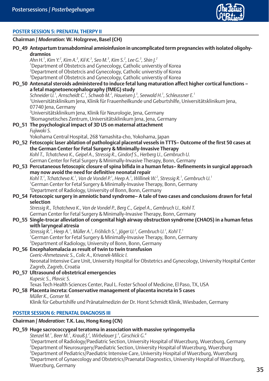

#### **POSTER SESSION 5: PRENATAL THERPY II**

#### **Chairman /** *Moderation***: W. Holzgreve, Basel (CH)**

**PO\_49 Antepartum transabdominal amnioinfusion in uncomplicated term pregnancies with isolated oligohydramnios**

| dramnios                                                                                                                                                                                  |
|-------------------------------------------------------------------------------------------------------------------------------------------------------------------------------------------|
| Ahn H. <sup>1</sup> , Kim Y. <sup>2</sup> , Kim A. <sup>3</sup> , Kil K. <sup>3</sup> , Seo M. <sup>3</sup> , Kim S. <sup>2</sup> , Lee G. <sup>3</sup> , Shin J. <sup>2</sup>            |
| <sup>1</sup> Department of Obstetrcis and Gynecology, Catholic universtiy of Korea                                                                                                        |
| <sup>2</sup> Department of Obstetrcis and Gynecology, Catholic universtiy of Korea                                                                                                        |
| <sup>3</sup> Department of Obstetrcis and Gynecology, Catholic universtiy of Korea                                                                                                        |
| - PO_50 Antenatal steroids administered to induce fetal lung maturation affect higher cortical functions                                                                                  |
| a fetal magnetoencephalography (fMEG) study                                                                                                                                               |
| Schneider U. <sup>1</sup> , Arnscheidt C. <sup>1</sup> , Schwab M. <sup>2</sup> , Haueisen J. <sup>3</sup> , Seewald H. <sup>1</sup> , Schleussner E. <sup>1</sup>                        |
| luniversitätsklinikum Jena, Klinik für Frauenheilkunde und Geburtshilfe, Universitätsklinikum Jena,                                                                                       |
| 07740 Jena, Germany                                                                                                                                                                       |
| <sup>2</sup> Universitätsklinikum Jena, Klinik für Neurologie, Jena, Germany                                                                                                              |
| <sup>3</sup> Biomagnetisches Zentrum, Universitätsklinikum Jena, Jena, Germany                                                                                                            |
| PO_51 The psychological impact of 3D US on maternal attachment                                                                                                                            |
| Fujiwaki S.                                                                                                                                                                               |
| Yokohama Central Hospital, 268 Yamashita-cho, Yokohama, Japan                                                                                                                             |
| PO_52 Fetoscopic laser ablation of pathological placental vessels in TTTS- Outcome of the first 50 cases at                                                                               |
| the German Center for Fetal Surgery & Minimally-Invasive Therapy                                                                                                                          |
| Kohl T., Tchatcheva K., Geipel A., Stressig R., Gindorf S., Herberg U., Gembruch U.                                                                                                       |
| German Center for Fetal Surgery & Minimally-Invasive Therapy, Bonn, Germany                                                                                                               |
| PO_53 Percutaneous fetoscopic closure of spina bifida in a human fetus– Refinements in surgical approach                                                                                  |
| may now avoid the need for definitive neonatal repair                                                                                                                                     |
| Kohl T. <sup>1</sup> , Tchatcheva K. <sup>1</sup> , Van de Vondel P. <sup>1</sup> , Heep A. <sup>1</sup> , Willinek W. <sup>2</sup> , Stressig R. <sup>1</sup> , Gembruch U. <sup>1</sup> |
| <sup>1</sup> German Center for Fetal Surgery & Minimally-Invasive Therapy, Bonn, Germany                                                                                                  |
| <sup>2</sup> Department of Radiology, University of Bonn, Bonn, Germany                                                                                                                   |
| PO_54 Fetoscopic surgery in amniotic band syndrome– A tale of two cases and conclusions drawn for fetal                                                                                   |
| selection                                                                                                                                                                                 |
| Stressig R., Tchatcheva K., Van de Vondel P., Berg C., Geipel A., Gembruch U., Kohl T.                                                                                                    |
| German Center for Fetal Surgery & Minimally-Invasive Therapy, Bonn, Germany                                                                                                               |
| PO_55  Single-trocar alleviation of congenital high airway obstruction syndrome (CHAOS) in a human fetus                                                                                  |

### **with laryngeal atresia** *Stressig R.1 , Heep A.1 , Müller A.1 , Fröhlich S.1 , Jäger U.2 , Gembruch U.<sup>1</sup> , Kohl T.1*

1 German Center for Fetal Surgery & Minimally-Invasive Therapy, Bonn, Germany 2 Department of Radiology, University of Bonn, Bonn, Germany

- **PO\_56 Encephalomalacia as result of twin to twin transfusion** *Gveric-Ahmetasevic S., Colic A., Krivanek-Milicic I.* Neonatal Intensive Care Unit, University Hospital for Obstetrics and Gynecology, University Hospital Center Zagreb, Zagreb, Croatia
- **PO\_57 Ultrasound of obstetrical emergencies** *Kupesic S., Plavsic S.* Texas Tech Health Sciences Center, Paul L. Foster School of Medicine, El Paso, TX, USA **PO\_58 Placenta increta: Conservative management of placenta increta in 5 cases**
- *Müller K., Gonser M.* Klinik für Geburtshilfe und Pränatalmedizin der Dr. Horst Schmidt Klinik, Wiesbaden, Germany

#### **POSTER SESSION 6: PRENATAL DIAGNOSIS III**

#### **Chairman /** *Moderation***: T.K. Lau, Hong Kong (CN)**

#### **PO\_59 Huge sacrococcygeal teratoma in association with massive syringomyelia**

*Stenzel M.<sup>1</sup> , Beer M.<sup>1</sup> , Krauß J.2 , Wirbelauer J.<sup>3</sup> , Girschick G.<sup>4</sup>*

 Department of Radiology/Paediatric Section, University Hospital of Wuerzburg, Wuerzburg, Germany Department of Neurosurgery/Paediatric Section, University Hospital of Wuerzburg, Wuerzburg Department of Pediatrics/Paediatric Intensive Care, University Hospital of Wuerzburg, Wuerzburg Department of Gynaecology and Obstetrics/Praenatal Diagnostics, University Hospital of Wuerzburg, Wuerzburg, Germany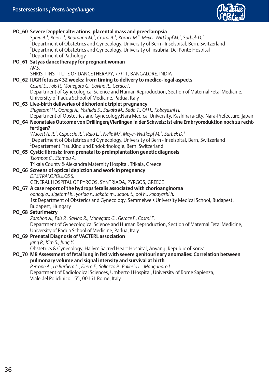

| PO_60 Severe Doppler alterations, placental mass and preeclampsia                                                                                                                 |
|-----------------------------------------------------------------------------------------------------------------------------------------------------------------------------------|
| Spreu A. <sup>1</sup> , Raio L. <sup>1</sup> , Baumann M. <sup>1</sup> , Cromi A. <sup>2</sup> , Körner M. <sup>3</sup> , Meyer-Wittkopf M. <sup>1</sup> , Surbek D. <sup>1</sup> |
| <sup>1</sup> Department of Obstetrics and Gynecology, University of Bern - Inselspital, Bern, Switzerland                                                                         |
| <sup>2</sup> Department of Obstetrics and Gynecology, University of Insubria, Del Ponte Hospital                                                                                  |
| <sup>3</sup> Department of Pathology                                                                                                                                              |
| PO_61 Satyas dancetherapy for pregnant woman                                                                                                                                      |
| AV S.                                                                                                                                                                             |
| SHRISTI INSTITUTE OF DANCETHERAPY, 77/11, BANGALORE, INDIA                                                                                                                        |
| PO_62 IUGR fetuses< 32 weeks: from timing to delivery to medico-legal aspects                                                                                                     |
| Cosmi E., Fais P., Monegato G., Savino R., Gerace F.                                                                                                                              |
| Department of Gynecological Science and Human Reproduction, Section of Maternal Fetal Medicine,                                                                                   |
| University of Padua School of Medicine, Padua, Italy                                                                                                                              |
| PO_63 Live-birth deliveries of dichorionic triplet pregnancy                                                                                                                      |
| Shiqetomi H., Oonoqi A., Yoshida S., Sakata M., Sado T., Oi H., Kobayashi H.                                                                                                      |
| Department of Obstetrics and Gynecology, Nara Medical University, Kashihara-city, Nara-Prefecture, Japan                                                                          |
| PO_64 Neonatales Outcome von Drillingen/Vierlingen in der Schweiz: Ist eine Embryoreduktion noch zu recht-                                                                        |
| fertigen?                                                                                                                                                                         |
| Wueest A. R. <sup>1</sup> , Capoccia R. <sup>1</sup> , Raio L. <sup>1</sup> , Nelle M. <sup>2</sup> , Meyer-Wittkopf M. <sup>1</sup> , Surbek D. <sup>1</sup>                     |
| <sup>1</sup> Department of Obstetrics and Gynecology, University of Bern - Inselspital, Bern, Switzerland                                                                         |
| <sup>2</sup> Departement Frau, Kind und Endokrinologie, Bern, Switzerland                                                                                                         |
| PO_65 Cystic fibrosis: from prenatal to preimplantation genetic diagnosis                                                                                                         |
| Tsompos C., Stamou A.                                                                                                                                                             |
| Trikala County & Alexandra Maternity Hospital, Trikala, Greece                                                                                                                    |
| PO_66 Screens of optical depiction and work in pregnancy                                                                                                                          |
| <b>DIMITRAKOPOULOS S.</b>                                                                                                                                                         |
| GENERAL HOSPITAL OF PYRGOS, SYNTRIADA, PYRGOS, GREECE                                                                                                                             |
| PO_67 A case report of the hydrops fetalis associated with chorioanginoma                                                                                                         |
| oonogi a., sigetomi h., yosida s., sakata m., sadou t., ooi h., kobayashi h.                                                                                                      |
| 1st Department of Obsterics and Gynecology, Semmelweis University Medical School, Budapest,                                                                                       |
| Budapest, Hungary                                                                                                                                                                 |
| PO_68 Saturimetry                                                                                                                                                                 |
| Zambon A., Fais P., Savino R., Monegato G., Gerace F., Cosmi E.                                                                                                                   |
| Department of Gynecological Science and Human Reproduction, Section of Maternal Fetal Medicine,                                                                                   |
| University of Padua School of Medicine, Padua, Italy                                                                                                                              |
| PO_69 Prenatal Diagnosis of VACTERL association                                                                                                                                   |
| Jang P., Kim S., Jung Y.                                                                                                                                                          |
| Obstetrics & Gynecology, Hallym Sacred Heart Hospital, Anyang, Republic of Korea                                                                                                  |
| PO_70 MR Assessment of fetal lung in feti with severe genitourinary anomalies: Correlation between                                                                                |
| pulmonary volume and signal intensity and survival at birth                                                                                                                       |
| Perrone A., La Barbera L., Fierro F., Sollazzo P., Ballesio L., Manganaro L.                                                                                                      |
| Department of Radiological Sciences, Umberto I Hospital, University of Rome Sapienza,                                                                                             |
| Viale del Policlinico 155, 00161 Rome, Italy                                                                                                                                      |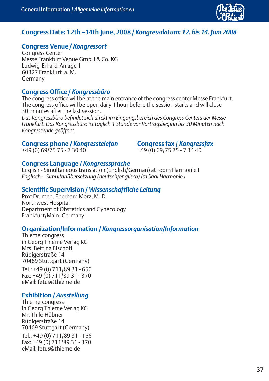

#### **Congress Date: 12th –14th June, 2008** */ Kongressdatum: 12. bis 14. Juni 2008*

#### **Congress Venue** */ Kongressort*

Congress Center Messe Frankfurt Venue GmbH & Co. KG Ludwig-Erhard-Anlage 1 60327 Frankfurt a. M. Germany

#### **Congress Office** */ Kongressbüro*

The congress office will be at the main entrance of the congress center Messe Frankfurt. The congress office will be open daily 1 hour before the session starts and will close 30 minutes after the last session.

*Das Kongressbüro befindet sich direkt im Eingangsbereich des Congress Centers der Messe Frankfurt. Das Kongressbüro ist täglich 1 Stunde vor Vortragsbeginn bis 30 Minuten nach Kongressende geöffnet.*

## **Congress phone** */ Kongresstelefon* **Congress fax /** *Kongressfax*

 $+49(0)$  69/75 75 - 7 30 40

#### **Congress Language** */ Kongresssprache*

English - Simultaneous translation (English/German) at room Harmonie I *Englisch – Simultanübersetzung (deutsch/englisch) im Saal Harmonie I*

#### **Scientific Supervision** */ Wissenschaftliche Leitung*

Prof Dr. med. Eberhard Merz, M. D. Northwest Hospital Department of Obstetrics and Gynecology Frankfurt/Main, Germany

#### **Organization/Information** */ Kongressorganisation/Information*

Thieme.congress in Georg Thieme Verlag KG Mrs. Bettina Bischoff Rüdigerstraße 14 70469 Stuttgart (Germany) Tel.: +49 (0) 711/89 31 - 650 Fax: +49 (0) 711/89 31 - 370 eMail: fetus@thieme.de

#### **Exhibition** */ Ausstellung*

Thieme.congress in Georg Thieme Verlag KG Mr. Thilo Hübner Rüdigerstraße 14 70469 Stuttgart (Germany) Tel.: +49 (0) 711/89 31 - 166 Fax: +49 (0) 711/89 31 - 370 eMail: fetus@thieme.de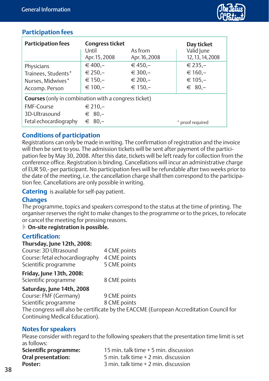

#### **Participation fees**

| <b>Participation fees</b>                                                                                                                                                            | <b>Congress ticket</b><br>Until<br>Apr. 15, 2008 | As from<br>Apr. 16, 2008                         | Day ticket<br>Valid June<br>12, 13, 14, 2008    |
|--------------------------------------------------------------------------------------------------------------------------------------------------------------------------------------|--------------------------------------------------|--------------------------------------------------|-------------------------------------------------|
| Physicians<br>Trainees, Students*<br>Nurses, Midwives*<br>Accomp. Person                                                                                                             | $∈ 400,-$<br>$∈ 250,-$<br>$∈ 150,-$<br>$∈ 100,-$ | $∈ 450,-$<br>$∈ 300,-$<br>$∈ 200,-$<br>$∈ 150,-$ | $€ 235,-$<br>$∈ 160,-$<br>$∈ 105,-$<br>$∈$ 80,- |
| <b>Courses</b> (only in combination with a congress ticket)<br><b>FMF-Course</b><br>$∈ 210,-$<br>3D-Ultrasound<br>$∈$ 80,-<br>Fetal echocardiography<br>$∈$ 80.-<br>* proof required |                                                  |                                                  |                                                 |

#### **Conditions of participation**

Registrations can only be made in writing. The confirmation of registration and the invoice will then be sent to you. The admission tickets will be sent after payment of the participation fee by May 30, 2008. After this date, tickets will be left ready for collection from the conference office. Registration is binding. Cancellations will incur an administrative charge of EUR 50,- per participant. No participation fees will be refundable after two weeks prior to the date of the meeting, i.e. the cancellation charge shall then correspond to the participation fee. Cancellations are only possible in writing.

**Catering** is available for self-pay patient.

#### **Changes**

The programme, topics and speakers correspond to the status at the time of printing. The organiser reserves the right to make changes to the programme or to the prices, to relocate or cancel the meeting for pressing reasons.

#### **On-site registration is possible.**

#### **Certification:**

#### **Thursday, June 12th, 2008:**

| Course: 3D Ultrasound                       | 4 CME points |
|---------------------------------------------|--------------|
| Course: fetal echocardiography 4 CME points |              |
| Scientific programme                        | 5 CME points |

#### **Friday, June 13th, 2008:**

| Scientific programme | 8 CME points |
|----------------------|--------------|
|                      |              |

#### **Saturday, June 14th, 2008**

Course: FMF (Germany) 9 CME points Scientific programme 8 CME points

The congress will also be certificate by the EACCME (European Accreditation Council for Continuing Medical Education).

#### **Notes for speakers**

Please consider with regard to the following speakers that the presentation time limit is set as follows:

| Scientific programme: | 15 min. talk time + 5 min. discussion |
|-----------------------|---------------------------------------|
| Oral presentation:    | 5 min. talk time + 2 min. discussion  |
| Poster:               | 3 min. talk time + 2 min. discussion  |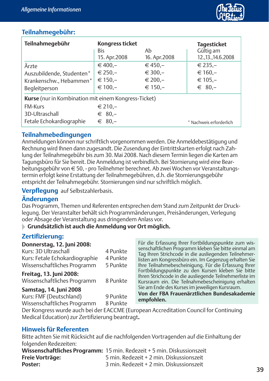

#### **Teilnahmegebühr:**

| Teilnahmegebühr                                                                                                          | Kongress ticket<br>Bis<br>15. Apr. 2008          | Ab<br>16. Apr. 2008                                | <b>Tagesticket</b><br>Gültig am<br>12., 13., 14.6. 2008 |
|--------------------------------------------------------------------------------------------------------------------------|--------------------------------------------------|----------------------------------------------------|---------------------------------------------------------|
| Ärzte<br>Auszubildende, Studenten*<br>Krankenschw., Hebammen*<br>Begleitperson                                           | $∈ 400,-$<br>$∈ 250,-$<br>$∈ 150,-$<br>$∈ 100,-$ | $∈ 450,-$<br>$\in$ 300,-<br>$∈ 200,-$<br>$∈ 150,-$ | $€ 235,-$<br>$∈ 160,-$<br>$∈ 105,-$<br>$∈ 80,-$         |
| <b>Kurse</b> (nur in Kombination mit einem Kongress-Ticket)<br><b>FM-Kurs</b><br>$∈ 210,-$<br>3D-Ultraschall<br>$∈$ 80,- |                                                  |                                                    |                                                         |
| Fetale Echokardiographie                                                                                                 | $∈$ 80.-                                         |                                                    | * Nachweis erforderlich                                 |

#### **Teilnahmebedingungen**

Anmeldungen können nur schriftlich vorgenommen werden. Die Anmeldebestätigung und Rechnung wird Ihnen dann zugesandt. Die Zusendung der Eintrittskarten erfolgt nach Zahlung der Teilnahmegebühr bis zum 30. Mai 2008. Nach diesem Termin liegen die Karten am Tagungsbüro für Sie bereit. Die Anmeldung ist verbindlich. Bei Stornierung wird eine Bearbeitungsgebühr von € 50, - pro Teilnehmer berechnet. Ab zwei Wochen vor Veranstaltungstermin erfolgt keine Erstattung der Teilnahmegebühren, d.h. die Stornierungsgebühr entspricht der Teilnahmegebühr. Stornierungen sind nur schriftlich möglich.

#### **Verpflegung** auf Selbstzahlerbasis.

#### **Änderungen**

Das Programm, Themen und Referenten entsprechen dem Stand zum Zeitpunkt der Drucklegung. Der Veranstalter behält sich Programmänderungen, Preisänderungen, Verlegung oder Absage der Veranstaltung aus dringendem Anlass vor.

#### **Grundsätzlich ist auch die Anmeldung vor Ort möglich.**

#### **Zertifizierung:**

| Donnerstag, 12. Juni 2008:<br>Kurs: 3D Ultraschall<br>Kurs: Fetale Echokardiographie<br>Wissenschaftliches Programm<br>Freitag, 13. Juni 2008:<br>Wissenschaftliches Programm<br>Samstag, 14. Juni 2008<br>Kurs: FMF (Deutschland) | 4 Punkte<br>4 Punkte<br>5 Punkte<br>8 Punkte<br>9 Punkte | Für die Erfassung Ihrer Fortbildungspunkte zum wis-<br>senschaftlichen Programm kleben Sie bitte einmal am<br>Tag Ihren Strichcode in die ausliegenden Teilnehmer-<br>listen am Kongressbüro ein. Im Gegenzug erhalten Sie<br>Ihre Teilnahmebescheinigung. Für die Erfassung Ihrer<br>Fortbildungspunkte zu den Kursen kleben Sie bitte<br>Ihren Strichcode in die ausliegende Teilnehmerliste im<br>Kursraum ein. Die Teilnahmebescheinigung erhalten<br>Sie am Ende des Kurses im jeweiligen Kursraum.<br>Von der FBA Frauenärztlichen Bundesakademie<br>empfohlen. |
|------------------------------------------------------------------------------------------------------------------------------------------------------------------------------------------------------------------------------------|----------------------------------------------------------|-----------------------------------------------------------------------------------------------------------------------------------------------------------------------------------------------------------------------------------------------------------------------------------------------------------------------------------------------------------------------------------------------------------------------------------------------------------------------------------------------------------------------------------------------------------------------|
| Wissenschaftliches Programm                                                                                                                                                                                                        | 8 Punkte                                                 |                                                                                                                                                                                                                                                                                                                                                                                                                                                                                                                                                                       |

Der Kongress wurde auch bei der EACCME (European Accreditation Council for Continuing Medical Education) zur Zertifizierung beantragt**.**

#### **Hinweis für Referenten**

Bitte achten Sie mit Rücksicht auf die nachfolgenden Vortragenden auf die Einhaltung der folgenden Redezeiten:

|                        | Wissenschaftliches Programm: 15 min. Redezeit + 5 min. Diskussionszeit |
|------------------------|------------------------------------------------------------------------|
| <b>Freie Vorträge:</b> | 5 min. Redezeit + 2 min. Diskussionszeit                               |
| Poster:                | 3 min. Redezeit + 2 min. Diskussionszeit                               |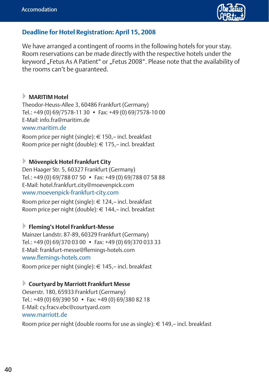

#### **Deadline for Hotel Registration: April 15, 2008**

We have arranged a contingent of rooms in the following hotels for your stay. Room reservations can be made directly with the respective hotels under the keyword "Fetus As A Patient" or "Fetus 2008". Please note that the availability of the rooms can't be guaranteed.

#### **MARITIM Hotel**

Theodor-Heuss-Allee 3, 60486 Frankfurt (Germany) Tel.: +49 (0) 69/7578-11 30 • Fax: +49 (0) 69/7578-10 00 E-Mail: info.fra@maritim.de www.maritim.de

Room price per night (single): € 150,– incl. breakfast Room price per night (double): € 175,– incl. breakfast

#### **Mövenpick Hotel Frankfurt City**

Den Haager Str. 5, 60327 Frankfurt (Germany) Tel.: +49 (0) 69/788 07 50 • Fax: +49 (0) 69/788 07 58 88 E-Mail: hotel.frankfurt.city@moevenpick.com www.moevenpick-frankfurt-city.com

Room price per night (single): € 124,– incl. breakfast Room price per night (double): € 144,– incl. breakfast

#### **Fleming's Hotel Frankfurt-Messe**

Mainzer Landstr. 87-89, 60329 Frankfurt (Germany) Tel.: +49 (0) 69/370 03 00 • Fax: +49 (0) 69/370 033 33 E-Mail: frankfurt-messe@flemings-hotels.com www.flemings-hotels.com

Room price per night (single): € 145,– incl. breakfast

#### **Courtyard by Marriott Frankfurt Messe**

Oeserstr. 180, 65933 Frankfurt (Germany) Tel.: +49 (0) 69/390 50 • Fax: +49 (0) 69/380 82 18 E-Mail: cy.fracv.ebc@courtyard.com www.marriott.de

Room price per night (double rooms for use as single): € 149,– incl. breakfast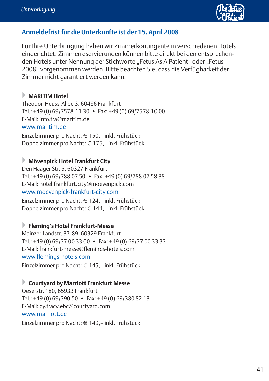

#### **Anmeldefrist für die Unterkünfte ist der 15. April 2008**

Für Ihre Unterbringung haben wir Zimmerkontingente in verschiedenen Hotels eingerichtet. Zimmerreservierungen können bitte direkt bei den entsprechenden Hotels unter Nennung der Stichworte "Fetus As A Patient" oder "Fetus 2008" vorgenommen werden. Bitte beachten Sie, dass die Verfügbarkeit der Zimmer nicht garantiert werden kann.

**MARITIM Hotel**

Theodor-Heuss-Allee 3, 60486 Frankfurt Tel.: +49 (0) 69/7578-11 30 • Fax: +49 (0) 69/7578-10 00 E-Mail: info.fra@maritim.de www.maritim.de Einzelzimmer pro Nacht: € 150,– inkl. Frühstück Doppelzimmer pro Nacht: € 175,– inkl. Frühstück

#### **Mövenpick Hotel Frankfurt City**

Den Haager Str. 5, 60327 Frankfurt Tel.: +49 (0) 69/788 07 50 • Fax: +49 (0) 69/788 07 58 88 E-Mail: hotel.frankfurt.city@moevenpick.com www.moevenpick-frankfurt-city.com

Einzelzimmer pro Nacht: € 124,– inkl. Frühstück Doppelzimmer pro Nacht: € 144,– inkl. Frühstück

#### **Fleming's Hotel Frankfurt-Messe**

Mainzer Landstr. 87-89, 60329 Frankfurt Tel.: +49 (0) 69/37 00 33 00 • Fax: +49 (0) 69/37 00 33 33 E-Mail: frankfurt-messe@flemings-hotels.com www.flemings-hotels.com

Einzelzimmer pro Nacht: € 145,– inkl. Frühstück

#### **Courtyard by Marriott Frankfurt Messe**

Oeserstr. 180, 65933 Frankfurt Tel.: +49 (0) 69/390 50 • Fax: +49 (0) 69/380 82 18 E-Mail: cy.fracv.ebc@courtyard.com www.marriott.de Einzelzimmer pro Nacht: € 149,– inkl. Frühstück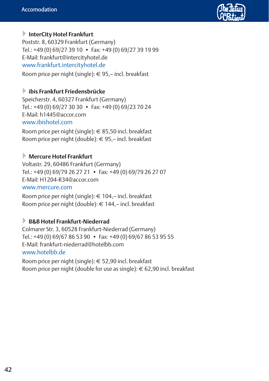

#### **InterCity Hotel Frankfurt**

Poststr. 8, 60329 Frankfurt (Germany) Tel.: +49 (0) 69/27 39 10 • Fax: +49 (0) 69/27 39 19 99 E-Mail: frankfurt@intercityhotel.de www.frankfurt.intercityhotel.de

Room price per night (single): € 95,– incl. breakfast

#### **ibis Frankfurt Friedensbrücke**

Speicherstr. 4, 60327 Frankfurt (Germany) Tel.: +49 (0) 69/27 30 30 • Fax: +49 (0) 69/23 70 24 E-Mail: h1445@accor.com www.jbishotel.com

Room price per night (single): € 85,50 incl. breakfast Room price per night (double): € 95,– incl. breakfast

#### **Mercure Hotel Frankfurt**

Voltastr. 29, 60486 Frankfurt (Germany) Tel.: +49 (0) 69/79 26 27 21 • Fax: +49 (0) 69/79 26 27 07 E-Mail: H1204-R34@accor.com www.mercure.com

Room price per night (single): € 104,– incl. breakfast Room price per night (double): € 144,– incl. breakfast

#### **B&B Hotel Frankfurt-Niederrad**

Colmarer Str. 3, 60528 Frankfurt-Niederrad (Germany) Tel.: +49 (0) 69/67 86 53 90 • Fax: +49 (0) 69/67 86 53 95 55 E-Mail: frankfurt-niederrad@hotelbb.com www.hotelbb.de

Room price per night (single): € 52,90 incl. breakfast Room price per night (double for use as single): € 62,90 incl. breakfast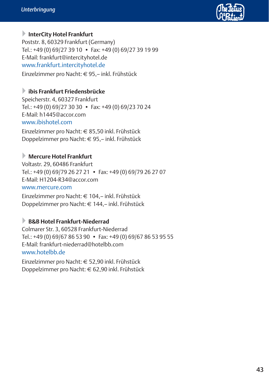

#### **InterCity Hotel Frankfurt** Poststr. 8, 60329 Frankfurt (Germany) Tel.: +49 (0) 69/27 39 10 • Fax: +49 (0) 69/27 39 19 99 E-Mail: frankfurt@intercityhotel.de www.frankfurt.intercityhotel.de

Einzelzimmer pro Nacht: € 95,– inkl. Frühstück

#### **ibis Frankfurt Friedensbrücke**

Speicherstr. 4, 60327 Frankfurt Tel.: +49 (0) 69/27 30 30 • Fax: +49 (0) 69/23 70 24 E-Mail: h1445@accor.com www.jbishotel.com

Einzelzimmer pro Nacht: € 85,50 inkl. Frühstück Doppelzimmer pro Nacht: € 95,– inkl. Frühstück

#### **Mercure Hotel Frankfurt**

Voltastr. 29, 60486 Frankfurt Tel.: +49 (0) 69/79 26 27 21 • Fax: +49 (0) 69/79 26 27 07 E-Mail: H1204-R34@accor.com www.mercure.com Einzelzimmer pro Nacht: € 104,– inkl. Frühstück

Doppelzimmer pro Nacht: € 144,– inkl. Frühstück

#### **B&B Hotel Frankfurt-Niederrad**

Colmarer Str. 3, 60528 Frankfurt-Niederrad Tel.: +49 (0) 69/67 86 53 90 • Fax: +49 (0) 69/67 86 53 95 55 E-Mail: frankfurt-niederrad@hotelbb.com www.hotelbb.de

Einzelzimmer pro Nacht: € 52,90 inkl. Frühstück Doppelzimmer pro Nacht: € 62,90 inkl. Frühstück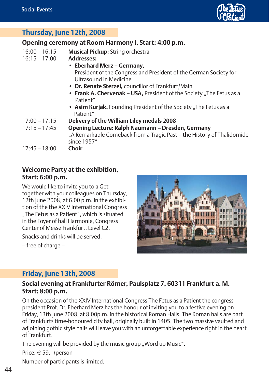

#### **Thursday, June 12th, 2008**

#### **Opening ceremony at Room Harmony I, Start: 4:00 p.m.**

| $16:00 - 16:15$ | Musical Pickup: String orchestra                                                                                                           |
|-----------------|--------------------------------------------------------------------------------------------------------------------------------------------|
| $16:15 - 17:00$ | Addresses:                                                                                                                                 |
|                 | • Eberhard Merz - Germany,                                                                                                                 |
|                 | President of the Congress and President of the German Society for                                                                          |
|                 | Ultrasound in Medicine                                                                                                                     |
|                 | • Dr. Renate Sterzel, councillor of Frankfurt/Main                                                                                         |
|                 | • Frank A. Chervenak – USA, President of the Society "The Fetus as a<br>Patient"                                                           |
|                 | • Asim Kurjak, Founding President of the Society "The Fetus as a<br>Patient"                                                               |
| $17:00 - 17:15$ | Delivery of the William Liley medals 2008                                                                                                  |
| $17:15 - 17:45$ | Opening Lecture: Ralph Naumann - Dresden, Germany<br>"A Remarkable Comeback from a Tragic Past - the History of Thalidomide<br>since 1957" |
| $17:45 - 18:00$ | Choir                                                                                                                                      |

#### **Welcome Party at the exhibition, Start: 6:00 p.m.**

We would like to invite you to a Gettogether with your colleagues on Thursday, 12th June 2008, at 6.00 p.m. in the exhibition of the the XXIV International Congress "The Fetus as a Patient", which is situated in the Foyer of hall Harmonie, Congress Center of Messe Frankfurt, Level C2.

Snacks and drinks will be served.

– free of charge –

#### **Friday, June 13th, 2008**

#### **Social evening at Frankfurter Römer, Paulsplatz 7, 60311 Frankfurt a. M. Start: 8:00 p.m.**

On the occasion of the XXIV International Congress The Fetus as a Patient the congress president Prof. Dr. Eberhard Merz has the honour of inviting you to a festive evening on Friday, 13th June 2008, at 8.00p.m. in the historical Roman Halls. The Roman halls are part of Frankfurts time-honoured city hall, originally built in 1405. The two massive vaulted and adjoining gothic style halls will leave you with an unforgettable experience right in the heart of Frankfurt.

The evening will be provided by the music group "Word up Music".

Price: € 59,–/person

Number of participants is limited.

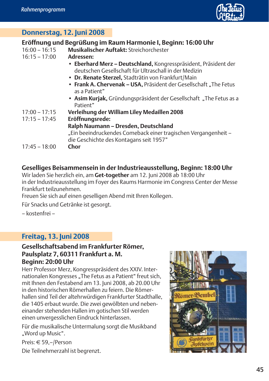

### **Donnerstag, 12. Juni 2008**

#### **Eröffnung und Begrüßung im Raum Harmonie I, Beginn: 16:00 Uhr**

|                 | El'Olinung und begrüßung im Kaum Harmonie I, beginn: 16:00 Onr                                                           |
|-----------------|--------------------------------------------------------------------------------------------------------------------------|
| $16:00 - 16:15$ | <b>Musikalischer Auftakt: Streichorchester</b>                                                                           |
| $16:15 - 17:00$ | Adressen:                                                                                                                |
|                 | · Eberhard Merz - Deutschland, Kongresspräsident, Präsident der<br>deutschen Gesellschaft für Ultraschall in der Medizin |
|                 | • Dr. Renate Sterzel, Stadträtin von Frankfurt/Main                                                                      |
|                 | • Frank A. Chervenak - USA, Präsident der Gesellschaft "The Fetus<br>as a Patient"                                       |
|                 | • Asim Kurjak, Gründungspräsident der Gesellschaft "The Fetus as a<br>Patient"                                           |
| $17:00 - 17:15$ | Verleihung der William Liley Medaillen 2008                                                                              |
| $17:15 - 17:45$ | Eröffnungsrede:                                                                                                          |
|                 | Ralph Naumann - Dresden, Deutschland                                                                                     |
|                 | "Ein beeindruckendes Comeback einer tragischen Vergangenheit-<br>die Geschichte des Kontagans seit 1957"                 |
| $17:45 - 18:00$ | Chor                                                                                                                     |
|                 |                                                                                                                          |

#### **Geselliges Beisammensein in der Industrieausstellung, Beginn: 18:00 Uhr**

Wir laden Sie herzlich ein, am **Get-together** am 12. Juni 2008 ab 18:00 Uhr in der Industrieausstellung im Foyer des Raums Harmonie im Congress Center der Messe Frankfurt teilzunehmen.

Freuen Sie sich auf einen geselligen Abend mit Ihren Kollegen.

Für Snacks und Getränke ist gesorgt.

– kostenfrei –

#### **Freitag, 13. Juni 2008**

#### **Gesellschaftsabend im Frankfurter Römer, Paulsplatz 7, 60311 Frankfurt a. M. Beginn: 20:00 Uhr**

Herr Professor Merz, Kongresspräsident des XXIV. Internationalen Kongresses "The Fetus as a Patient" freut sich, mit Ihnen den Festabend am 13. Juni 2008, ab 20.00 Uhr in den historischen Römerhallen zu feiern. Die Römerhallen sind Teil der altehrwürdigen Frankfurter Stadthalle, die 1405 erbaut wurde. Die zwei gewölbten und nebeneinander stehenden Hallen im gotischen Stil werden einen unvergesslichen Eindruck hinterlassen.

Für die musikalische Untermalung sorgt die Musikband "Word up Music".

Preis: € 59,–/Person

Die Teilnehmerzahl ist begrenzt.

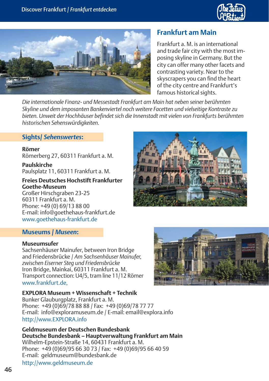



#### **Frankfurt am Main**

Frankfurt a. M. is an international and trade fair city with the most imposing skyline in Germany. But the city can offer many other facets and contrasting variety. Near to the skyscrapers you can find the heart of the city centre and Frankfurt's famous historical sights.

*Die internationale Finanz- und Messestadt Frankfurt am Main hat neben seiner berühmten Skyline und dem imposanten Bankenviertel noch weitere Facetten und vielseitige Kontraste zu bieten. Unweit der Hochhäuser befindet sich die Innenstadt mit vielen von Frankfurts berühmten historischen Sehenswürdigkeiten.*

#### **Sights/** *Sehenswertes***:**

**Römer** Römerberg 27, 60311 Frankfurt a. M.

**Paulskirche** Paulsplatz 11, 60311 Frankfurt a. M.

#### **Freies Deutsches Hochstift Frankfurter Goethe-Museum**

Großer Hirschgraben 23-25 60311 Frankfurt a. M. Phone: +49 (0) 69/13 88 00 E-mail: info@goethehaus-frankfurt.de www.goethehaus-frankfurt.de

#### **Museums /** *Museen***:**

#### **Museumsufer**

Sachsenhäuser Mainufer, between Iron Bridge and Friedensbrücke / *Am Sachsenhäuser Mainufer, zwischen Eiserner Steg und Friedensbrücke* Iron Bridge, Mainkai, 60311 Frankfurt a. M. Transport connection: U4/5, tram line 11/12 Römer www.frankfurt.de,

**EXPLORA Museum + Wissenschaft + Technik** Bunker Glauburgplatz, Frankfurt a. M. Phone: +49 (0)69/78 88 88 / Fax: +49 (0)69/78 77 77 E-mail: info@exploramuseum.de / E-mail: email@explora.info http://www.EXPLORA.info

**Geldmuseum der Deutschen Bundesbank Deutsche Bundesbank – Hauptverwaltung Frankfurt am Main**  Wilhelm-Epstein-Straße 14, 60431 Frankfurt a. M. Phone: +49 (0)69/95 66 30 73 / Fax: +49 (0)69/95 66 40 59 E-mail: geldmuseum@bundesbank.de http://www.geldmuseum.de



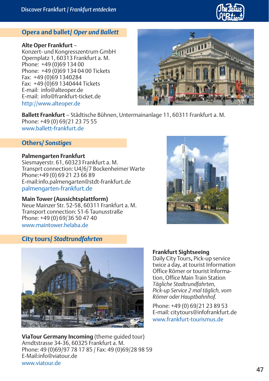

#### **Opera and ballet/** *Oper und Ballett*

#### **Alte Oper Frankfurt** –

Konzert- und Kongresszentrum GmbH Opernplatz 1, 60313 Frankfurt a. M. Phone: +49 (0)69 134 00 Phone: +49 (0)69 134 04 00 Tickets Fax: +49 (0)69 1340284 Fax: +49 (0)69 1340444 Tickets E-mail: info@alteoper.de E-mail: info@frankfurt-ticket.de http://www.alteoper.de



**Ballett Frankfurt** – Städtische Bühnen, Untermainanlage 11, 60311 Frankfurt a. M. Phone: +49 (0) 69/21 23 75 55 www.ballett-frankfurt.de

#### **Others***/ Sonstiges*

#### **Palmengarten Frankfurt**

Siesmayerstr. 61, 60323 Frankfurt a. M. Transprt connection: U4/6/7 Bockenheimer Warte Phone:+49 (0) 69 21 23 66 89 E-mail:info.palmengarten@stdt-frankfurt.de palmengarten-frankfurt.de

#### **Main Tower (Aussichtsplattform)**

Neue Mainzer Str. 52-58, 60311 Frankfurt a. M. Transport connection: S1-6 Taunusstraße Phone: +49 (0) 69/36 50 47 40 www.maintower.helaba.de



#### **City tours/** *Stadtrundfahrten*



**ViaTour Germany Incoming** (theme guided tour) Arndtstrasse 34-36, 60325 Frankfurt a. M. Phone: 49 (0)69/97 78 17 85 / Fax: 49 (0)69/28 98 59 E-Mail:info@viatour.de www.viatour.de

#### **Frankfurt Sightseeing**

Daily City Tours**,** Pick-up service twice a day, at tourist Information Office Römer or tourist Information, Office Main Train Station *Tägliche Stadtrundfahrten, Pick-up Service 2 mal täglich, vom Römer oder Hauptbahnhof.*

Phone: +49 (0) 69/21 23 89 53 E-mail: citytours@infofrankfurt.de www.frankfurt-tourismus.de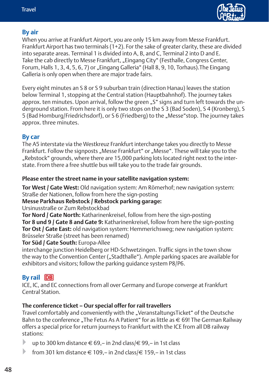

#### **By air**

When you arrive at Frankfurt Airport, you are only 15 km away from Messe Frankfurt. Frankfurt Airport has two terminals (1+2). For the sake of greater clarity, these are divided into separate areas. Terminal 1 is divided into A, B, and C, Terminal 2 into D and E. Take the cab directly to Messe Frankfurt, "Eingang City" (Festhalle, Congress Center, Forum, Halls 1, 3, 4, 5, 6, 7) or "Eingang Galleria" (Hall 8, 9, 10, Torhaus). The Eingang Galleria is only open when there are major trade fairs.

Every eight minutes an S 8 or S 9 suburban train (direction Hanau) leaves the station below Terminal 1, stopping at the Central station (Hauptbahnhof). The journey takes approx. ten minutes. Upon arrival, follow the green "S" signs and turn left towards the underground station. From here it is only two stops on the S 3 (Bad Soden), S 4 (Kronberg), S 5 (Bad Homburg/Friedrichsdorf), or S 6 (Friedberg) to the "Messe"stop. The journey takes approx. three minutes.

#### **By car**

The A5 interstate via the Westkreuz Frankfurt interchange takes you directly to Messe Frankfurt. Follow the signposts "Messe Frankfurt" or "Messe". These will take you to the "Rebstock" grounds, where there are 15,000 parking lots located right next to the interstate. From there a free shuttle bus will take you to the trade fair grounds.

#### **Please enter the street name in your satellite navigation system:**

**Tor West / Gate West:** Old navigation system: Am Römerhof; new navigation system: Straße der Nationen, follow from here the sign-posting

#### **Messe Parkhaus Rebstock / Rebstock parking garage:**

Ursinusstraße or Zum Rebstockbad

**Tor Nord / Gate North:** Katharinenkreisel, follow from here the sign-posting **Tor 8 und 9 / Gate 8 and Gate 9:** Katharinenkreisel, follow from here the sign-posting **Tor Ost / Gate East:** old navigation system: Hemmerichsweg; new navigation system: Brüsseler Straße (street has been renamed)

#### **Tor Süd / Gate South:** Europa-Allee

interchange junction Heidelberg or HD-Schwetzingen. Traffic signs in the town show the way to the Convention Center ("Stadthalle"). Ample parking spaces are available for exhibitors and visitors; follow the parking guidance system P8/P6.

#### **By rail**

ICE, IC, and EC connections from all over Germany and Europe converge at Frankfurt Central Station.

#### **The conference ticket – Our special offer for rail travellers**

Travel comfortably and conveniently with the "VeranstaltungsTicket" of the Deutsche Bahn to the conference "The Fetus As A Patient" for as little as  $\in$  69! The German Railway offers a special price for return journeys to Frankfurt with the ICE from all DB railway stations:

- Þ up to 300 km distance € 69,– in 2nd class/€ 99,– in 1st class
- Þ from 301 km distance € 109,– in 2nd class/€ 159,– in 1st class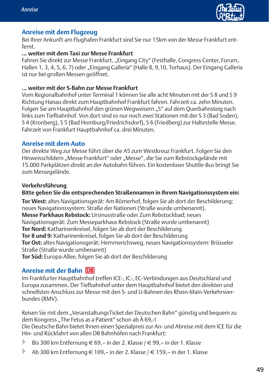

#### **Anreise mit dem Flugzeug**

Bei Ihrer Ankunft am Flughafen Frankfurt sind Sie nur 15km von der Messe Frankfurt entfernt.

#### **... weiter mit dem Taxi zur Messe Frankfurt**

Fahren Sie direkt zur Messe Frankfurt, "Eingang City" (Festhalle, Congress Center, Forum, Hallen 1, 3, 4, 5, 6, 7) oder "Eingang Galleria" (Halle 8, 9, 10, Torhaus). Der Eingang Galleria ist nur bei großen Messen geöffnet.

#### **... weiter mit der S-Bahn zur Messe Frankfurt**

Vom Regionalbahnhof unter Terminal 1 können Sie alle acht Minuten mit der S 8 und S 9 Richtung Hanau direkt zum Hauptbahnhof Frankfurt fahren. Fahrzeit ca. zehn Minuten. Folgen Sie am Hauptbahnhof den grünen Wegweisern "S" auf dem Querbahnsteig nach links zum Tiefbahnhof. Von dort sind es nur noch zwei Stationen mit der S 3 (Bad Soden), S 4 (Kronberg), S 5 (Bad Homburg/Friedrichsdorf), S 6 (Friedberg) zur Haltestelle Messe. Fahrzeit von Frankfurt Hauptbahnhof ca. drei Minuten.

#### **Anreise mit dem Auto**

Der direkte Weg zur Messe führt über die A5 zum Westkreuz Frankfurt. Folgen Sie den Hinweisschildern "Messe Frankfurt" oder "Messe", die Sie zum Rebstockgelände mit 15.000 Parkplätzen direkt an der Autobahn führen. Ein kostenloser Shuttle-Bus bringt Sie zum Messegelände.

#### **Verkehrsführung**

#### **Bitte geben Sie die entsprechenden Straßennamen in Ihrem Navigationssystem ein:**

**Tor West:** altes Navigationsgerät: Am Römerhof, folgen Sie ab dort der Beschilderung; neues Navigationssystem: Straße der Nationen (Straße wurde umbenannt). **Messe Parkhaus Rebstock:** Ursinusstraße oder Zum Rebstockbad; neues Navigationsgerät: Zum Messeparkhaus Rebstock (Straße wurde umbenannt) **Tor Nord:** Katharinenkreisel, folgen Sie ab dort der Beschilderung **Tor 8 und 9:** Katharinenkreisel, folgen Sie ab dort der Beschilderung **Tor Ost:** altes Navigationsgerät: Hemmerichsweg, neues Navigationssystem: Brüsseler Straße (Straße wurde umbenannt)

**Tor Süd:** Europa-Allee, folgen Sie ab dort der Beschilderung

#### **Anreise mit der Bahn**

Im Frankfurter Hauptbahnhof treffen ICE-, IC-, EC-Verbindungen aus Deutschland und Europa zusammen. Der Tiefbahnhof unter dem Hauptbahnhof bietet den direkten und schnellsten Anschluss zur Messe mit den S- und U-Bahnen des Rhein-Main-Verkehrsverbundes (RMV).

Reisen Sie mit dem "VeranstaltungsTicket der Deutschen Bahn" günstig und bequem zu dem Kongress "The Fetus as a Patient" schon ab  $\ddot{A}$  69,-!

Die Deutsche Bahn bietet Ihnen einen Spezialpreis zur An- und Abreise mit dem ICE für die Hin- und Rückfahrt von allen DB Bahnhöfen nach Frankfurt:

- Þ Bis 300 km Entfernung € 69,– in der 2. Klasse / € 99,– in der 1. Klasse
- Þ Ab 300 km Entfernung  $\in$  109, – in der 2. Klasse /  $\in$  159, – in der 1. Klasse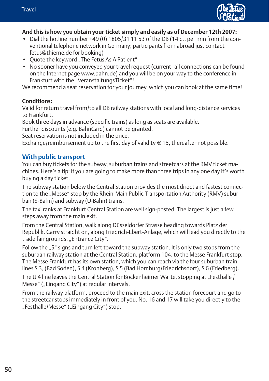

#### **And this is how you obtain your ticket simply and easily as of December 12th 2007:**

- Dial the hotline number +49 (0) 1805/31 11 53 of the DB (14 ct. per min from the conventional telephone network in Germany; participants from abroad just contact fetus@thieme.de for booking)
- Ouote the keyword . The Fetus As A Patient"
- No sooner have you conveyed your travel request (current rail connections can be found on the Internet page www.bahn.de) and you will be on your way to the conference in Frankfurt with the "VeranstaltungsTicket"!

We recommend a seat reservation for your journey, which you can book at the same time!

#### **Conditions:**

Valid for return travel from/to all DB railway stations with local and long-distance services to Frankfurt.

Book three days in advance (specific trains) as long as seats are available.

Further discounts (e.g. BahnCard) cannot be granted.

Seat reservation is not included in the price.

Exchange/reimbursement up to the first day of validity  $\in$  15, thereafter not possible.

#### **With public transport**

You can buy tickets for the subway, suburban trains and streetcars at the RMV ticket machines. Here's a tip: If you are going to make more than three trips in any one day it's worth buying a day ticket.

The subway station below the Central Station provides the most direct and fastest connection to the "Messe" stop by the Rhein-Main Public Transportation Authority (RMV) suburban (S-Bahn) and subway (U-Bahn) trains.

The taxi ranks at Frankfurt Central Station are well sign-posted. The largest is just a few steps away from the main exit.

From the Central Station, walk along Düsseldorfer Strasse heading towards Platz der Republik. Carry straight on, along Friedrich-Ebert-Anlage, which will lead you directly to the trade fair grounds, "Entrance City".

Follow the "S" signs and turn left toward the subway station. It is only two stops from the suburban railway station at the Central Station, platform 104, to the Messe Frankfurt stop. The Messe Frankfurt has its own station, which you can reach via the four suburban train lines S 3, (Bad Soden), S 4 (Kronberg), S 5 (Bad Homburg/Friedrichsdorf), S 6 (Friedberg).

The U 4 line leaves the Central Station for Bockenheimer Warte, stopping at "Festhalle / Messe" ("Eingang City") at regular intervals.

From the railway platform, proceed to the main exit, cross the station forecourt and go to the streetcar stops immediately in front of you. No. 16 and 17 will take you directly to the "Festhalle/Messe" ("Eingang City") stop.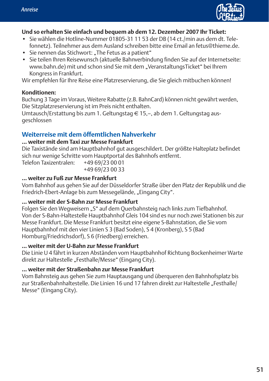

#### **Und so erhalten Sie einfach und bequem ab dem 12. Dezember 2007 Ihr Ticket:**

- Sie wählen die Hotline-Nummer 01805-31 11 53 der DB (14 ct./min aus dem dt. Telefonnetz). Teilnehmer aus dem Ausland schreiben bitte eine Email an fetus@thieme.de.
- Sie nennen das Stichwort: "The Fetus as a patient"
- Sie teilen Ihren Reisewunsch (aktuelle Bahnverbindung finden Sie auf der Internetseite: www.bahn.de) mit und schon sind Sie mit dem "VeranstaltungsTicket" bei Ihrem Kongress in Frankfurt.

Wir empfehlen für Ihre Reise eine Platzreservierung, die Sie gleich mitbuchen können!

#### **Konditionen:**

Buchung 3 Tage im Voraus, Weitere Rabatte (z.B. BahnCard) können nicht gewährt werden, Die Sitzplatzreservierung ist im Preis nicht enthalten.

Umtausch/Erstattung bis zum 1. Geltungstag € 15,–, ab dem 1. Geltungstag ausgeschlossen

#### **Weiterreise mit dem öffemtlichen Nahverkehr**

#### **... weiter mit dem Taxi zur Messe Frankfurt**

Die Taxistände sind am Hauptbahnhof gut ausgeschildert. Der größte Halteplatz befindet sich nur wenige Schritte vom Hauptportal des Bahnhofs entfernt.

Telefon Taxizentralen: +49 69/23 00 01 +49 69/23 00 33

#### **... weiter zu Fuß zur Messe Frankfurt**

Vom Bahnhof aus gehen Sie auf der Düsseldorfer Straße über den Platz der Republik und die Friedrich-Ebert-Anlage bis zum Messegelände, "Eingang City".

#### **... weiter mit der S-Bahn zur Messe Frankfurt**

Folgen Sie den Wegweisern "S" auf dem Querbahnsteig nach links zum Tiefbahnhof. Von der S-Bahn-Haltestelle Hauptbahnhof Gleis 104 sind es nur noch zwei Stationen bis zur Messe Frankfurt. Die Messe Frankfurt besitzt eine eigene S-Bahnstation, die Sie vom Hauptbahnhof mit den vier Linien S 3 (Bad Soden), S 4 (Kronberg), S 5 (Bad Homburg/Friedrichsdorf), S 6 (Friedberg) erreichen.

#### **... weiter mit der U-Bahn zur Messe Frankfurt**

Die Linie U 4 fährt in kurzen Abständen vom Hauptbahnhof Richtung Bockenheimer Warte direkt zur Haltestelle "Festhalle/Messe" (Eingang City).

#### **... weiter mit der Straßenbahn zur Messe Frankfurt**

Vom Bahnsteig aus gehen Sie zum Hauptausgang und überqueren den Bahnhofsplatz bis zur Straßenbahnhaltestelle. Die Linien 16 und 17 fahren direkt zur Haltestelle "Festhalle/ Messe" (Eingang City).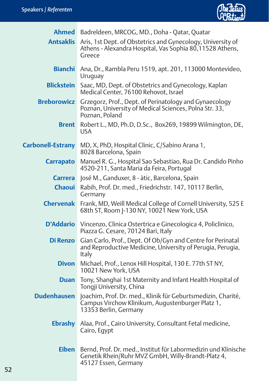

|                          | Ahmed Badreldeen, MRCOG, MD., Doha - Qatar, Quatar                                                                                           |
|--------------------------|----------------------------------------------------------------------------------------------------------------------------------------------|
| <b>Antsaklis</b>         | Aris, 1st Dept. of Obstetrics and Gynecology, University of<br>Athens - Alexandra Hospital, Vas Sophia 80,11528 Athens,<br>Greece            |
| <b>Bianchi</b>           | Ana, Dr., Rambla Peru 1519, apt. 201, 113000 Montevideo,<br>Uruguay                                                                          |
| <b>Blickstein</b>        | Saac, MD, Dept. of Obstetrics and Gynecology, Kaplan<br>Medical Center, 76100 Rehovot, Israel                                                |
| <b>Breborowicz</b>       | Grzegorz, Prof., Dept. of Perinatology and Gynaecology<br>Poznan, University of Medical Sciences, Polna Str. 33,<br>Poznan, Poland           |
| Brent                    | Robert L., MD, Ph.D, D.Sc., Box269, 19899 Wilmington, DE,<br><b>USA</b>                                                                      |
| <b>Carbonell-Estrany</b> | MD, X, PhD, Hospital Clinic, C/Sabino Arana 1,<br>8028 Barcelona, Spain                                                                      |
| <b>Carrapato</b>         | Manuel R. G., Hospital Sao Sebastiao, Rua Dr. Candido Pinho<br>4520-211, Santa Maria da Feira, Portugal                                      |
| <b>Carrera</b>           | José M., Ganduxer, 8 - àtic, Barcelona, Spain                                                                                                |
| <b>Chaoui</b>            | Rabih, Prof. Dr. med., Friedrichstr. 147, 10117 Berlin,<br>Germany                                                                           |
| <b>Chervenak</b>         | Frank, MD, Weill Medical College of Cornell University, 525 E<br>68th ST, Room J-130 NY, 10021 New York, USA                                 |
| <b>D'Addario</b>         | Vincenzo, Clinica Ostertrica e Ginecologica 4, Policlinico,<br>Piazza G. Cesare, 70124 Bari, Italy                                           |
| Di Renzo                 | Gian Carlo, Prof., Dept. Of Ob/Gyn and Centre for Perinatal<br>and Reproductive Medicine, University of Perugia, Perugia,<br>Italy           |
| <b>Divon</b>             | Michael, Prof., Lenox Hill Hospital, 130 E. 77th ST NY,<br>10021 New York, USA                                                               |
| <b>Duan</b>              | Tony, Shanghai 1st Maternity and Infant Health Hospital of<br>Tongji University, China                                                       |
| <b>Dudenhausen</b>       | Joachim, Prof. Dr. med., Klinik für Geburtsmedizin, Charité,<br>Campus Virchow Klinikum, Augustenburger Platz 1,<br>13353 Berlin, Germany    |
| <b>Ebrashy</b>           | Alaa, Prof., Cairo University, Consultant Fetal medicine,<br>Cairo, Egypt                                                                    |
| <b>Eiben</b>             | Bernd, Prof. Dr. med., Institut für Labormedizin und Klinische<br>Genetik Rhein/Ruhr MVZ GmbH, Willy-Brandt-Platz 4,<br>45127 Essen, Germany |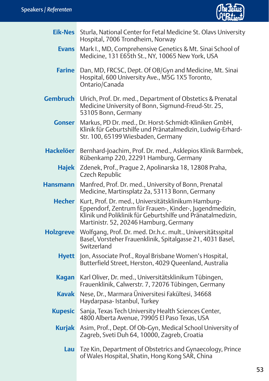

| <b>Eik-Nes</b>   | Sturla, National Center for Fetal Medicine St. Olavs University<br>Hospital, 7006 Trondheim, Norway                                                                                                                     |
|------------------|-------------------------------------------------------------------------------------------------------------------------------------------------------------------------------------------------------------------------|
| <b>Evans</b>     | Mark I., MD, Comprehensive Genetics & Mt. Sinai School of<br>Medicine, 131 E65th St., NY, 10065 New York, USA                                                                                                           |
| <b>Farine</b>    | Dan, MD, FRCSC, Dept. Of OB/Gyn and Medicine, Mt. Sinai<br>Hospital, 600 University Ave., M5G 1X5 Toronto,<br>Ontario/Canada                                                                                            |
| <b>Gembruch</b>  | Ulrich, Prof. Dr. med., Department of Obstetics & Prenatal<br>Medicine University of Bonn, Sigmund-Freud-Str. 25,<br>53105 Bonn, Germany                                                                                |
| Gonser           | Markus, PD Dr. med., Dr. Horst-Schmidt-Kliniken GmbH,<br>Klinik für Geburtshilfe und Pränatalmedizin, Ludwig-Erhard-<br>Str. 100, 65199 Wiesbaden, Germany                                                              |
| <b>Hackelöer</b> | Bernhard-Joachim, Prof. Dr. med., Asklepios Klinik Barmbek,<br>Rübenkamp 220, 22291 Hamburg, Germany                                                                                                                    |
| <b>Hajek</b>     | Zdenek, Prof., Praque 2, Apolinarska 18, 12808 Praha,<br>Czech Republic                                                                                                                                                 |
| Hansmann         | Manfred, Prof. Dr. med., University of Bonn, Prenatal<br>Medicine, Martinsplatz 2a, 53113 Bonn, Germany                                                                                                                 |
| <b>Hecher</b>    | Kurt, Prof. Dr. med., Universitätsklinikum Hamburg-<br>Eppendorf, Zentrum für Frauen-, Kinder-, Jugendmedizin,<br>Klinik und Poliklinik für Geburtshilfe und Pränatalmedizin,<br>Martinistr. 52, 20246 Hamburg, Germany |
| <b>Holzgreve</b> | Wolfgang, Prof. Dr. med. Dr.h.c. mult., Universitätsspital<br>Basel, Vorsteher Frauenklinik, Spitalgasse 21, 4031 Basel,<br>Switzerland                                                                                 |
| <b>Hyett</b>     | Jon, Associate Prof., Royal Brisbane Women's Hospital,<br>Butterfield Street, Herston, 4029 Queenland, Australia                                                                                                        |
| <b>Kagan</b>     | Karl Oliver, Dr. med., Universitätsklinikum Tübingen,<br>Frauenklinik, Calwerstr. 7, 72076 Tübingen, Germany                                                                                                            |
| <b>Kavak</b>     | Nese, Dr., Marmara Üniversitesi Fakültesi, 34668<br>Haydarpasa-Istanbul, Turkey                                                                                                                                         |
| <b>Kupesic</b>   | Sanja, Texas Tech University Health Sciences Center,<br>4800 Alberta Avenue, 79905 El Paso Texas, USA                                                                                                                   |
| <b>Kurjak</b>    | Asim, Prof., Dept. Of Ob-Gyn, Medical School University of<br>Zagreb, Sveti Duh 64, 10000, Zagreb, Croatia                                                                                                              |
| Lau :            | Tze Kin, Department of Obstetrics and Gynaecology, Prince<br>of Wales Hospital, Shatin, Hong Kong SAR, China                                                                                                            |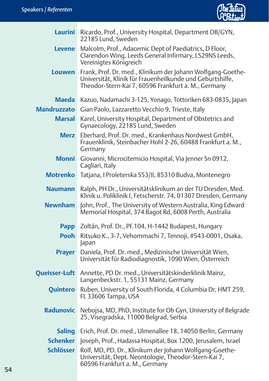

| Laurini            | Ricardo, Prof., University Hospital, Department OB/GYN,<br>22185 Lund. Sweden                                                                                                   |
|--------------------|---------------------------------------------------------------------------------------------------------------------------------------------------------------------------------|
| <b>Levene</b>      | Malcolm, Prof., Adacemic Dept of Paediatrics, D Floor,<br>Clarendon Wing, Leeds General Infirmary, LS29NS Leeds,<br>Vereinigtes Königreich                                      |
| <b>Louwen</b>      | Frank, Prof. Dr. med., Klinikum der Johann Wolfgang-Goethe-<br>Universität, Klinik für Frauenheilkunde und Geburtshilfe,<br>Theodor-Stern-Kai 7, 60596 Frankfurt a. M., Germany |
| <b>Maeda</b>       | Kazuo, Nadamachi 3-125, Yonago, Tottoriken 683-0835, Japan                                                                                                                      |
| <b>Mandruzzato</b> | Gian Paolo, Lazzaretto Vecchio 9, Trieste, Italy                                                                                                                                |
| <b>Marsal</b>      | Karel, University Hospital, Department of Obstetrics and<br>Gynaecology, 22185 Lund, Sweden                                                                                     |
|                    | Merz Eberhard, Prof. Dr. med., Krankenhaus Nordwest GmbH,<br>Frauenklinik, Steinbacher Hohl 2-26, 60488 Frankfurt a. M.,<br>Germany                                             |
| <b>Monni</b>       | Giovanni, Microcitemicio Hospital, Via Jenner Sn 0912,<br>Cagliari, Italy                                                                                                       |
| <b>Motrenko</b>    | Tatjana, I Proleterska S53/II, 85310 Budva, Montenegro                                                                                                                          |
| <b>Naumann</b>     | Ralph, PH Dr., Universitätsklinikum an der TU Dresden, Med.<br>Klinik u. Poliklinik I, Fetscherstr. 74, 01307 Dresden, Germany                                                  |
| <b>Newnham</b>     | John, Prof., The University of Western Australia, King Edward<br>Memorial Hospital, 374 Bagot Rd, 6008 Perth, Australia                                                         |
|                    | Papp Zoltán, Prof. Dr., PF.104, H-1442 Budapest, Hungary                                                                                                                        |
| <b>Pooh</b>        | Ritsuko K., 3-7, Vehommachi 7, Tennoji, #543-0001, Osaka,<br>Japan                                                                                                              |
| <b>Prayer</b>      | Daniela, Prof. Dr. med., Medizinische Universität Wien,<br>Universität für Radiodiagnostik, 1090 Wien, Österreich                                                               |
|                    | Queisser-Luft Annette, PD Dr. med., Universitätskinderklinik Mainz,<br>Langenbeckstr. 1, 55131 Mainz, Germany                                                                   |
| <b>Quintero</b>    | Ruben, University of South Florida, 4 Columbia Dr, HMT 259,<br>FL 33606 Tampa, USA                                                                                              |
|                    | Radunovic Nebojsa, MD, PhD, Institute for Ob Gyn, University of Belgrade<br>25, Visegradska, 11000 Belgrad, Serbia                                                              |
| <b>Saling</b>      | Erich, Prof. Dr. med., Ulmenallee 18, 14050 Berlin, Germany                                                                                                                     |
| <b>Schenker</b>    | Joseph, Prof., Hadassa Hospital, Box 1200, Jerusalem, Israel                                                                                                                    |
| <b>Schlösser</b>   | Rolf, MD, PD. Dr., Klinikum der Johann Wolfgang-Goethe-<br>Universität, Dept. Neontologie, Theodor-Stern-Kai 7,<br>60596 Frankfurt a. M., Germany                               |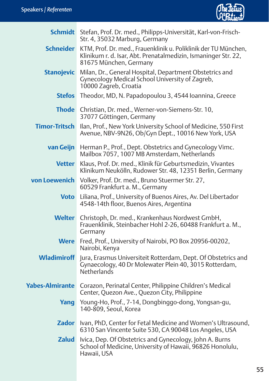

|                        | Schmidt Stefan, Prof. Dr. med., Philipps-Universität, Karl-von-Frisch-<br>Str. 4, 35032 Marburg, Germany                                                    |
|------------------------|-------------------------------------------------------------------------------------------------------------------------------------------------------------|
| <b>Schneider</b>       | KTM, Prof. Dr. med., Frauenklinik u. Poliklinik der TU München,<br>Klinikum r. d. Isar, Abt. Prenatalmedizin, Ismaninger Str. 22,<br>81675 München, Germany |
| <b>Stanojevic</b>      | Milan, Dr., General Hospital, Department Obstetrics and<br>Gynecology Medical School University of Zagreb,<br>10000 Zagreb, Croatia                         |
| <b>Stefos</b>          | Theodor, MD, N. Papadopoulou 3, 4544 Ioannina, Greece                                                                                                       |
| <b>Thode</b>           | Christian, Dr. med., Werner-von-Siemens-Str. 10,<br>37077 Göttingen, Germany                                                                                |
| <b>Timor-Tritsch</b>   | Ilan, Prof., New York University School of Medicine, 550 First<br>Avenue, NBV-9N26, Ob/Gyn Dept., 10016 New York, USA                                       |
| van Geijn              | Herman P., Prof., Dept. Obstetrics and Gynecology Vimc.<br>Mailbox 7057, 1007 MB Amsterdam, Netherlands                                                     |
| <b>Vetter</b>          | Klaus, Prof. Dr. med., Klinik für Geburtsmedizin, Vivantes<br>Klinikum Neukölln, Rudower Str. 48, 12351 Berlin, Germany                                     |
| von Loewenich          | Volker, Prof. Dr. med., Bruno Stuermer Str. 27,<br>60529 Frankfurt a. M., Germany                                                                           |
| <b>Voto</b>            | Liliana, Prof., University of Buenos Aires, Av. Del Libertador<br>4548-14th floor, Buenos Aires, Argentina                                                  |
| <b>Welter</b>          | Christoph, Dr. med., Krankenhaus Nordwest GmbH,<br>Frauenklinik, Steinbacher Hohl 2-26, 60488 Frankfurt a. M.,<br>Germany                                   |
| <b>Were</b>            | Fred, Prof., University of Nairobi, PO Box 20956-00202,<br>Nairobi, Kenya                                                                                   |
| <b>Wladimiroff</b>     | Jura, Erasmus Universiteit Rotterdam, Dept. Of Obstetrics and<br>Gynaecology, 40 Dr Molewater Plein 40, 3015 Rotterdam,<br>Netherlands                      |
| <b>Yabes-Almirante</b> | Corazon, Perinatal Center, Philippine Children's Medical<br>Center, Quezon Ave., Quezon City, Philippine                                                    |
| Yang                   | Young-Ho, Prof., 7-14, Dongbinggo-dong, Yongsan-gu,<br>140-809, Seoul, Korea                                                                                |
| <b>Zador</b>           | Ivan, PhD, Center for Fetal Medicine and Women's Ultrasound,<br>6310 San Vincente Suite 530, CA 90048 Los Angeles, USA                                      |
| <b>Zalud</b>           | Ivica, Dep. Of Obstetrics and Gynecology, John A. Burns<br>School of Medicine, University of Hawaii, 96826 Honolulu,<br>Hawaii, USA                         |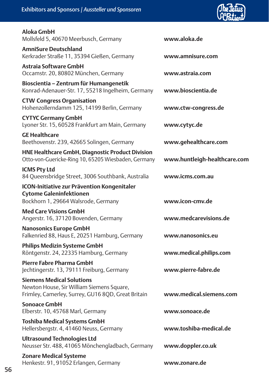### Exhibitors and Sponsors / *Aussteller und Sponsoren*



| Aloka GmbH<br>Mollsfeld 5, 40670 Meerbusch, Germany                                                                                 | www.aloka.de                 |
|-------------------------------------------------------------------------------------------------------------------------------------|------------------------------|
| <b>AmniSure Deutschland</b><br>Kerkrader Straße 11, 35394 Gießen, Germany                                                           | www.amnisure.com             |
| Astraia Software GmbH<br>Occamstr. 20, 80802 München, Germany                                                                       | www.astraia.com              |
| Bioscientia - Zentrum für Humangenetik<br>Konrad-Adenauer-Str. 17, 55218 Ingelheim, Germany                                         | www.bioscientia.de           |
| <b>CTW Congress Organisation</b><br>Hohenzollerndamm 125, 14199 Berlin, Germany                                                     | www.ctw-congress.de          |
| <b>CYTYC Germany GmbH</b><br>Lyoner Str. 15, 60528 Frankfurt am Main, Germany                                                       | www.cytyc.de                 |
| <b>GE Healthcare</b><br>Beethovenstr. 239, 42665 Solingen, Germany                                                                  | www.gehealthcare.com         |
| HNE Healthcare GmbH, Diagnostic Product Division<br>Otto-von-Guericke-Ring 10, 65205 Wiesbaden, Germany                             | www.huntleigh-healthcare.com |
| <b>ICMS Pty Ltd</b><br>84 Queensbridge Street, 3006 Southbank, Australia                                                            | www.icms.com.au              |
| <b>ICON-Initiative zur Prävention Kongenitaler</b><br><b>Cytome Galeninfektionen</b><br>Bockhorn 1, 29664 Walsrode, Germany         | www.icon-cmv.de              |
| <b>Med Care Visions GmbH</b><br>Angerstr. 16, 37120 Bovenden, Germany                                                               | www.medcarevisions.de        |
| <b>Nanosonics Europe GmbH</b><br>Falkenried 88, Haus E, 20251 Hamburg, Germany                                                      | www.nanosonics.eu            |
| <b>Philips Medizin Systeme GmbH</b><br>Röntgenstr. 24, 22335 Hamburg, Germany                                                       | www.medical.philips.com      |
| Pierre Fabre Pharma GmbH<br>Jechtingerstr. 13, 79111 Freiburg, Germany                                                              | www.pierre-fabre.de          |
| <b>Siemens Medical Solutions</b><br>Newton House, Sir William Siemens Square,<br>Frimley, Camerley, Surrey, GU16 8QD, Great Britain | www.medical.siemens.com      |
| <b>Sonoace GmbH</b><br>Elberstr. 10, 45768 Marl, Germany                                                                            | www.sonoace.de               |
| <b>Toshiba Medical Systems GmbH</b><br>Hellersbergstr. 4, 41460 Neuss, Germany                                                      | www.toshiba-medical.de       |
| <b>Ultrasound Technologies Ltd</b><br>Neusser Str. 488, 41065 Mönchengladbach, Germany                                              | www.doppler.co.uk            |
| <b>Zonare Medical Systeme</b><br>Henkestr. 91, 91052 Erlangen, Germany                                                              | www.zonare.de                |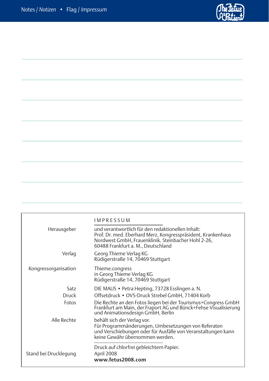

|                       | <b>IMPRESSUM</b>                                                                                                                                                                                               |  |
|-----------------------|----------------------------------------------------------------------------------------------------------------------------------------------------------------------------------------------------------------|--|
| Herausgeber           | und verantwortlich für den redaktionellen Inhalt:<br>Prof. Dr. med. Eberhard Merz, Kongresspräsident, Krankenhaus<br>Nordwest GmbH, Frauenklinik. Steinbacher Hohl 2-26,<br>60488 Frankfurt a. M., Deutschland |  |
| Verlag                | Georg Thieme Verlag KG<br>Rüdigerstraße 14, 70469 Stuttgart                                                                                                                                                    |  |
| Kongressorganisation  | Thieme.congress<br>in Georg Thieme Verlag KG<br>Rüdigerstraße 14, 70469 Stuttgart                                                                                                                              |  |
| Satz                  | DIE MAUS • Petra Hepting, 73728 Esslingen a. N.                                                                                                                                                                |  |
| Druck                 | Offsetdruck • OVS-Druck Strebel GmbH, 71404 Korb                                                                                                                                                               |  |
| Fotos                 | Die Rechte an den Fotos liegen bei der Tourismus+Congress GmbH<br>Frankfurt am Main, der Fraport AG und Bünck+Fehse Visualisierung<br>und Animationsdesign GmbH, Berlin                                        |  |
| Alle Rechte           | behält sich der Verlag vor.<br>Für Programmänderungen, Umbesetzungen von Referaten<br>und Verschiebungen oder für Ausfälle von Veranstaltungen kann<br>keine Gewähr übernommen werden.                         |  |
| Stand bei Drucklegung | Druck auf chlorfrei gebleichtem Papier.<br>April 2008<br>www.fetus2008.com                                                                                                                                     |  |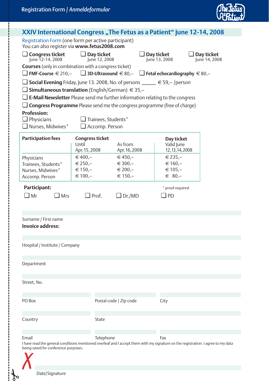

| Registration Form (one form per active participant)<br>You can also register via www.fetus2008.com<br>$\Box$ Day ticket<br>$\Box$ Day ticket<br>June 12-14, 2008<br>June 12, 2008<br>June 13, 2008<br>□ 3D-Ultrasound $\in$ 80,-                                                                                                                                                                                                                         |                                                                           |  |  |  |  |
|----------------------------------------------------------------------------------------------------------------------------------------------------------------------------------------------------------------------------------------------------------------------------------------------------------------------------------------------------------------------------------------------------------------------------------------------------------|---------------------------------------------------------------------------|--|--|--|--|
| $\Box$ Congress ticket<br><b>Courses</b> (only in combination with a congress ticket)                                                                                                                                                                                                                                                                                                                                                                    |                                                                           |  |  |  |  |
|                                                                                                                                                                                                                                                                                                                                                                                                                                                          | $\Box$ Day ticket<br>June 14, 2008                                        |  |  |  |  |
|                                                                                                                                                                                                                                                                                                                                                                                                                                                          | $\Box$ FMF-Course $\in$ 210.-<br>$\Box$ Fetal echocardiography $\in$ 80,- |  |  |  |  |
| □ Social Evening Friday, June 13. 2008, No. of persons $\rule{1em}{0.15mm}$ $\in$ 59,-/person<br>□ Simultaneous translation (English/German) $∈$ 35,-<br>$\Box$ E-Mail Newsletter Please send me further information relating to the congress<br>$\Box$ Congress Programme Please send me the congress programme (free of charge)<br><b>Profession:</b><br>$\Box$ Trainees, Students*<br>$\Box$ Physicians<br>$\Box$ Nurses, Midwives*<br>Accomp. Person |                                                                           |  |  |  |  |
| <b>Participation fees</b><br><b>Congress ticket</b><br>Day ticket<br>As from<br>Until<br>Valid June                                                                                                                                                                                                                                                                                                                                                      |                                                                           |  |  |  |  |
| Apr. 15, 2008<br>Apr. 16, 2008<br>12, 13, 14, 2008<br>$€ 400,-$<br>$€450,-$<br>€ 235,-<br>Physicians<br>$∈ 250,-$<br>$∈ 300,-$<br>$∈ 160,-$<br>Trainees. Students*<br>$∈ 150,-$<br>$∈ 200,-$<br>$€ 105. -$<br>Nurses, Midwives*<br>$∈ 100,-$<br>$∈$ 80,-<br>$∈ 150,-$<br>Accomp. Person                                                                                                                                                                  |                                                                           |  |  |  |  |
| Participant:<br>* proof required<br>$\Box$ Mr<br>$\Box$ Mrs<br>$\Box$ Prof.<br>$\Box$ Dr./MD<br>$\Box$ PD                                                                                                                                                                                                                                                                                                                                                |                                                                           |  |  |  |  |
| Surname / First name<br><b>Invoice address:</b><br>Hospital / Institute / Company                                                                                                                                                                                                                                                                                                                                                                        |                                                                           |  |  |  |  |
| Department                                                                                                                                                                                                                                                                                                                                                                                                                                               |                                                                           |  |  |  |  |
| Street, No.                                                                                                                                                                                                                                                                                                                                                                                                                                              |                                                                           |  |  |  |  |
| PO Box<br>Postal code / Zip code<br>City                                                                                                                                                                                                                                                                                                                                                                                                                 |                                                                           |  |  |  |  |
| Country<br>State                                                                                                                                                                                                                                                                                                                                                                                                                                         |                                                                           |  |  |  |  |
| Email<br>Telephone<br>Fax<br>I have read the general conditions mentioned overleaf and I accept them with my signature on the registration. I agree to my data<br>being saved for conference purposes.                                                                                                                                                                                                                                                   |                                                                           |  |  |  |  |
| Date/Signature                                                                                                                                                                                                                                                                                                                                                                                                                                           |                                                                           |  |  |  |  |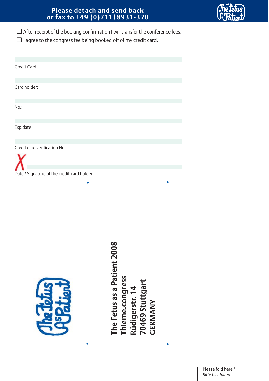#### **Please detach and send back or fax to +49 (0)711/ 8931-370**

- 
- ❏ After receipt of the booking confirmation I will transfer the conference fees.
- ❏ I agree to the congress fee being booked off of my credit card.

| Credit Card<br>Card holder:<br>No.:<br>Exp.date<br>Credit card verification No.:<br>Date / Signature of the credit card holder |                                                                                                |
|--------------------------------------------------------------------------------------------------------------------------------|------------------------------------------------------------------------------------------------|
|                                                                                                                                | The Fetus as a Patient 2008<br>Thieme.congress<br>Rüdigerstr. 14<br>70469 Stuttgart<br>GERMANY |

**• •**